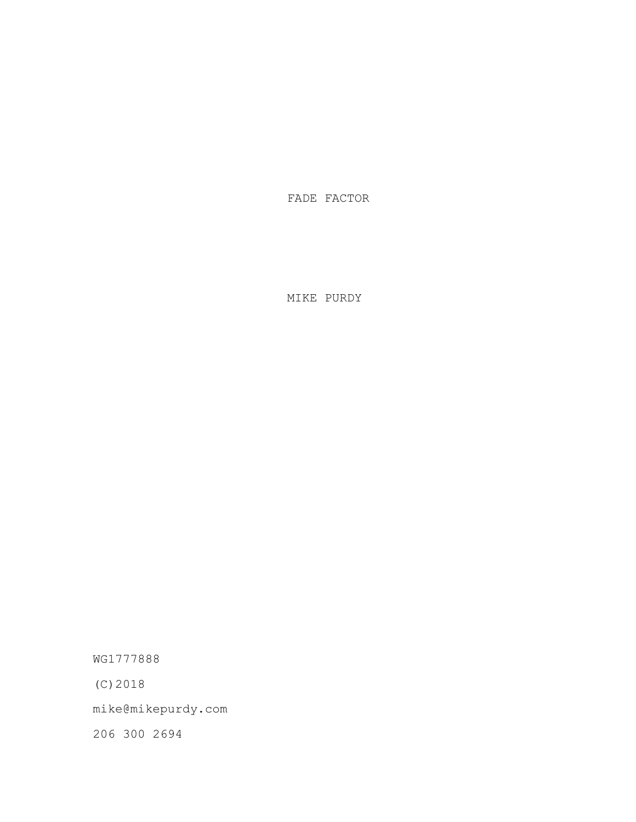FADE FACTOR

MIKE PURDY

WG1777888

(C)2018

mike@mikepurdy.com

206 300 2694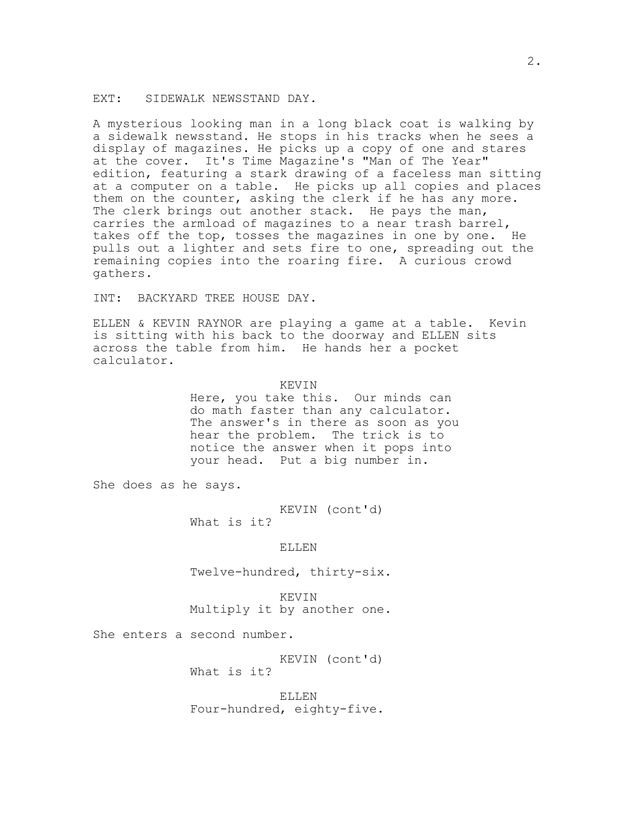### EXT: SIDEWALK NEWSSTAND DAY.

A mysterious looking man in a long black coat is walking by a sidewalk newsstand. He stops in his tracks when he sees a display of magazines. He picks up a copy of one and stares at the cover. It's Time Magazine's "Man of The Year" edition, featuring a stark drawing of a faceless man sitting at a computer on a table. He picks up all copies and places them on the counter, asking the clerk if he has any more. The clerk brings out another stack. He pays the man, carries the armload of magazines to a near trash barrel, takes off the top, tosses the magazines in one by one. He pulls out a lighter and sets fire to one, spreading out the remaining copies into the roaring fire. A curious crowd gathers.

INT: BACKYARD TREE HOUSE DAY.

ELLEN & KEVIN RAYNOR are playing a game at a table. Kevin is sitting with his back to the doorway and ELLEN sits across the table from him. He hands her a pocket calculator.

#### KEVIN

Here, you take this. Our minds can do math faster than any calculator. The answer's in there as soon as you hear the problem. The trick is to notice the answer when it pops into your head. Put a big number in.

She does as he says.

KEVIN (cont'd)

What is it?

#### ELLEN

Twelve-hundred, thirty-six.

KEVIN Multiply it by another one.

She enters a second number.

KEVIN (cont'd) What is it?

ELLEN Four-hundred, eighty-five.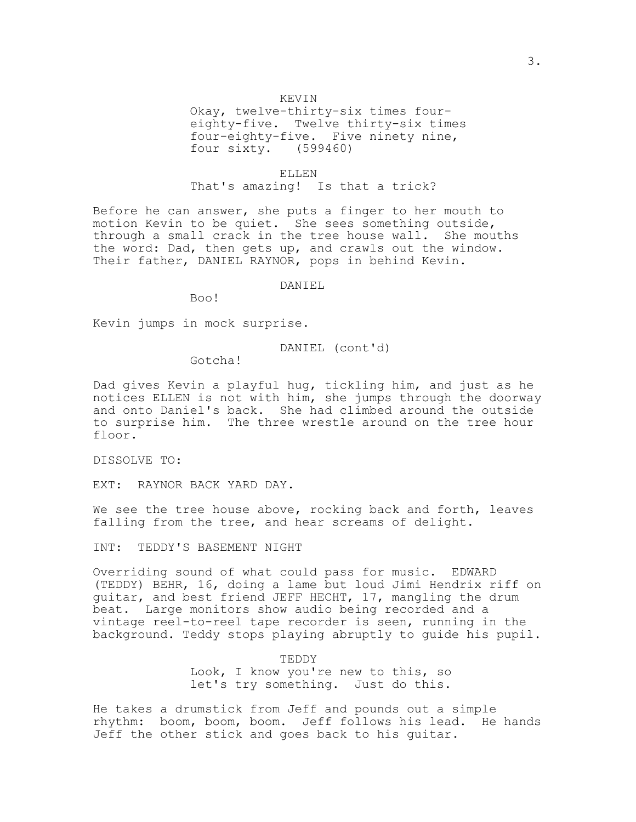### KEVIN

Okay, twelve-thirty-six times foureighty-five. Twelve thirty-six times four-eighty-five. Five ninety nine, four sixty. (599460)

ELLEN That's amazing! Is that a trick?

Before he can answer, she puts a finger to her mouth to motion Kevin to be quiet. She sees something outside, through a small crack in the tree house wall. She mouths the word: Dad, then gets up, and crawls out the window. Their father, DANIEL RAYNOR, pops in behind Kevin.

#### DANIEL

Boo!

Kevin jumps in mock surprise.

### DANIEL (cont'd)

Gotcha!

Dad gives Kevin a playful hug, tickling him, and just as he notices ELLEN is not with him, she jumps through the doorway and onto Daniel's back. She had climbed around the outside to surprise him. The three wrestle around on the tree hour floor.

DISSOLVE TO:

EXT: RAYNOR BACK YARD DAY.

We see the tree house above, rocking back and forth, leaves falling from the tree, and hear screams of delight.

INT: TEDDY'S BASEMENT NIGHT

Overriding sound of what could pass for music. EDWARD (TEDDY) BEHR, 16, doing a lame but loud Jimi Hendrix riff on guitar, and best friend JEFF HECHT, 17, mangling the drum beat. Large monitors show audio being recorded and a vintage reel-to-reel tape recorder is seen, running in the background. Teddy stops playing abruptly to guide his pupil.

> TEDDY Look, I know you're new to this, so let's try something. Just do this.

He takes a drumstick from Jeff and pounds out a simple rhythm: boom, boom, boom. Jeff follows his lead. He hands Jeff the other stick and goes back to his guitar.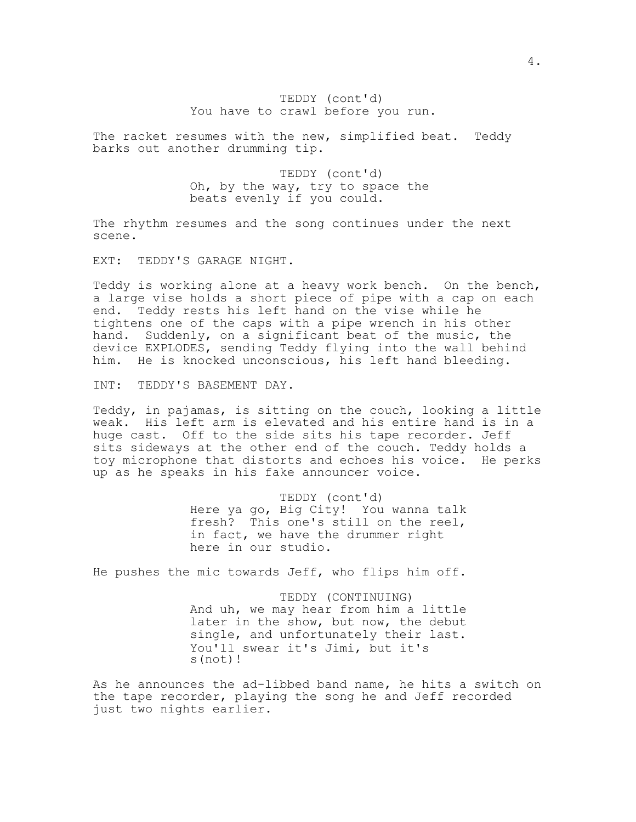## TEDDY (cont'd) You have to crawl before you run.

The racket resumes with the new, simplified beat. Teddy barks out another drumming tip.

> TEDDY (cont'd) Oh, by the way, try to space the beats evenly if you could.

The rhythm resumes and the song continues under the next scene.

EXT: TEDDY'S GARAGE NIGHT.

Teddy is working alone at a heavy work bench. On the bench, a large vise holds a short piece of pipe with a cap on each end. Teddy rests his left hand on the vise while he tightens one of the caps with a pipe wrench in his other hand. Suddenly, on a significant beat of the music, the device EXPLODES, sending Teddy flying into the wall behind him. He is knocked unconscious, his left hand bleeding.

INT: TEDDY'S BASEMENT DAY.

Teddy, in pajamas, is sitting on the couch, looking a little weak. His left arm is elevated and his entire hand is in a huge cast. Off to the side sits his tape recorder. Jeff sits sideways at the other end of the couch. Teddy holds a toy microphone that distorts and echoes his voice. He perks up as he speaks in his fake announcer voice.

> TEDDY (cont'd) Here ya go, Big City! You wanna talk fresh? This one's still on the reel, in fact, we have the drummer right here in our studio.

He pushes the mic towards Jeff, who flips him off.

TEDDY (CONTINUING) And uh, we may hear from him a little later in the show, but now, the debut single, and unfortunately their last. You'll swear it's Jimi, but it's s(not)!

As he announces the ad-libbed band name, he hits a switch on the tape recorder, playing the song he and Jeff recorded just two nights earlier.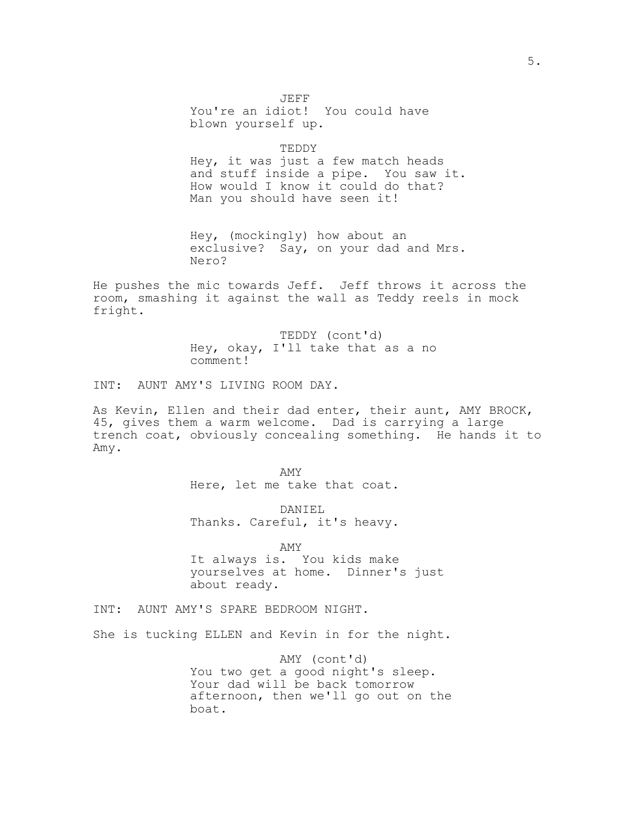JEFF You're an idiot! You could have blown yourself up.

TEDDY Hey, it was just a few match heads and stuff inside a pipe. You saw it. How would I know it could do that? Man you should have seen it!

Hey, (mockingly) how about an exclusive? Say, on your dad and Mrs. Nero?

He pushes the mic towards Jeff. Jeff throws it across the room, smashing it against the wall as Teddy reels in mock fright.

> TEDDY (cont'd) Hey, okay, I'll take that as a no comment!

INT: AUNT AMY'S LIVING ROOM DAY.

As Kevin, Ellen and their dad enter, their aunt, AMY BROCK, 45, gives them a warm welcome. Dad is carrying a large trench coat, obviously concealing something. He hands it to Amy.

> AMY Here, let me take that coat.

> DANIEL Thanks. Careful, it's heavy.

> > AMY

It always is. You kids make yourselves at home. Dinner's just about ready.

INT: AUNT AMY'S SPARE BEDROOM NIGHT.

She is tucking ELLEN and Kevin in for the night.

AMY (cont'd) You two get a good night's sleep. Your dad will be back tomorrow afternoon, then we'll go out on the boat.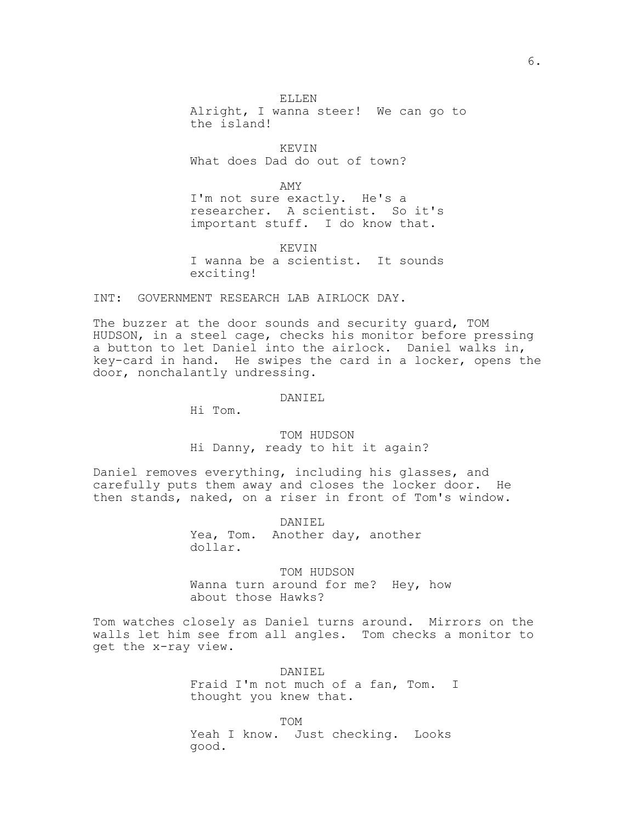ELLEN Alright, I wanna steer! We can go to the island!

KEVIN What does Dad do out of town?

AMY

I'm not sure exactly. He's a researcher. A scientist. So it's important stuff. I do know that.

KEVIN I wanna be a scientist. It sounds exciting!

INT: GOVERNMENT RESEARCH LAB AIRLOCK DAY.

The buzzer at the door sounds and security guard, TOM HUDSON, in a steel cage, checks his monitor before pressing a button to let Daniel into the airlock. Daniel walks in, key-card in hand. He swipes the card in a locker, opens the door, nonchalantly undressing.

DANIEL

Hi Tom.

TOM HUDSON Hi Danny, ready to hit it again?

Daniel removes everything, including his glasses, and carefully puts them away and closes the locker door. He then stands, naked, on a riser in front of Tom's window.

> DANIEL Yea, Tom. Another day, another dollar.

TOM HUDSON Wanna turn around for me? Hey, how about those Hawks?

Tom watches closely as Daniel turns around. Mirrors on the walls let him see from all angles. Tom checks a monitor to get the x-ray view.

> DANIEL Fraid I'm not much of a fan, Tom. I thought you knew that.

TOM Yeah I know. Just checking. Looks good.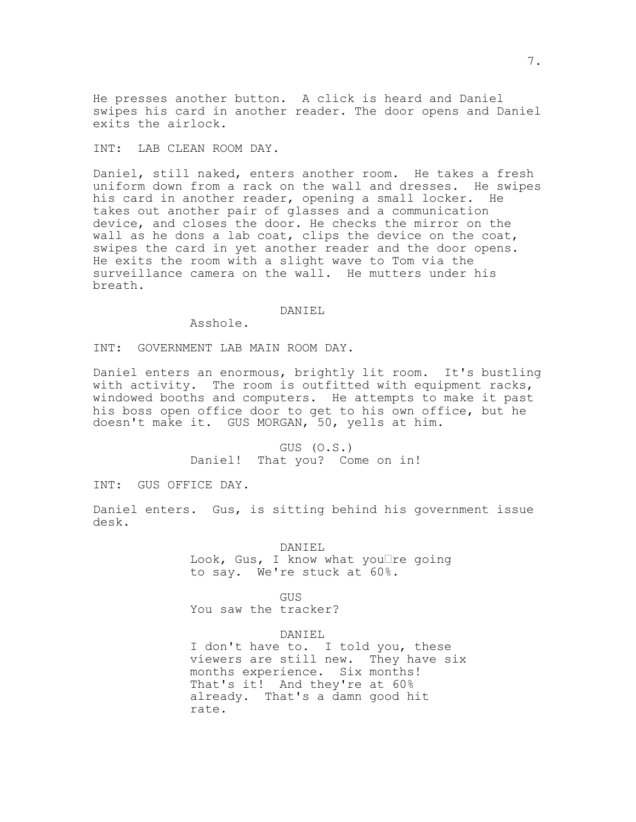He presses another button. A click is heard and Daniel swipes his card in another reader. The door opens and Daniel exits the airlock.

INT: LAB CLEAN ROOM DAY.

Daniel, still naked, enters another room. He takes a fresh uniform down from a rack on the wall and dresses. He swipes his card in another reader, opening a small locker. He takes out another pair of glasses and a communication device, and closes the door. He checks the mirror on the wall as he dons a lab coat, clips the device on the coat, swipes the card in yet another reader and the door opens. He exits the room with a slight wave to Tom via the surveillance camera on the wall. He mutters under his breath.

### DANIEL

Asshole.

INT: GOVERNMENT LAB MAIN ROOM DAY.

Daniel enters an enormous, brightly lit room. It's bustling with activity. The room is outfitted with equipment racks, windowed booths and computers. He attempts to make it past his boss open office door to get to his own office, but he doesn't make it. GUS MORGAN, 50, yells at him.

> GUS (O.S.) Daniel! That you? Come on in!

INT: GUS OFFICE DAY.

Daniel enters. Gus, is sitting behind his government issue desk.

DANIEL

Look, Gus, I know what you $\Box$ re going to say. We're stuck at 60%.

GUS

You saw the tracker?

DANIEL

I don't have to. I told you, these viewers are still new. They have six months experience. Six months! That's it! And they're at 60% already. That's a damn good hit rate.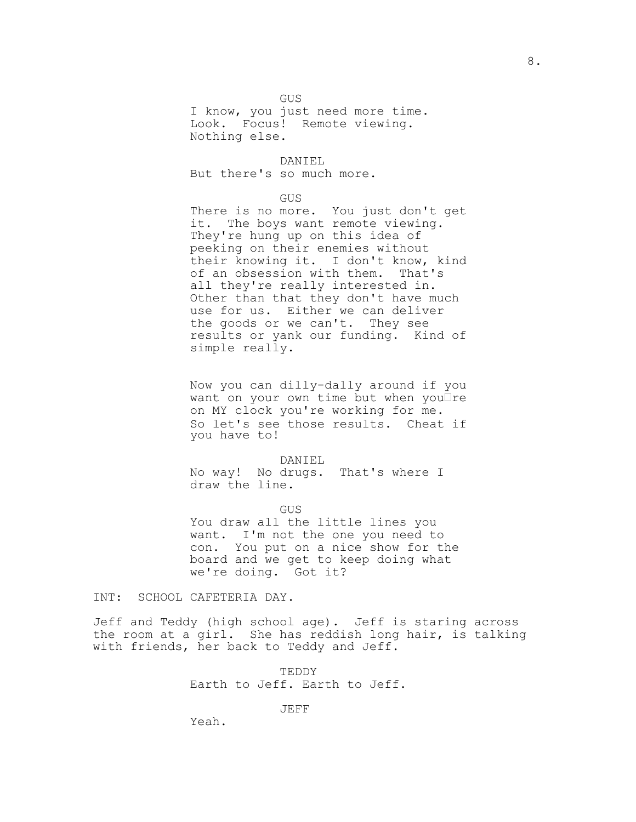GUS

I know, you just need more time. Look. Focus! Remote viewing. Nothing else.

DANIEL

But there's so much more.

## GUS

There is no more. You just don't get it. The boys want remote viewing. They're hung up on this idea of peeking on their enemies without their knowing it. I don't know, kind of an obsession with them. That's all they're really interested in. Other than that they don't have much use for us. Either we can deliver the goods or we can't. They see results or yank our funding. Kind of simple really.

Now you can dilly-dally around if you want on your own time but when you $\Box$ re on MY clock you're working for me. So let's see those results. Cheat if you have to!

#### DANIEL

No way! No drugs. That's where I draw the line.

GUS

You draw all the little lines you want. I'm not the one you need to con. You put on a nice show for the board and we get to keep doing what we're doing. Got it?

INT: SCHOOL CAFETERIA DAY.

Jeff and Teddy (high school age). Jeff is staring across the room at a girl. She has reddish long hair, is talking with friends, her back to Teddy and Jeff.

> TEDDY Earth to Jeff. Earth to Jeff.

> > JEFF

Yeah.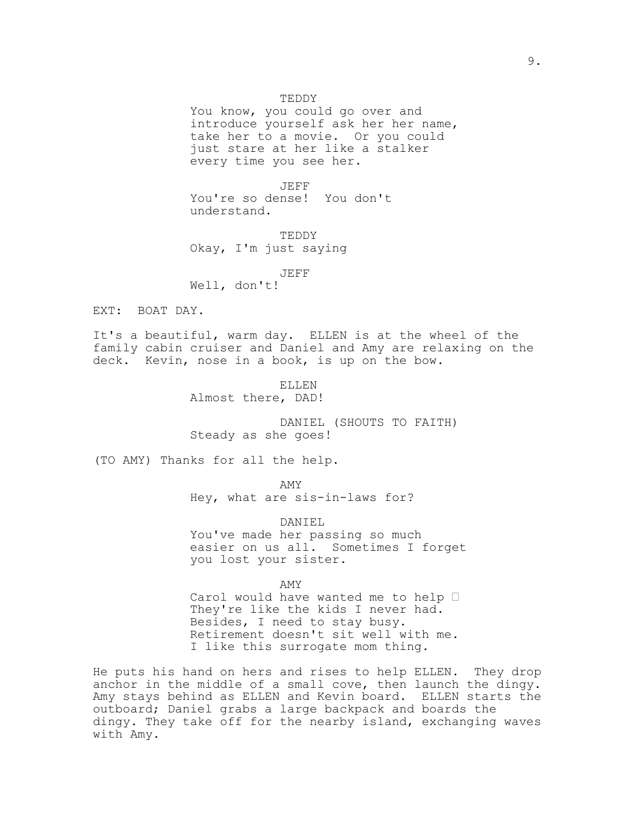### TEDDY

You know, you could go over and introduce yourself ask her her name, take her to a movie. Or you could just stare at her like a stalker every time you see her.

JEFF You're so dense! You don't understand.

TEDDY Okay, I'm just saying

JEFF

Well, don't!

EXT: BOAT DAY.

It's a beautiful, warm day. ELLEN is at the wheel of the family cabin cruiser and Daniel and Amy are relaxing on the deck. Kevin, nose in a book, is up on the bow.

> ELLEN Almost there, DAD!

DANIEL (SHOUTS TO FAITH) Steady as she goes!

(TO AMY) Thanks for all the help.

AMY

Hey, what are sis-in-laws for?

DANIEL You've made her passing so much easier on us all. Sometimes I forget you lost your sister.

AMY Carol would have wanted me to help  $\Box$ They're like the kids I never had. Besides, I need to stay busy. Retirement doesn't sit well with me. I like this surrogate mom thing.

He puts his hand on hers and rises to help ELLEN. They drop anchor in the middle of a small cove, then launch the dingy. Amy stays behind as ELLEN and Kevin board. ELLEN starts the outboard; Daniel grabs a large backpack and boards the dingy. They take off for the nearby island, exchanging waves with Amy.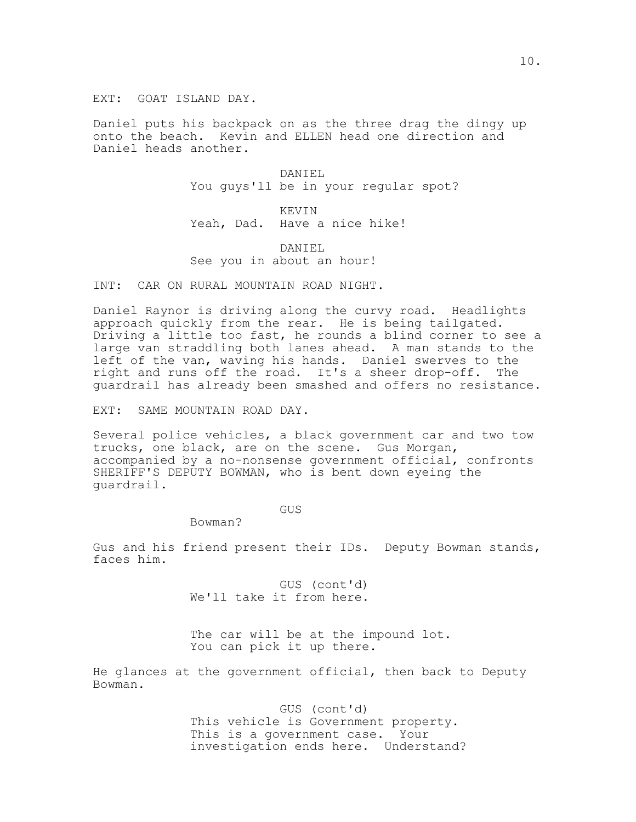EXT: GOAT ISLAND DAY.

Daniel puts his backpack on as the three drag the dingy up onto the beach. Kevin and ELLEN head one direction and Daniel heads another.

> DANIEL You guys'll be in your regular spot?

KEVIN Yeah, Dad. Have a nice hike!

### DANIEL See you in about an hour!

INT: CAR ON RURAL MOUNTAIN ROAD NIGHT.

Daniel Raynor is driving along the curvy road. Headlights approach quickly from the rear. He is being tailgated. Driving a little too fast, he rounds a blind corner to see a large van straddling both lanes ahead. A man stands to the left of the van, waving his hands. Daniel swerves to the right and runs off the road. It's a sheer drop-off. The guardrail has already been smashed and offers no resistance.

EXT: SAME MOUNTAIN ROAD DAY.

Several police vehicles, a black government car and two tow trucks, one black, are on the scene. Gus Morgan, accompanied by a no-nonsense government official, confronts SHERIFF'S DEPUTY BOWMAN, who is bent down eyeing the guardrail.

GUS

Bowman?

Gus and his friend present their IDs. Deputy Bowman stands, faces him.

> GUS (cont'd) We'll take it from here.

The car will be at the impound lot. You can pick it up there.

He glances at the government official, then back to Deputy Bowman.

> GUS (cont'd) This vehicle is Government property. This is a government case. Your investigation ends here. Understand?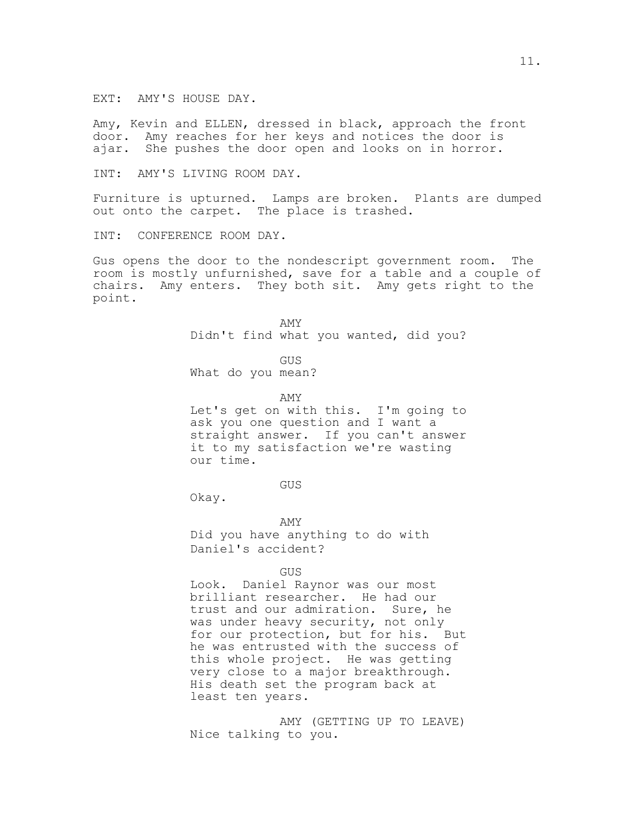EXT: AMY'S HOUSE DAY.

Amy, Kevin and ELLEN, dressed in black, approach the front door. Amy reaches for her keys and notices the door is ajar. She pushes the door open and looks on in horror.

INT: AMY'S LIVING ROOM DAY.

Furniture is upturned. Lamps are broken. Plants are dumped out onto the carpet. The place is trashed.

INT: CONFERENCE ROOM DAY.

Gus opens the door to the nondescript government room. The room is mostly unfurnished, save for a table and a couple of chairs. Amy enters. They both sit. Amy gets right to the point.

> AMY Didn't find what you wanted, did you?

GUS What do you mean?

AMY

Let's get on with this. I'm going to ask you one question and I want a straight answer. If you can't answer it to my satisfaction we're wasting our time.

GUS

Okay.

AMY Did you have anything to do with Daniel's accident?

GUS

Look. Daniel Raynor was our most brilliant researcher. He had our trust and our admiration. Sure, he was under heavy security, not only for our protection, but for his. But he was entrusted with the success of this whole project. He was getting very close to a major breakthrough. His death set the program back at least ten years.

AMY (GETTING UP TO LEAVE) Nice talking to you.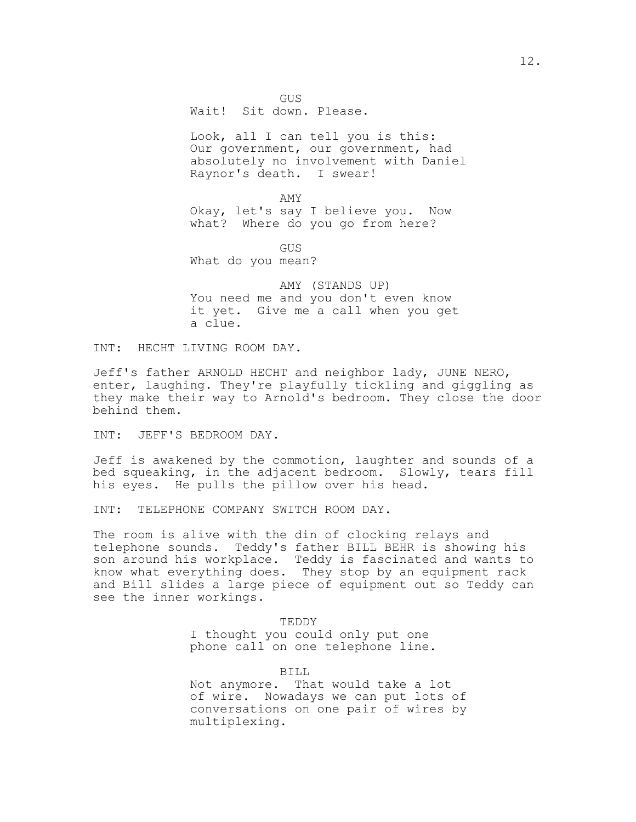GUS Wait! Sit down. Please.

Look, all I can tell you is this: Our government, our government, had absolutely no involvement with Daniel Raynor's death. I swear!

AMY Okay, let's say I believe you. Now what? Where do you go from here?

GUS

What do you mean?

AMY (STANDS UP) You need me and you don't even know it yet. Give me a call when you get a clue.

INT: HECHT LIVING ROOM DAY.

Jeff's father ARNOLD HECHT and neighbor lady, JUNE NERO, enter, laughing. They're playfully tickling and giggling as they make their way to Arnold's bedroom. They close the door behind them.

INT: JEFF'S BEDROOM DAY.

Jeff is awakened by the commotion, laughter and sounds of a bed squeaking, in the adjacent bedroom. Slowly, tears fill his eyes. He pulls the pillow over his head.

INT: TELEPHONE COMPANY SWITCH ROOM DAY.

The room is alive with the din of clocking relays and telephone sounds. Teddy's father BILL BEHR is showing his son around his workplace. Teddy is fascinated and wants to know what everything does. They stop by an equipment rack and Bill slides a large piece of equipment out so Teddy can see the inner workings.

> TEDDY I thought you could only put one phone call on one telephone line.

BILL Not anymore. That would take a lot of wire. Nowadays we can put lots of conversations on one pair of wires by multiplexing.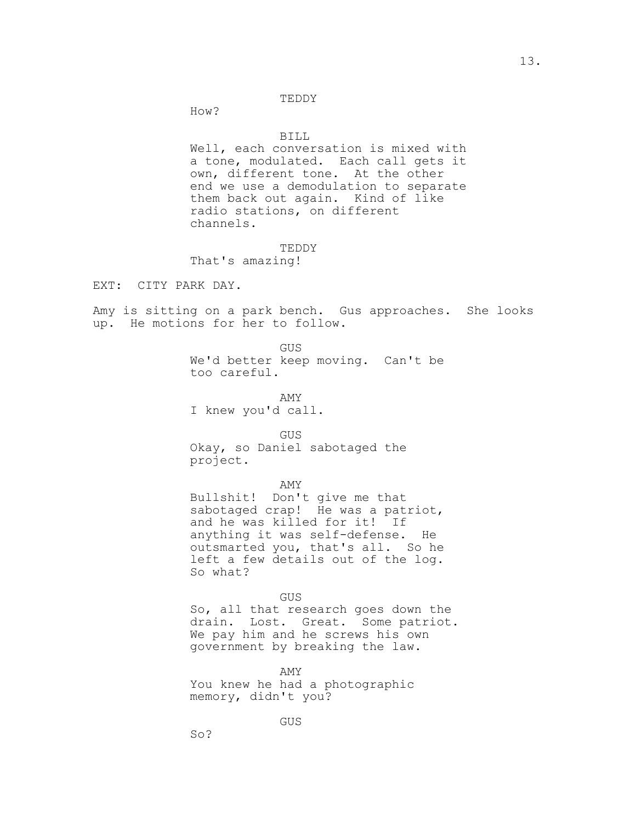### TEDDY

How?

### BILL

Well, each conversation is mixed with a tone, modulated. Each call gets it own, different tone. At the other end we use a demodulation to separate them back out again. Kind of like radio stations, on different channels.

#### TEDDY

That's amazing!

EXT: CITY PARK DAY.

Amy is sitting on a park bench. Gus approaches. She looks up. He motions for her to follow.

GUS

We'd better keep moving. Can't be too careful.

AMY I knew you'd call.

GUS

Okay, so Daniel sabotaged the project.

AMY

Bullshit! Don't give me that sabotaged crap! He was a patriot, and he was killed for it! If anything it was self-defense. He outsmarted you, that's all. So he left a few details out of the log. So what?

#### GUS

So, all that research goes down the drain. Lost. Great. Some patriot. We pay him and he screws his own government by breaking the law.

AMY

You knew he had a photographic memory, didn't you?

GUS

So?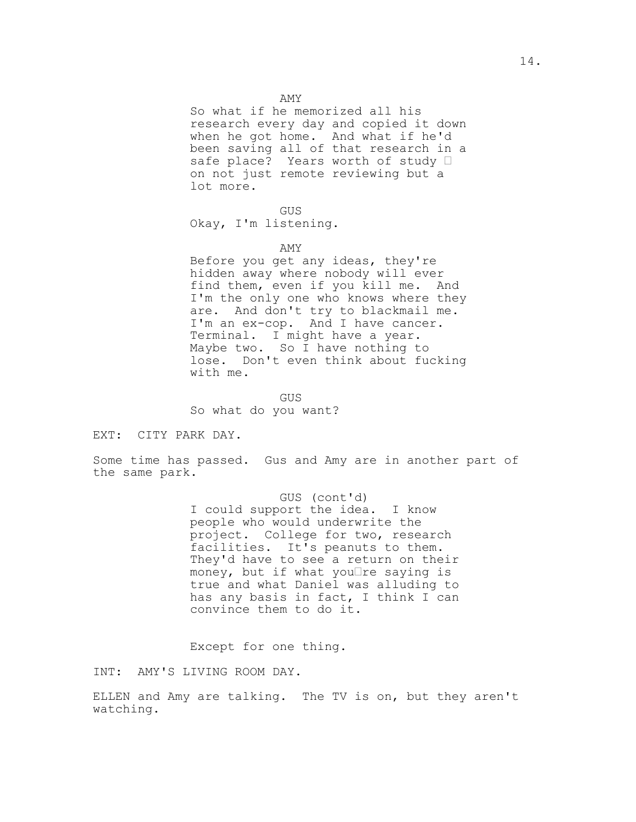So what if he memorized all his research every day and copied it down when he got home. And what if he'd been saving all of that research in a safe place? Years worth of study  $\Box$ on not just remote reviewing but a lot more.

#### GUS

Okay, I'm listening.

#### AMY

Before you get any ideas, they're hidden away where nobody will ever find them, even if you kill me. And I'm the only one who knows where they are. And don't try to blackmail me. I'm an ex-cop. And I have cancer. Terminal. I might have a year. Maybe two. So I have nothing to lose. Don't even think about fucking with me.

GUS So what do you want?

EXT: CITY PARK DAY.

Some time has passed. Gus and Amy are in another part of the same park.

> GUS (cont'd) I could support the idea. I know people who would underwrite the project. College for two, research facilities. It's peanuts to them. They'd have to see a return on their money, but if what you $\Box$ re saying is true and what Daniel was alluding to has any basis in fact, I think I can convince them to do it.

Except for one thing.

INT: AMY'S LIVING ROOM DAY.

ELLEN and Amy are talking. The TV is on, but they aren't watching.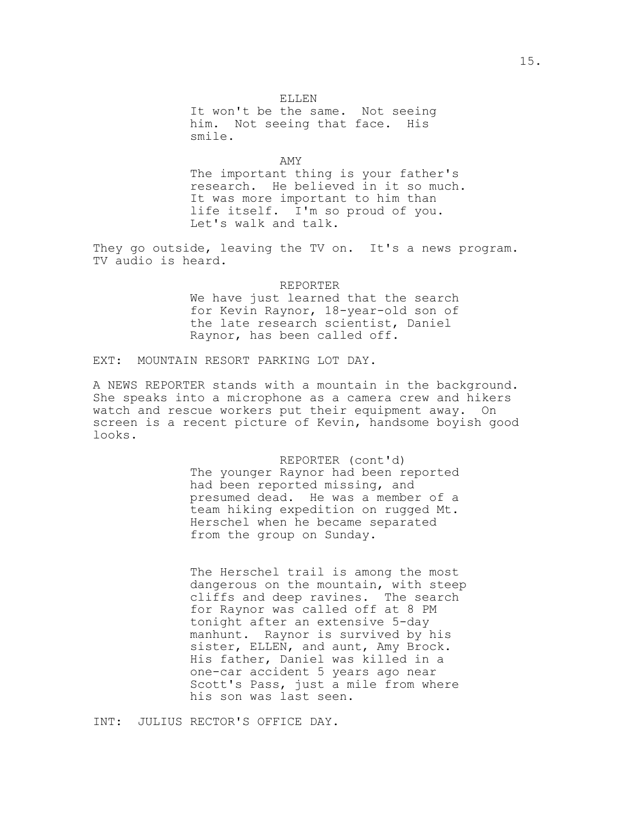It won't be the same. Not seeing him. Not seeing that face. His smile.

AMY The important thing is your father's research. He believed in it so much. It was more important to him than life itself. I'm so proud of you. Let's walk and talk.

They go outside, leaving the TV on. It's a news program. TV audio is heard.

# REPORTER

We have just learned that the search for Kevin Raynor, 18-year-old son of the late research scientist, Daniel Raynor, has been called off.

## EXT: MOUNTAIN RESORT PARKING LOT DAY.

A NEWS REPORTER stands with a mountain in the background. She speaks into a microphone as a camera crew and hikers watch and rescue workers put their equipment away. On screen is a recent picture of Kevin, handsome boyish good looks.

> REPORTER (cont'd) The younger Raynor had been reported had been reported missing, and presumed dead. He was a member of a team hiking expedition on rugged Mt. Herschel when he became separated from the group on Sunday.

The Herschel trail is among the most dangerous on the mountain, with steep cliffs and deep ravines. The search for Raynor was called off at 8 PM tonight after an extensive 5-day manhunt. Raynor is survived by his sister, ELLEN, and aunt, Amy Brock. His father, Daniel was killed in a one-car accident 5 years ago near Scott's Pass, just a mile from where his son was last seen.

INT: JULIUS RECTOR'S OFFICE DAY.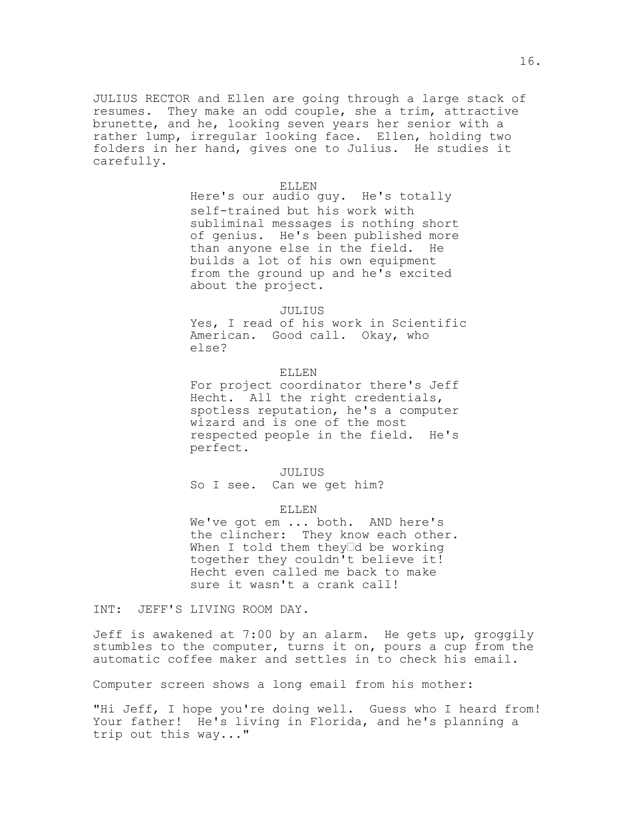JULIUS RECTOR and Ellen are going through a large stack of resumes. They make an odd couple, she a trim, attractive brunette, and he, looking seven years her senior with a rather lump, irregular looking face. Ellen, holding two folders in her hand, gives one to Julius. He studies it carefully.

#### ELLEN

Here's our audio guy. He's totally self-trained but his work with subliminal messages is nothing short of genius. He's been published more than anyone else in the field. He builds a lot of his own equipment from the ground up and he's excited about the project.

### JULIUS

Yes, I read of his work in Scientific American. Good call. Okay, who else?

## ELLEN

For project coordinator there's Jeff Hecht. All the right credentials, spotless reputation, he's a computer wizard and is one of the most respected people in the field. He's perfect.

### JULIUS

So I see. Can we get him?

#### ELLEN

We've got em ... both. AND here's the clincher: They know each other. When I told them they<sup>Id</sup> be working together they couldn't believe it! Hecht even called me back to make sure it wasn't a crank call!

INT: JEFF'S LIVING ROOM DAY.

Jeff is awakened at 7:00 by an alarm. He gets up, groggily stumbles to the computer, turns it on, pours a cup from the automatic coffee maker and settles in to check his email.

Computer screen shows a long email from his mother:

"Hi Jeff, I hope you're doing well. Guess who I heard from! Your father! He's living in Florida, and he's planning a trip out this way..."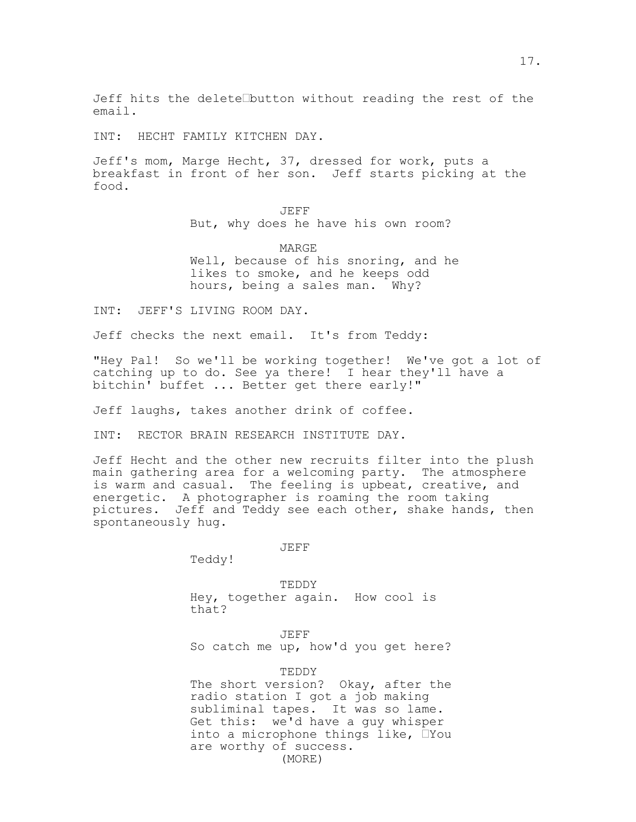INT: HECHT FAMILY KITCHEN DAY.

Jeff's mom, Marge Hecht, 37, dressed for work, puts a breakfast in front of her son. Jeff starts picking at the food.

> JEFF But, why does he have his own room?

MARGE Well, because of his snoring, and he likes to smoke, and he keeps odd hours, being a sales man. Why?

INT: JEFF'S LIVING ROOM DAY.

Jeff checks the next email. It's from Teddy:

"Hey Pal! So we'll be working together! We've got a lot of catching up to do. See ya there! I hear they'll have a bitchin' buffet ... Better get there early!"

Jeff laughs, takes another drink of coffee.

INT: RECTOR BRAIN RESEARCH INSTITUTE DAY.

Jeff Hecht and the other new recruits filter into the plush main gathering area for a welcoming party. The atmosphere is warm and casual. The feeling is upbeat, creative, and energetic. A photographer is roaming the room taking pictures. Jeff and Teddy see each other, shake hands, then spontaneously hug.

JEFF

Teddy!

TEDDY Hey, together again. How cool is that?

JEFF

So catch me up, how'd you get here?

TEDDY The short version? Okay, after the radio station I got a job making subliminal tapes. It was so lame. Get this: we'd have a guy whisper into a microphone things like,  $\square$  You are worthy of success. (MORE)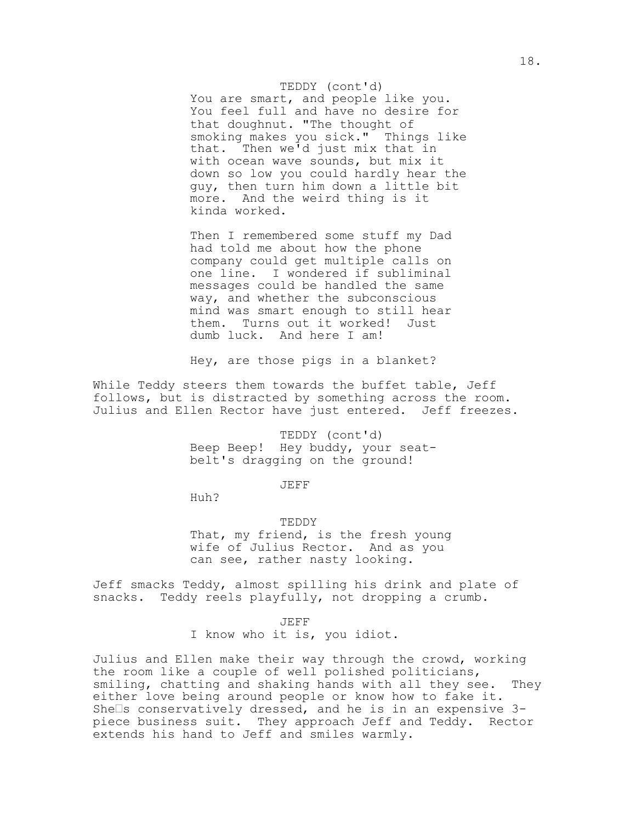#### TEDDY (cont'd)

You are smart, and people like you. You feel full and have no desire for that doughnut. "The thought of smoking makes you sick." Things like that. Then we'd just mix that in with ocean wave sounds, but mix it down so low you could hardly hear the guy, then turn him down a little bit more. And the weird thing is it kinda worked.

Then I remembered some stuff my Dad had told me about how the phone company could get multiple calls on one line. I wondered if subliminal messages could be handled the same way, and whether the subconscious mind was smart enough to still hear them. Turns out it worked! Just dumb luck. And here I am!

Hey, are those pigs in a blanket?

While Teddy steers them towards the buffet table, Jeff follows, but is distracted by something across the room. Julius and Ellen Rector have just entered. Jeff freezes.

> TEDDY (cont'd) Beep Beep! Hey buddy, your seatbelt's dragging on the ground!

> > JEFF

Huh?

TEDDY That, my friend, is the fresh young wife of Julius Rector. And as you can see, rather nasty looking.

Jeff smacks Teddy, almost spilling his drink and plate of snacks. Teddy reels playfully, not dropping a crumb.

JEFF

I know who it is, you idiot.

Julius and Ellen make their way through the crowd, working the room like a couple of well polished politicians, smiling, chatting and shaking hands with all they see. They either love being around people or know how to fake it. She $\Box$ s conservatively dressed, and he is in an expensive 3piece business suit. They approach Jeff and Teddy. Rector extends his hand to Jeff and smiles warmly.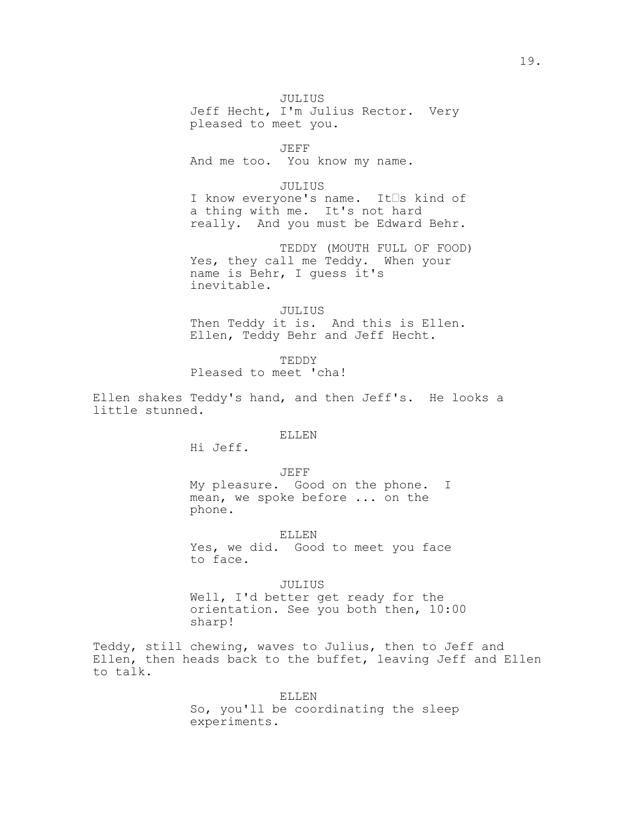JULIUS Jeff Hecht, I'm Julius Rector. Very pleased to meet you.

JEFF And me too. You know my name.

#### JULIUS

I know everyone's name. It<sup>S</sup>s kind of a thing with me. It's not hard really. And you must be Edward Behr.

TEDDY (MOUTH FULL OF FOOD) Yes, they call me Teddy. When your name is Behr, I guess it's inevitable.

JULIUS Then Teddy it is. And this is Ellen. Ellen, Teddy Behr and Jeff Hecht.

TEDDY Pleased to meet 'cha!

Ellen shakes Teddy's hand, and then Jeff's. He looks a little stunned.

### ELLEN

Hi Jeff.

JEFF My pleasure. Good on the phone. I mean, we spoke before ... on the phone.

ELLEN Yes, we did. Good to meet you face to face.

### JULIUS

Well, I'd better get ready for the orientation. See you both then, 10:00 sharp!

Teddy, still chewing, waves to Julius, then to Jeff and Ellen, then heads back to the buffet, leaving Jeff and Ellen to talk.

> ELLEN So, you'll be coordinating the sleep experiments.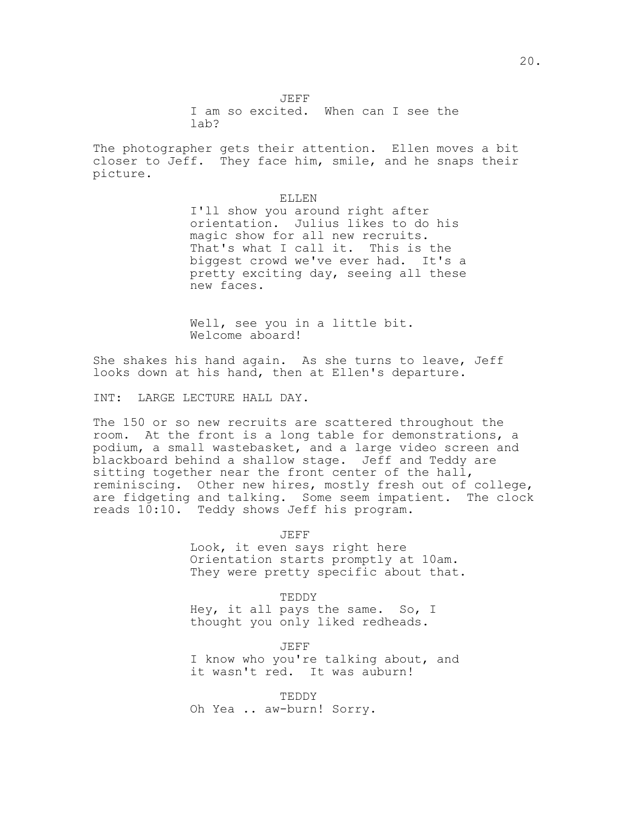The photographer gets their attention. Ellen moves a bit closer to Jeff. They face him, smile, and he snaps their picture.

> ELLEN I'll show you around right after orientation. Julius likes to do his magic show for all new recruits. That's what I call it. This is the biggest crowd we've ever had. It's a pretty exciting day, seeing all these new faces.

Well, see you in a little bit. Welcome aboard!

She shakes his hand again. As she turns to leave, Jeff looks down at his hand, then at Ellen's departure.

INT: LARGE LECTURE HALL DAY.

The 150 or so new recruits are scattered throughout the room. At the front is a long table for demonstrations, a podium, a small wastebasket, and a large video screen and blackboard behind a shallow stage. Jeff and Teddy are sitting together near the front center of the hall, reminiscing. Other new hires, mostly fresh out of college, are fidgeting and talking. Some seem impatient. The clock reads 10:10. Teddy shows Jeff his program.

> JEFF Look, it even says right here Orientation starts promptly at 10am. They were pretty specific about that.

TEDDY Hey, it all pays the same. So, I thought you only liked redheads.

JEFF I know who you're talking about, and it wasn't red. It was auburn!

TEDDY Oh Yea .. aw-burn! Sorry.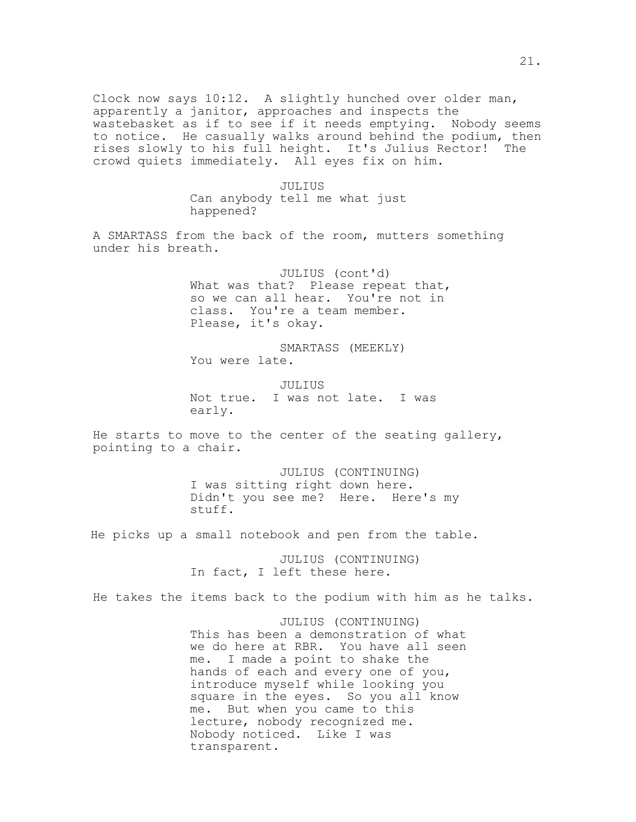Clock now says 10:12. A slightly hunched over older man, apparently a janitor, approaches and inspects the wastebasket as if to see if it needs emptying. Nobody seems to notice. He casually walks around behind the podium, then rises slowly to his full height. It's Julius Rector! The crowd quiets immediately. All eyes fix on him.

> JULIUS Can anybody tell me what just happened?

A SMARTASS from the back of the room, mutters something under his breath.

> JULIUS (cont'd) What was that? Please repeat that, so we can all hear. You're not in class. You're a team member. Please, it's okay.

SMARTASS (MEEKLY) You were late.

JULIUS Not true. I was not late. I was early.

He starts to move to the center of the seating gallery, pointing to a chair.

> JULIUS (CONTINUING) I was sitting right down here. Didn't you see me? Here. Here's my stuff.

He picks up a small notebook and pen from the table.

JULIUS (CONTINUING) In fact, I left these here.

He takes the items back to the podium with him as he talks.

JULIUS (CONTINUING) This has been a demonstration of what we do here at RBR. You have all seen me. I made a point to shake the hands of each and every one of you, introduce myself while looking you square in the eyes. So you all know me. But when you came to this lecture, nobody recognized me. Nobody noticed. Like I was transparent.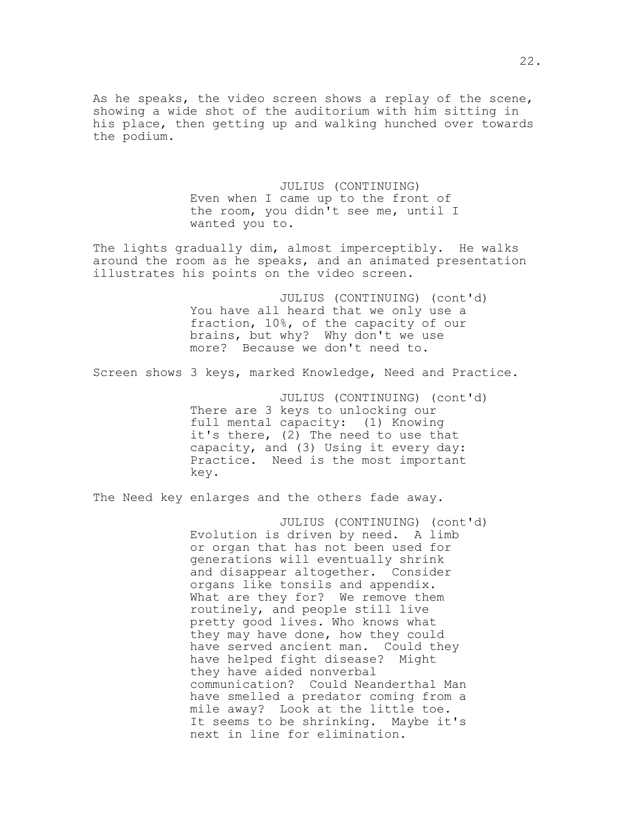As he speaks, the video screen shows a replay of the scene, showing a wide shot of the auditorium with him sitting in his place, then getting up and walking hunched over towards the podium.

> JULIUS (CONTINUING) Even when I came up to the front of the room, you didn't see me, until I wanted you to.

The lights gradually dim, almost imperceptibly. He walks around the room as he speaks, and an animated presentation illustrates his points on the video screen.

> JULIUS (CONTINUING) (cont'd) You have all heard that we only use a fraction, 10%, of the capacity of our brains, but why? Why don't we use more? Because we don't need to.

Screen shows 3 keys, marked Knowledge, Need and Practice.

JULIUS (CONTINUING) (cont'd) There are 3 keys to unlocking our full mental capacity: (1) Knowing it's there, (2) The need to use that capacity, and (3) Using it every day: Practice. Need is the most important key.

The Need key enlarges and the others fade away.

JULIUS (CONTINUING) (cont'd) Evolution is driven by need. A limb or organ that has not been used for generations will eventually shrink and disappear altogether. Consider organs like tonsils and appendix. What are they for? We remove them routinely, and people still live pretty good lives. Who knows what they may have done, how they could have served ancient man. Could they have helped fight disease? Might they have aided nonverbal communication? Could Neanderthal Man have smelled a predator coming from a mile away? Look at the little toe. It seems to be shrinking. Maybe it's next in line for elimination.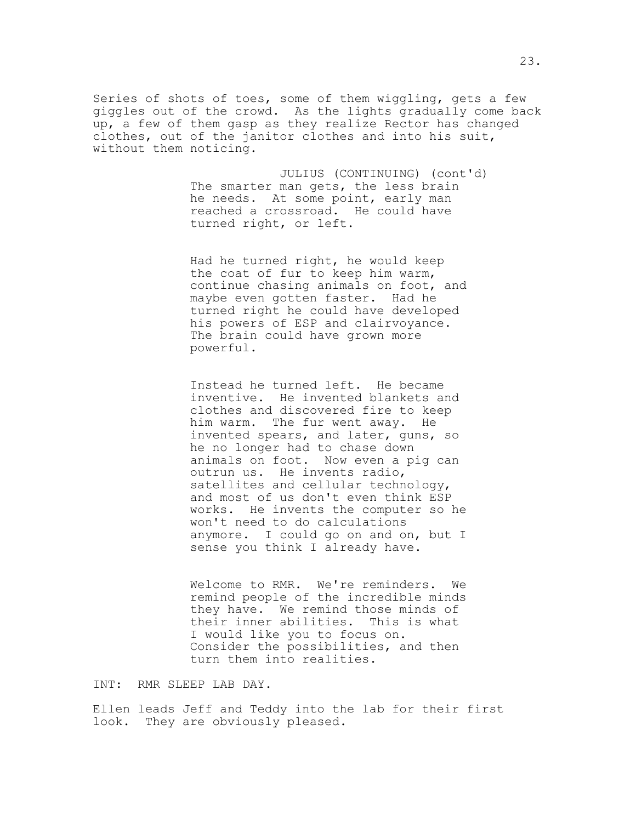Series of shots of toes, some of them wiggling, gets a few giggles out of the crowd. As the lights gradually come back up, a few of them gasp as they realize Rector has changed clothes, out of the janitor clothes and into his suit, without them noticing.

> JULIUS (CONTINUING) (cont'd) The smarter man gets, the less brain he needs. At some point, early man reached a crossroad. He could have turned right, or left.

Had he turned right, he would keep the coat of fur to keep him warm, continue chasing animals on foot, and maybe even gotten faster. Had he turned right he could have developed his powers of ESP and clairvoyance. The brain could have grown more powerful.

Instead he turned left. He became inventive. He invented blankets and clothes and discovered fire to keep him warm. The fur went away. He invented spears, and later, guns, so he no longer had to chase down animals on foot. Now even a pig can outrun us. He invents radio, satellites and cellular technology, and most of us don't even think ESP works. He invents the computer so he won't need to do calculations anymore. I could go on and on, but I sense you think I already have.

Welcome to RMR. We're reminders. We remind people of the incredible minds they have. We remind those minds of their inner abilities. This is what I would like you to focus on. Consider the possibilities, and then turn them into realities.

INT: RMR SLEEP LAB DAY.

Ellen leads Jeff and Teddy into the lab for their first look. They are obviously pleased.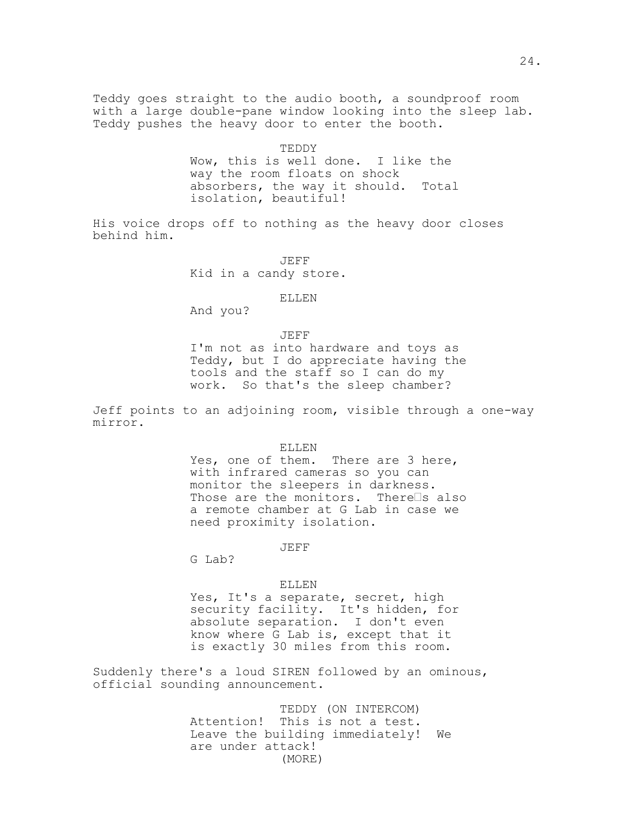Teddy goes straight to the audio booth, a soundproof room with a large double-pane window looking into the sleep lab. Teddy pushes the heavy door to enter the booth.

> TEDDY Wow, this is well done. I like the way the room floats on shock absorbers, the way it should. Total isolation, beautiful!

His voice drops off to nothing as the heavy door closes behind him.

> JEFF Kid in a candy store.

> > ELLEN

And you?

JEFF

I'm not as into hardware and toys as Teddy, but I do appreciate having the tools and the staff so I can do my work. So that's the sleep chamber?

Jeff points to an adjoining room, visible through a one-way mirror.

ELLEN

Yes, one of them. There are 3 here, with infrared cameras so you can monitor the sleepers in darkness. Those are the monitors. There $\square$ s also a remote chamber at G Lab in case we need proximity isolation.

JEFF

G Lab?

#### ELLEN

Yes, It's a separate, secret, high security facility. It's hidden, for absolute separation. I don't even know where G Lab is, except that it is exactly 30 miles from this room.

Suddenly there's a loud SIREN followed by an ominous, official sounding announcement.

> TEDDY (ON INTERCOM) Attention! This is not a test. Leave the building immediately! We are under attack! (MORE)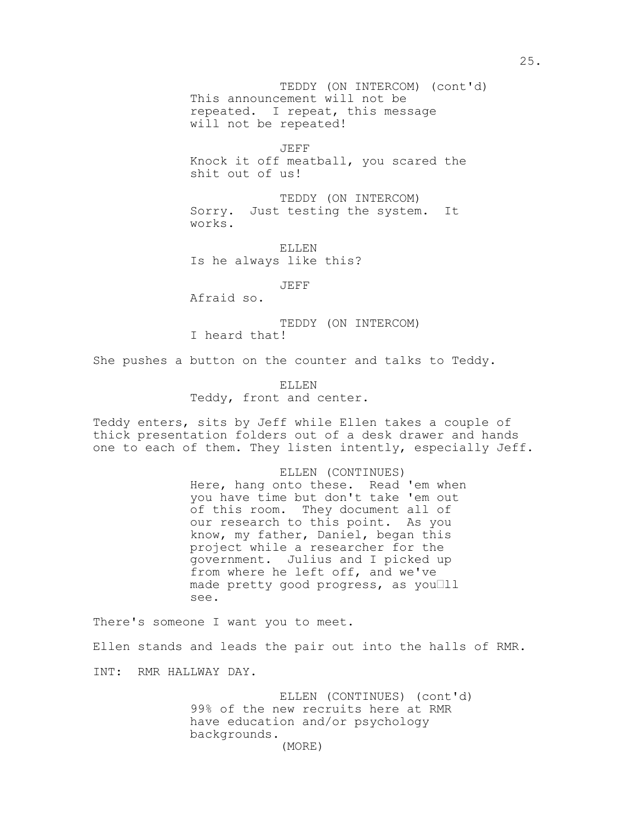This announcement will not be TEDDY (ON INTERCOM) (cont'd) repeated. I repeat, this message will not be repeated!

JEFF Knock it off meatball, you scared the shit out of us!

TEDDY (ON INTERCOM) Sorry. Just testing the system. It works.

ELLEN Is he always like this?

JEFF

Afraid so.

TEDDY (ON INTERCOM) I heard that!

She pushes a button on the counter and talks to Teddy.

ELLEN Teddy, front and center.

Teddy enters, sits by Jeff while Ellen takes a couple of thick presentation folders out of a desk drawer and hands one to each of them. They listen intently, especially Jeff.

> ELLEN (CONTINUES) Here, hang onto these. Read 'em when you have time but don't take 'em out of this room. They document all of our research to this point. As you know, my father, Daniel, began this project while a researcher for the government. Julius and I picked up from where he left off, and we've made pretty good progress, as youlll see.

There's someone I want you to meet. Ellen stands and leads the pair out into the halls of RMR. INT: RMR HALLWAY DAY.

> ELLEN (CONTINUES) (cont'd) 99% of the new recruits here at RMR have education and/or psychology backgrounds. (MORE)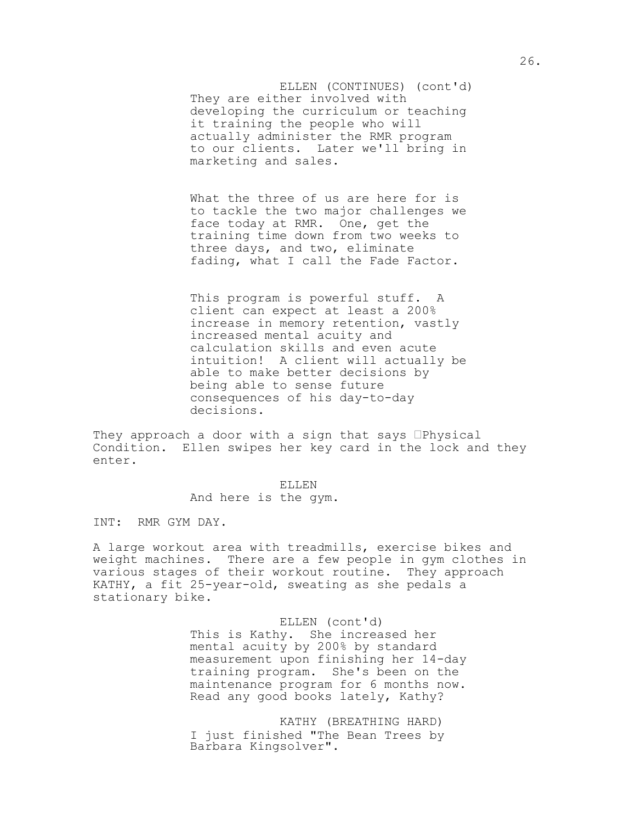They are either involved with ELLEN (CONTINUES) (cont'd) developing the curriculum or teaching it training the people who will actually administer the RMR program to our clients. Later we'll bring in marketing and sales.

What the three of us are here for is to tackle the two major challenges we face today at RMR. One, get the training time down from two weeks to three days, and two, eliminate fading, what I call the Fade Factor.

This program is powerful stuff. A client can expect at least a 200% increase in memory retention, vastly increased mental acuity and calculation skills and even acute intuition! A client will actually be able to make better decisions by being able to sense future consequences of his day-to-day decisions.

They approach a door with a sign that says  $\Box$ Physical Condition. Ellen swipes her key card in the lock and they enter.

> ELLEN And here is the gym.

INT: RMR GYM DAY.

A large workout area with treadmills, exercise bikes and weight machines. There are a few people in gym clothes in various stages of their workout routine. They approach KATHY, a fit 25-year-old, sweating as she pedals a stationary bike.

> ELLEN (cont'd) This is Kathy. She increased her mental acuity by 200% by standard measurement upon finishing her 14-day training program. She's been on the maintenance program for 6 months now. Read any good books lately, Kathy?

KATHY (BREATHING HARD) I just finished "The Bean Trees by Barbara Kingsolver".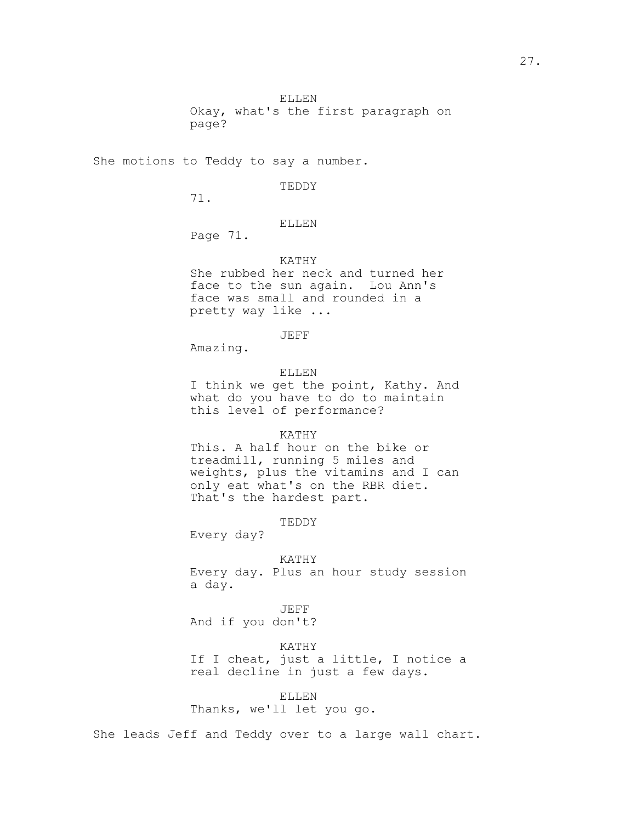Okay, what's the first paragraph on page?

She motions to Teddy to say a number.

TEDDY

71.

ELLEN

Page 71.

## KATHY

She rubbed her neck and turned her face to the sun again. Lou Ann's face was small and rounded in a pretty way like ...

JEFF

Amazing.

ELLEN

I think we get the point, Kathy. And what do you have to do to maintain this level of performance?

### KATHY

This. A half hour on the bike or treadmill, running 5 miles and weights, plus the vitamins and I can only eat what's on the RBR diet. That's the hardest part.

#### TEDDY

Every day?

KATHY Every day. Plus an hour study session a day.

JEFF And if you don't?

KATHY

If I cheat, just a little, I notice a real decline in just a few days.

## ELLEN

Thanks, we'll let you go.

She leads Jeff and Teddy over to a large wall chart.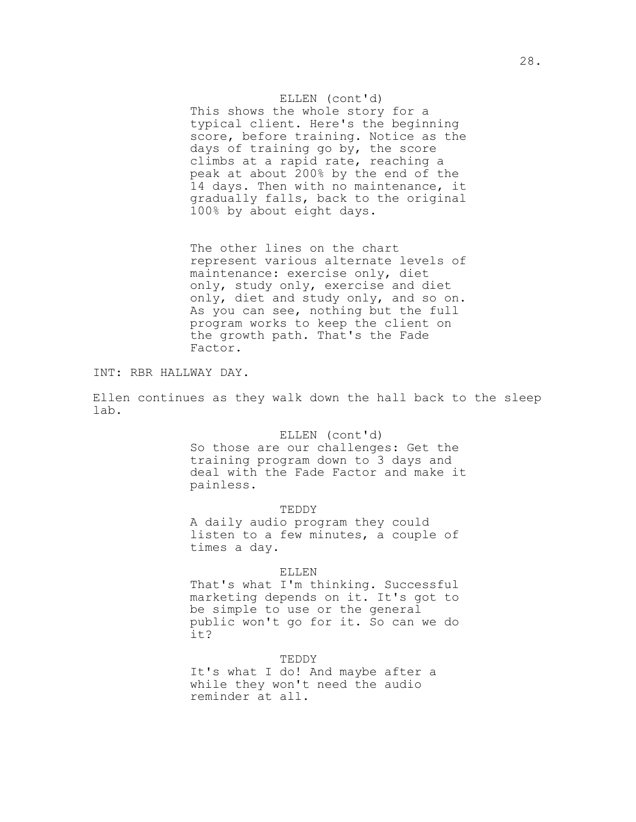ELLEN (cont'd) This shows the whole story for a typical client. Here's the beginning score, before training. Notice as the days of training go by, the score climbs at a rapid rate, reaching a peak at about 200% by the end of the 14 days. Then with no maintenance, it gradually falls, back to the original 100% by about eight days.

The other lines on the chart represent various alternate levels of maintenance: exercise only, diet only, study only, exercise and diet only, diet and study only, and so on. As you can see, nothing but the full program works to keep the client on the growth path. That's the Fade Factor.

INT: RBR HALLWAY DAY.

Ellen continues as they walk down the hall back to the sleep lab.

### ELLEN (cont'd)

So those are our challenges: Get the training program down to 3 days and deal with the Fade Factor and make it painless.

TEDDY

A daily audio program they could listen to a few minutes, a couple of times a day.

### ELLEN

That's what I'm thinking. Successful marketing depends on it. It's got to be simple to use or the general public won't go for it. So can we do it?

TEDDY It's what I do! And maybe after a while they won't need the audio reminder at all.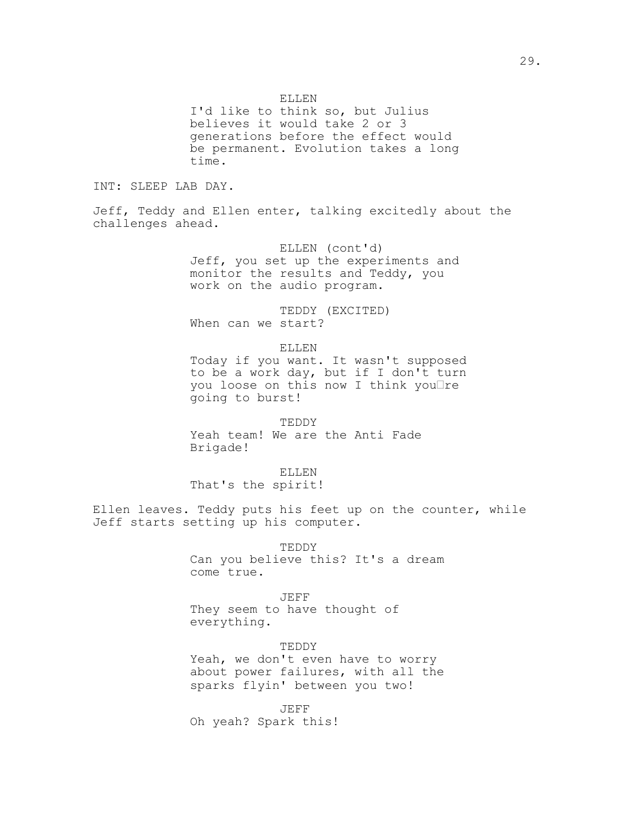ELLEN

I'd like to think so, but Julius believes it would take 2 or 3 generations before the effect would be permanent. Evolution takes a long time.

INT: SLEEP LAB DAY.

Jeff, Teddy and Ellen enter, talking excitedly about the challenges ahead.

> ELLEN (cont'd) Jeff, you set up the experiments and monitor the results and Teddy, you work on the audio program.

TEDDY (EXCITED) When can we start?

ELLEN

Today if you want. It wasn't supposed to be a work day, but if I don't turn you loose on this now I think you $\Box$ re going to burst!

TEDDY Yeah team! We are the Anti Fade Brigade!

ELLEN

That's the spirit!

Ellen leaves. Teddy puts his feet up on the counter, while Jeff starts setting up his computer.

> TEDDY Can you believe this? It's a dream come true.

> > JEFF

They seem to have thought of everything.

TEDDY Yeah, we don't even have to worry about power failures, with all the sparks flyin' between you two!

JEFF Oh yeah? Spark this!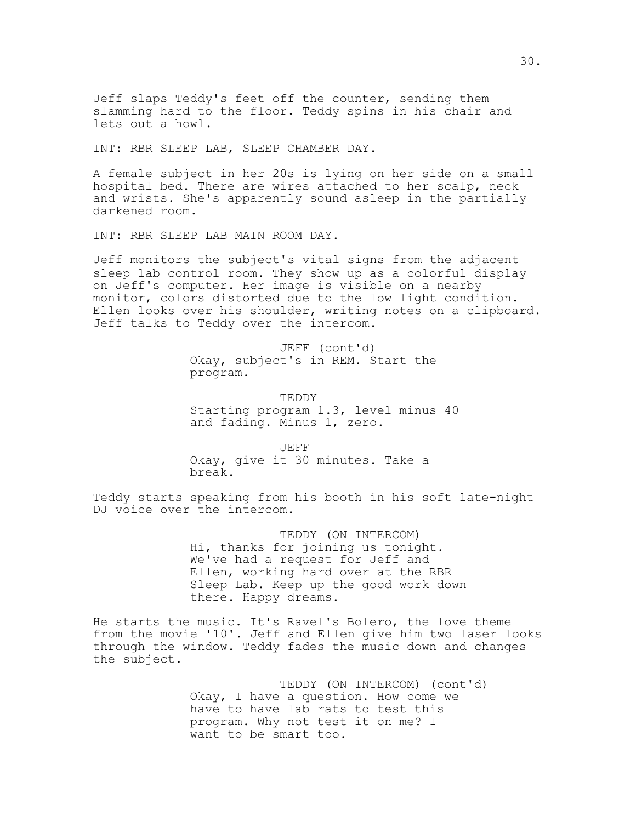Jeff slaps Teddy's feet off the counter, sending them slamming hard to the floor. Teddy spins in his chair and lets out a howl.

INT: RBR SLEEP LAB, SLEEP CHAMBER DAY.

A female subject in her 20s is lying on her side on a small hospital bed. There are wires attached to her scalp, neck and wrists. She's apparently sound asleep in the partially darkened room.

INT: RBR SLEEP LAB MAIN ROOM DAY.

Jeff monitors the subject's vital signs from the adjacent sleep lab control room. They show up as a colorful display on Jeff's computer. Her image is visible on a nearby monitor, colors distorted due to the low light condition. Ellen looks over his shoulder, writing notes on a clipboard. Jeff talks to Teddy over the intercom.

> JEFF (cont'd) Okay, subject's in REM. Start the program.

TEDDY Starting program 1.3, level minus 40 and fading. Minus 1, zero.

JEFF Okay, give it 30 minutes. Take a break.

Teddy starts speaking from his booth in his soft late-night DJ voice over the intercom.

> TEDDY (ON INTERCOM) Hi, thanks for joining us tonight. We've had a request for Jeff and Ellen, working hard over at the RBR Sleep Lab. Keep up the good work down there. Happy dreams.

He starts the music. It's Ravel's Bolero, the love theme from the movie '10'. Jeff and Ellen give him two laser looks through the window. Teddy fades the music down and changes the subject.

> TEDDY (ON INTERCOM) (cont'd) Okay, I have a question. How come we have to have lab rats to test this program. Why not test it on me? I want to be smart too.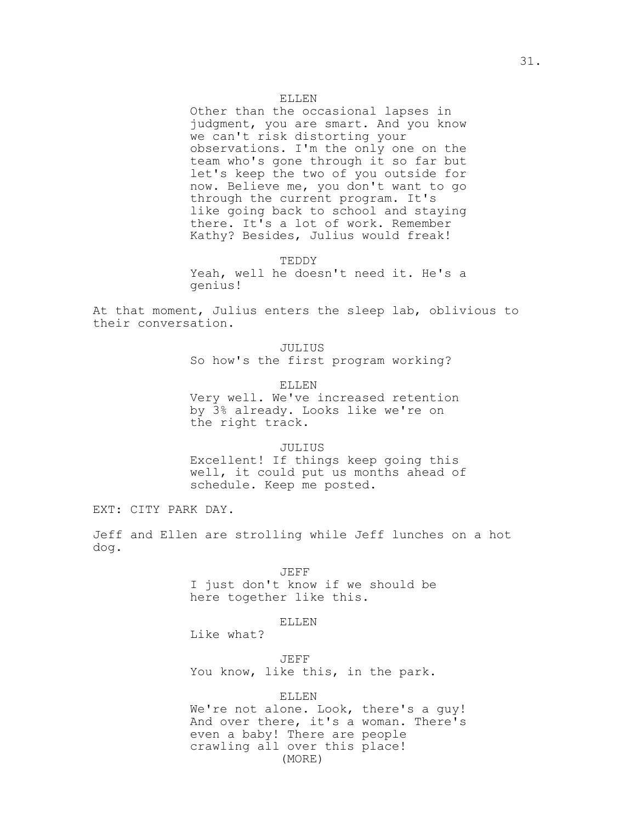ELLEN

Other than the occasional lapses in judgment, you are smart. And you know we can't risk distorting your observations. I'm the only one on the team who's gone through it so far but let's keep the two of you outside for now. Believe me, you don't want to go through the current program. It's like going back to school and staying there. It's a lot of work. Remember Kathy? Besides, Julius would freak!

TEDDY

Yeah, well he doesn't need it. He's a genius!

At that moment, Julius enters the sleep lab, oblivious to their conversation.

> JULIUS So how's the first program working?

ELLEN Very well. We've increased retention by 3% already. Looks like we're on the right track.

### JULIUS

Excellent! If things keep going this well, it could put us months ahead of schedule. Keep me posted.

EXT: CITY PARK DAY.

Jeff and Ellen are strolling while Jeff lunches on a hot dog.

JEFF

I just don't know if we should be here together like this.

## ELLEN

Like what?

JEFF You know, like this, in the park.

### ELLEN

We're not alone. Look, there's a guy! And over there, it's a woman. There's even a baby! There are people crawling all over this place! (MORE)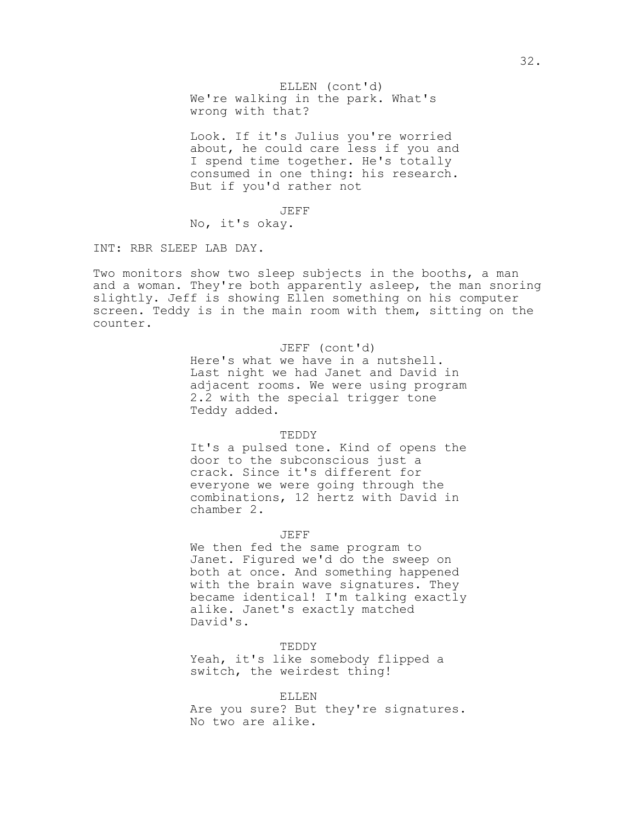We're walking in the park. What's ELLEN (cont'd) wrong with that?

Look. If it's Julius you're worried about, he could care less if you and I spend time together. He's totally consumed in one thing: his research. But if you'd rather not

JEFF No, it's okay.

INT: RBR SLEEP LAB DAY.

Two monitors show two sleep subjects in the booths, a man and a woman. They're both apparently asleep, the man snoring slightly. Jeff is showing Ellen something on his computer screen. Teddy is in the main room with them, sitting on the counter.

> JEFF (cont'd) Here's what we have in a nutshell. Last night we had Janet and David in adjacent rooms. We were using program 2.2 with the special trigger tone Teddy added.

#### TEDDY

It's a pulsed tone. Kind of opens the door to the subconscious just a crack. Since it's different for everyone we were going through the combinations, 12 hertz with David in chamber 2.

JEFF

We then fed the same program to Janet. Figured we'd do the sweep on both at once. And something happened with the brain wave signatures. They became identical! I'm talking exactly alike. Janet's exactly matched David's.

TEDDY Yeah, it's like somebody flipped a switch, the weirdest thing!

ELLEN

Are you sure? But they're signatures. No two are alike.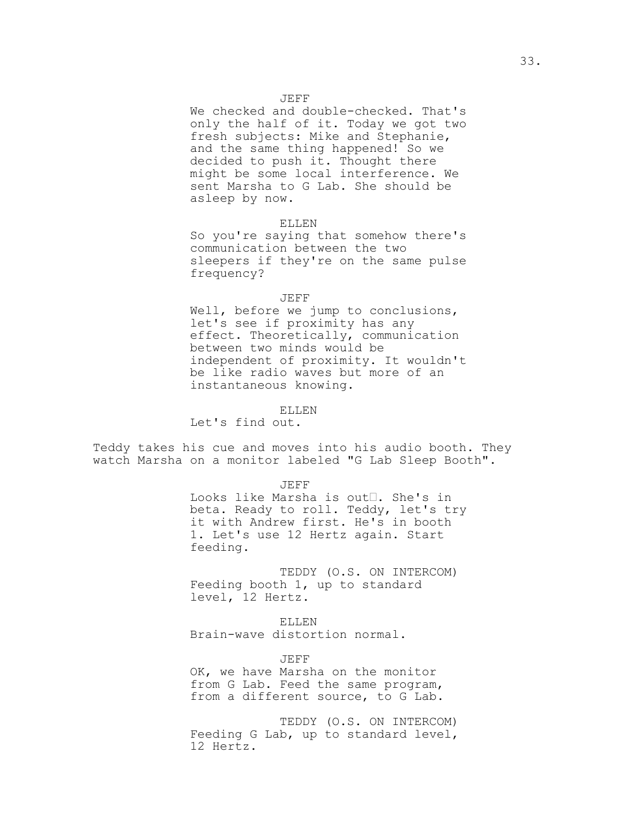JEFF

We checked and double-checked. That's only the half of it. Today we got two fresh subjects: Mike and Stephanie, and the same thing happened! So we decided to push it. Thought there might be some local interference. We sent Marsha to G Lab. She should be asleep by now.

#### ELLEN

So you're saying that somehow there's communication between the two sleepers if they're on the same pulse frequency?

#### JEFF

Well, before we jump to conclusions, let's see if proximity has any effect. Theoretically, communication between two minds would be independent of proximity. It wouldn't be like radio waves but more of an instantaneous knowing.

#### ELLEN

Let's find out.

Teddy takes his cue and moves into his audio booth. They watch Marsha on a monitor labeled "G Lab Sleep Booth".

JEFF

Looks like Marsha is out<sup>[1</sup>. She's in beta. Ready to roll. Teddy, let's try it with Andrew first. He's in booth 1. Let's use 12 Hertz again. Start feeding.

TEDDY (O.S. ON INTERCOM) Feeding booth 1, up to standard level, 12 Hertz.

### ELLEN

Brain-wave distortion normal.

JEFF

OK, we have Marsha on the monitor from G Lab. Feed the same program, from a different source, to G Lab.

TEDDY (O.S. ON INTERCOM) Feeding G Lab, up to standard level, 12 Hertz.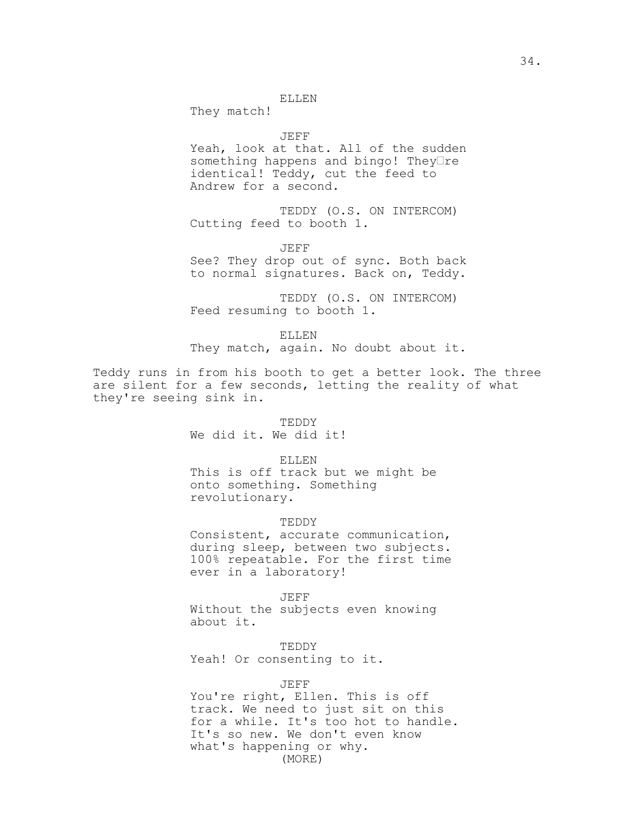They match!

### JEFF

Yeah, look at that. All of the sudden something happens and bingo! They $\Box$ re identical! Teddy, cut the feed to Andrew for a second.

TEDDY (O.S. ON INTERCOM) Cutting feed to booth 1.

JEFF

See? They drop out of sync. Both back to normal signatures. Back on, Teddy.

TEDDY (O.S. ON INTERCOM) Feed resuming to booth 1.

ELLEN

They match, again. No doubt about it.

Teddy runs in from his booth to get a better look. The three are silent for a few seconds, letting the reality of what they're seeing sink in.

### TEDDY

We did it. We did it!

ELLEN

This is off track but we might be onto something. Something revolutionary.

#### TEDDY

Consistent, accurate communication, during sleep, between two subjects. 100% repeatable. For the first time ever in a laboratory!

JEFF

Without the subjects even knowing about it.

TEDDY Yeah! Or consenting to it.

### JEFF

You're right, Ellen. This is off track. We need to just sit on this for a while. It's too hot to handle. It's so new. We don't even know what's happening or why. (MORE)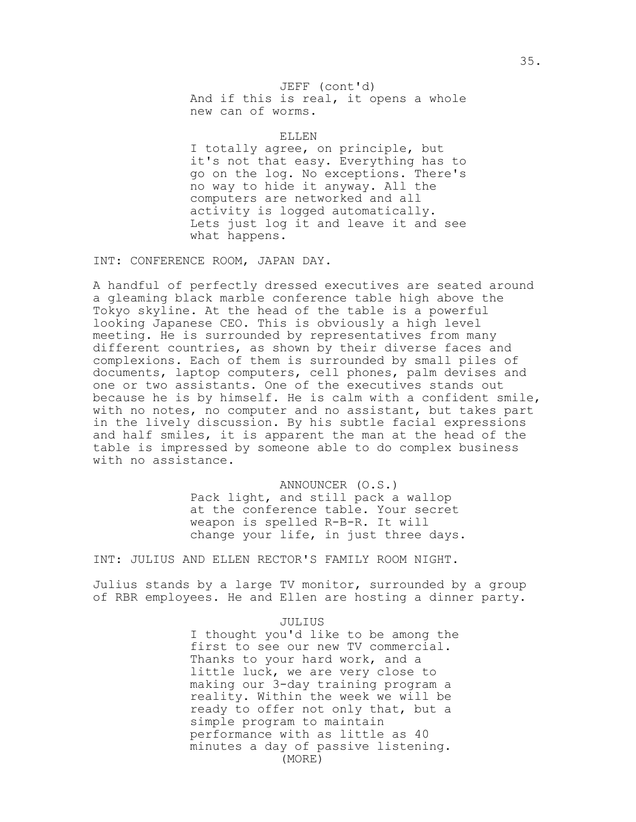And if this is real, it opens a whole JEFF (cont'd) new can of worms.

ELLEN

I totally agree, on principle, but it's not that easy. Everything has to go on the log. No exceptions. There's no way to hide it anyway. All the computers are networked and all activity is logged automatically. Lets just log it and leave it and see what happens.

INT: CONFERENCE ROOM, JAPAN DAY.

A handful of perfectly dressed executives are seated around a gleaming black marble conference table high above the Tokyo skyline. At the head of the table is a powerful looking Japanese CEO. This is obviously a high level meeting. He is surrounded by representatives from many different countries, as shown by their diverse faces and complexions. Each of them is surrounded by small piles of documents, laptop computers, cell phones, palm devises and one or two assistants. One of the executives stands out because he is by himself. He is calm with a confident smile, with no notes, no computer and no assistant, but takes part in the lively discussion. By his subtle facial expressions and half smiles, it is apparent the man at the head of the table is impressed by someone able to do complex business with no assistance.

> ANNOUNCER (O.S.) Pack light, and still pack a wallop at the conference table. Your secret weapon is spelled R-B-R. It will change your life, in just three days.

INT: JULIUS AND ELLEN RECTOR'S FAMILY ROOM NIGHT.

Julius stands by a large TV monitor, surrounded by a group of RBR employees. He and Ellen are hosting a dinner party.

JULIUS

I thought you'd like to be among the first to see our new TV commercial. Thanks to your hard work, and a little luck, we are very close to making our 3-day training program a reality. Within the week we will be ready to offer not only that, but a simple program to maintain performance with as little as 40 minutes a day of passive listening. (MORE)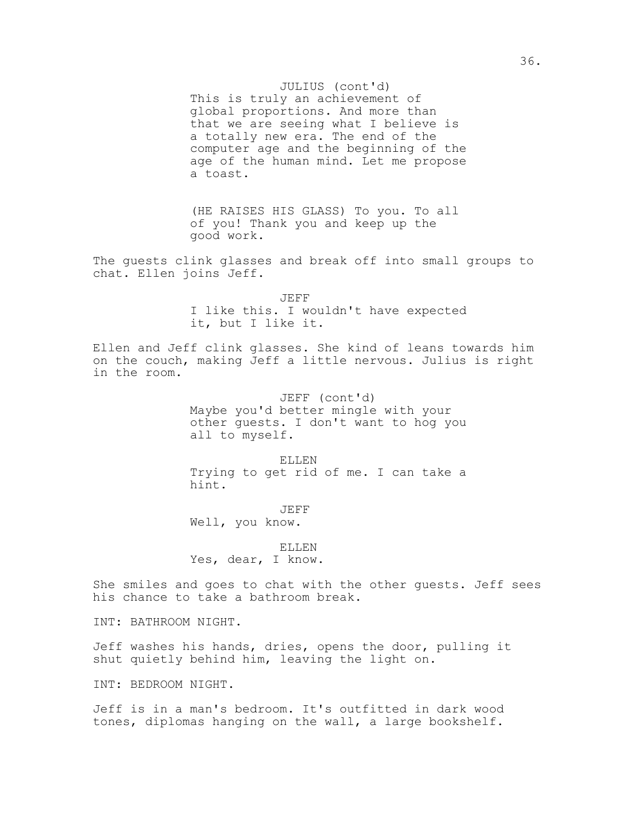### JULIUS (cont'd)

This is truly an achievement of global proportions. And more than that we are seeing what I believe is a totally new era. The end of the computer age and the beginning of the age of the human mind. Let me propose a toast.

(HE RAISES HIS GLASS) To you. To all of you! Thank you and keep up the good work.

The guests clink glasses and break off into small groups to chat. Ellen joins Jeff.

| JEFF. |  |  |  |  |                                       |  |  |
|-------|--|--|--|--|---------------------------------------|--|--|
|       |  |  |  |  | I like this. I wouldn't have expected |  |  |
|       |  |  |  |  | it, but I like it.                    |  |  |

Ellen and Jeff clink glasses. She kind of leans towards him on the couch, making Jeff a little nervous. Julius is right in the room.

> JEFF (cont'd) Maybe you'd better mingle with your other guests. I don't want to hog you all to myself.

> ELLEN Trying to get rid of me. I can take a hint.

JEFF Well, you know.

ELLEN Yes, dear, I know.

She smiles and goes to chat with the other guests. Jeff sees his chance to take a bathroom break.

INT: BATHROOM NIGHT.

Jeff washes his hands, dries, opens the door, pulling it shut quietly behind him, leaving the light on.

INT: BEDROOM NIGHT.

Jeff is in a man's bedroom. It's outfitted in dark wood tones, diplomas hanging on the wall, a large bookshelf.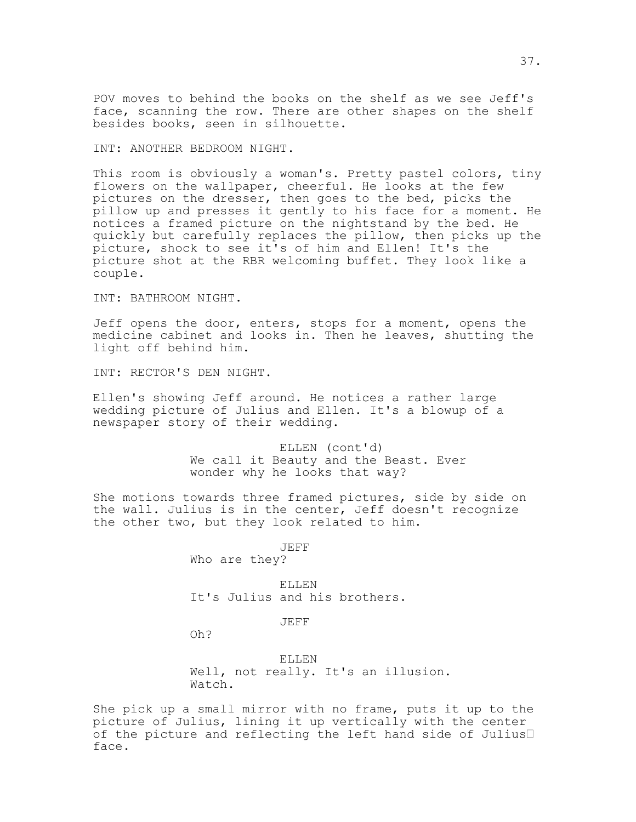POV moves to behind the books on the shelf as we see Jeff's face, scanning the row. There are other shapes on the shelf besides books, seen in silhouette.

INT: ANOTHER BEDROOM NIGHT.

This room is obviously a woman's. Pretty pastel colors, tiny flowers on the wallpaper, cheerful. He looks at the few pictures on the dresser, then goes to the bed, picks the pillow up and presses it gently to his face for a moment. He notices a framed picture on the nightstand by the bed. He quickly but carefully replaces the pillow, then picks up the picture, shock to see it's of him and Ellen! It's the picture shot at the RBR welcoming buffet. They look like a couple.

INT: BATHROOM NIGHT.

Jeff opens the door, enters, stops for a moment, opens the medicine cabinet and looks in. Then he leaves, shutting the light off behind him.

INT: RECTOR'S DEN NIGHT.

Ellen's showing Jeff around. He notices a rather large wedding picture of Julius and Ellen. It's a blowup of a newspaper story of their wedding.

> ELLEN (cont'd) We call it Beauty and the Beast. Ever wonder why he looks that way?

She motions towards three framed pictures, side by side on the wall. Julius is in the center, Jeff doesn't recognize the other two, but they look related to him.

JEFF

Who are they?

ELLEN It's Julius and his brothers.

JEFF

Oh?

ELLEN Well, not really. It's an illusion. Watch.

She pick up a small mirror with no frame, puts it up to the picture of Julius, lining it up vertically with the center of the picture and reflecting the left hand side of Julius face.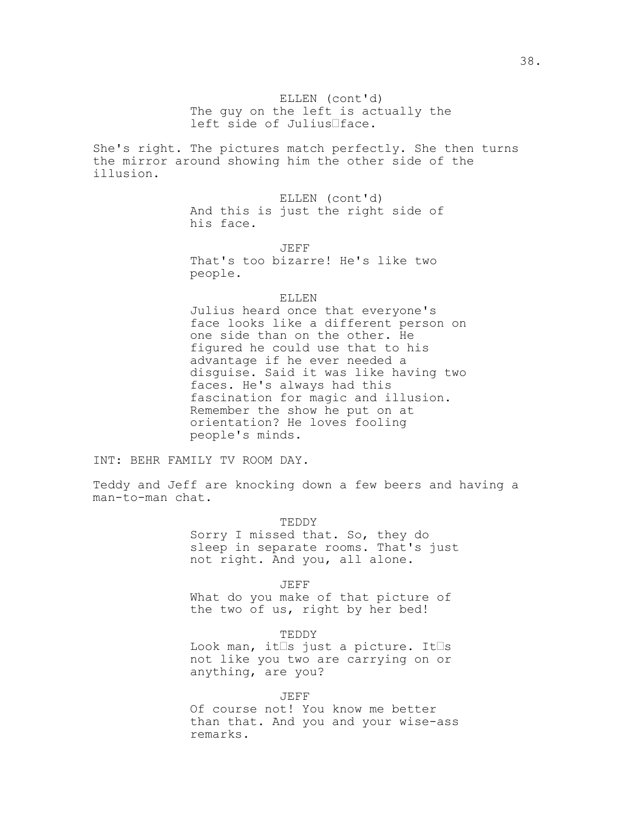She's right. The pictures match perfectly. She then turns the mirror around showing him the other side of the illusion.

> ELLEN (cont'd) And this is just the right side of his face.

JEFF That's too bizarre! He's like two people.

#### ELLEN

Julius heard once that everyone's face looks like a different person on one side than on the other. He figured he could use that to his advantage if he ever needed a disguise. Said it was like having two faces. He's always had this fascination for magic and illusion. Remember the show he put on at orientation? He loves fooling people's minds.

INT: BEHR FAMILY TV ROOM DAY.

Teddy and Jeff are knocking down a few beers and having a man-to-man chat.

#### TEDDY

Sorry I missed that. So, they do sleep in separate rooms. That's just not right. And you, all alone.

JEFF What do you make of that picture of the two of us, right by her bed!

TEDDY Look man, it $\square$ s just a picture. It $\square$ s not like you two are carrying on or anything, are you?

JEFF Of course not! You know me better than that. And you and your wise-ass remarks.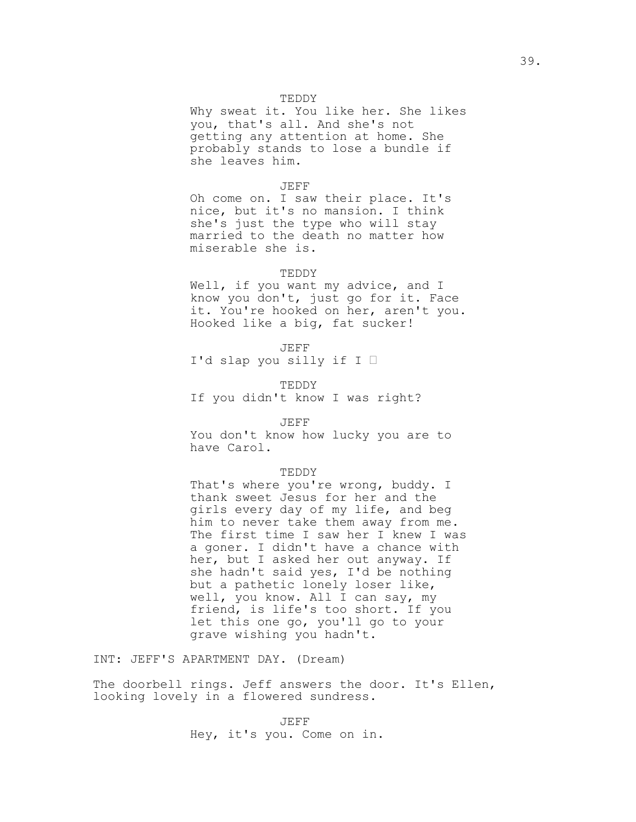### TEDDY

Why sweat it. You like her. She likes you, that's all. And she's not getting any attention at home. She probably stands to lose a bundle if she leaves him.

#### JEFF

Oh come on. I saw their place. It's nice, but it's no mansion. I think she's just the type who will stay married to the death no matter how miserable she is.

### TEDDY

Well, if you want my advice, and I know you don't, just go for it. Face it. You're hooked on her, aren't you. Hooked like a big, fat sucker!

JEFF

I'd slap you silly if I

TEDDY

If you didn't know I was right?

## JEFF

You don't know how lucky you are to have Carol.

#### TEDDY

That's where you're wrong, buddy. I thank sweet Jesus for her and the girls every day of my life, and beg him to never take them away from me. The first time I saw her I knew I was a goner. I didn't have a chance with her, but I asked her out anyway. If she hadn't said yes, I'd be nothing but a pathetic lonely loser like, well, you know. All I can say, my friend, is life's too short. If you let this one go, you'll go to your grave wishing you hadn't.

INT: JEFF'S APARTMENT DAY. (Dream)

The doorbell rings. Jeff answers the door. It's Ellen, looking lovely in a flowered sundress.

> JEFF Hey, it's you. Come on in.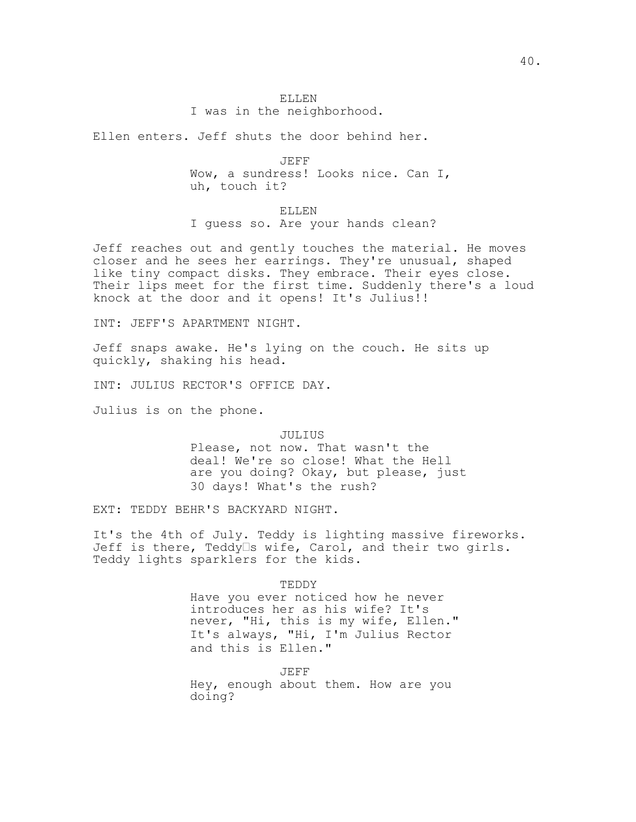# ELLEN

I was in the neighborhood.

Ellen enters. Jeff shuts the door behind her.

JEFF Wow, a sundress! Looks nice. Can I, uh, touch it?

ELLEN I guess so. Are your hands clean?

Jeff reaches out and gently touches the material. He moves closer and he sees her earrings. They're unusual, shaped like tiny compact disks. They embrace. Their eyes close. Their lips meet for the first time. Suddenly there's a loud knock at the door and it opens! It's Julius!!

INT: JEFF'S APARTMENT NIGHT.

Jeff snaps awake. He's lying on the couch. He sits up quickly, shaking his head.

INT: JULIUS RECTOR'S OFFICE DAY.

Julius is on the phone.

## JULIUS

Please, not now. That wasn't the deal! We're so close! What the Hell are you doing? Okay, but please, just 30 days! What's the rush?

EXT: TEDDY BEHR'S BACKYARD NIGHT.

It's the 4th of July. Teddy is lighting massive fireworks. Jeff is there, Teddy $\square$ s wife, Carol, and their two girls. Teddy lights sparklers for the kids.

TEDDY

Have you ever noticed how he never introduces her as his wife? It's never, "Hi, this is my wife, Ellen." It's always, "Hi, I'm Julius Rector and this is Ellen."

JEFF

Hey, enough about them. How are you doing?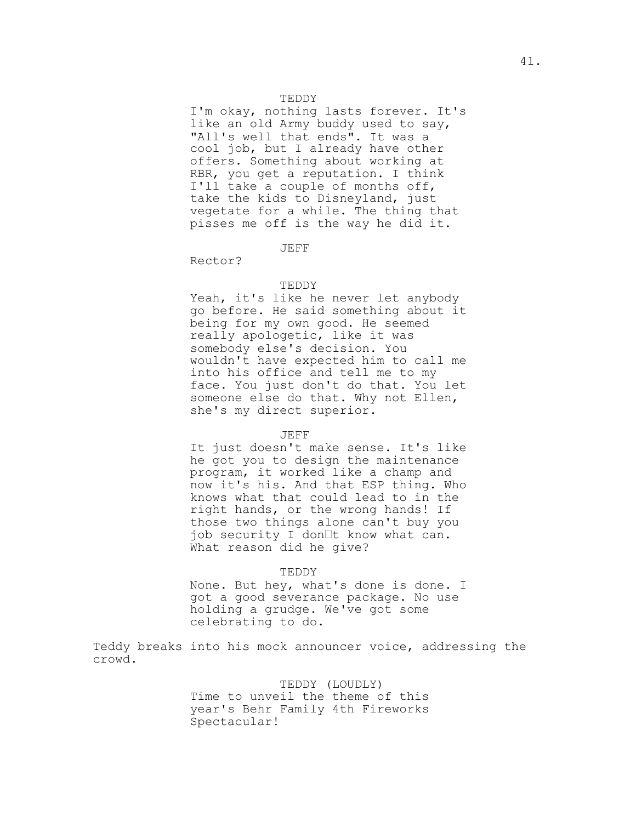## TEDDY

I'm okay, nothing lasts forever. It's like an old Army buddy used to say, "All's well that ends". It was a cool job, but I already have other offers. Something about working at RBR, you get a reputation. I think I'll take a couple of months off, take the kids to Disneyland, just vegetate for a while. The thing that pisses me off is the way he did it.

#### JEFF

Rector?

## TEDDY

Yeah, it's like he never let anybody go before. He said something about it being for my own good. He seemed really apologetic, like it was somebody else's decision. You wouldn't have expected him to call me into his office and tell me to my face. You just don't do that. You let someone else do that. Why not Ellen, she's my direct superior.

#### JEFF

It just doesn't make sense. It's like he got you to design the maintenance program, it worked like a champ and now it's his. And that ESP thing. Who knows what that could lead to in the right hands, or the wrong hands! If those two things alone can't buy you job security I don $\mathbb{I}$ t know what can. What reason did he give?

#### TEDDY

None. But hey, what's done is done. I got a good severance package. No use holding a grudge. We've got some celebrating to do.

Teddy breaks into his mock announcer voice, addressing the crowd.

## TEDDY (LOUDLY)

Time to unveil the theme of this year's Behr Family 4th Fireworks Spectacular!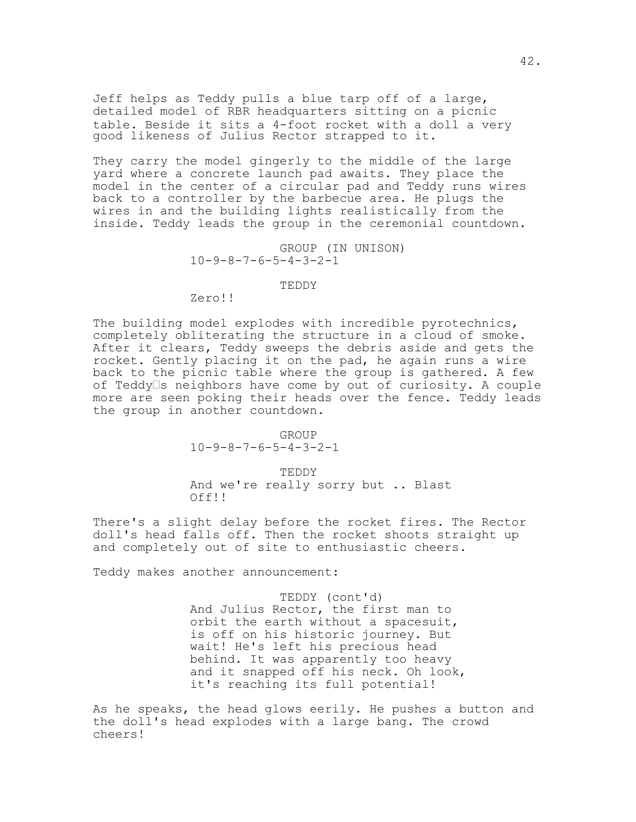Jeff helps as Teddy pulls a blue tarp off of a large, detailed model of RBR headquarters sitting on a picnic table. Beside it sits a 4-foot rocket with a doll a very good likeness of Julius Rector strapped to it.

They carry the model gingerly to the middle of the large yard where a concrete launch pad awaits. They place the model in the center of a circular pad and Teddy runs wires back to a controller by the barbecue area. He plugs the wires in and the building lights realistically from the inside. Teddy leads the group in the ceremonial countdown.

> GROUP (IN UNISON) 10-9-8-7-6-5-4-3-2-1

## TEDDY

Zero!!

The building model explodes with incredible pyrotechnics, completely obliterating the structure in a cloud of smoke. After it clears, Teddy sweeps the debris aside and gets the rocket. Gently placing it on the pad, he again runs a wire back to the picnic table where the group is gathered. A few of Teddy $\square$ s neighbors have come by out of curiosity. A couple more are seen poking their heads over the fence. Teddy leads the group in another countdown.

> GROUP 10-9-8-7-6-5-4-3-2-1

TEDDY And we're really sorry but .. Blast Off!!

There's a slight delay before the rocket fires. The Rector doll's head falls off. Then the rocket shoots straight up and completely out of site to enthusiastic cheers.

Teddy makes another announcement:

TEDDY (cont'd) And Julius Rector, the first man to orbit the earth without a spacesuit, is off on his historic journey. But wait! He's left his precious head behind. It was apparently too heavy and it snapped off his neck. Oh look, it's reaching its full potential!

As he speaks, the head glows eerily. He pushes a button and the doll's head explodes with a large bang. The crowd cheers!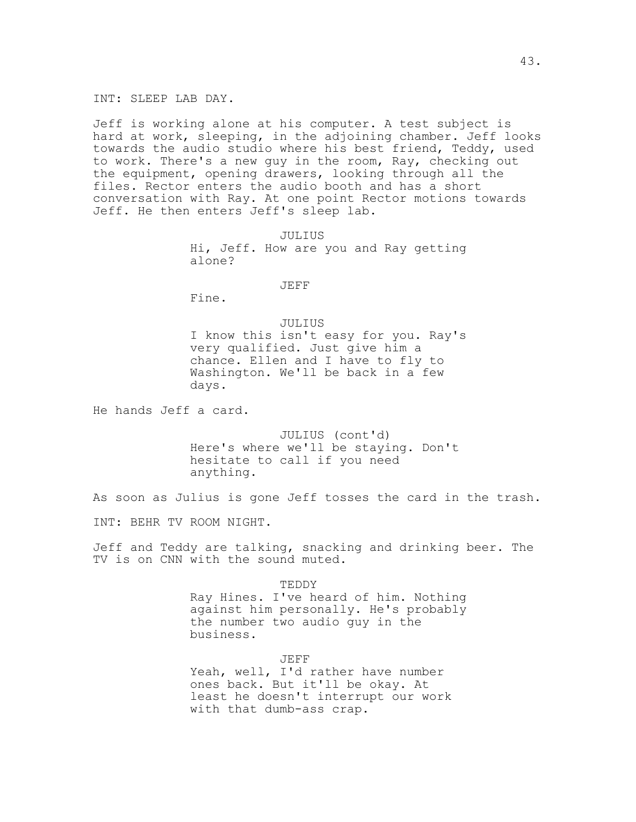INT: SLEEP LAB DAY.

Jeff is working alone at his computer. A test subject is hard at work, sleeping, in the adjoining chamber. Jeff looks towards the audio studio where his best friend, Teddy, used to work. There's a new guy in the room, Ray, checking out the equipment, opening drawers, looking through all the files. Rector enters the audio booth and has a short conversation with Ray. At one point Rector motions towards Jeff. He then enters Jeff's sleep lab.

> JULIUS Hi, Jeff. How are you and Ray getting alone?

## JEFF

Fine.

JULIUS I know this isn't easy for you. Ray's very qualified. Just give him a chance. Ellen and I have to fly to Washington. We'll be back in a few days.

He hands Jeff a card.

JULIUS (cont'd) Here's where we'll be staying. Don't hesitate to call if you need anything.

As soon as Julius is gone Jeff tosses the card in the trash.

INT: BEHR TV ROOM NIGHT.

Jeff and Teddy are talking, snacking and drinking beer. The TV is on CNN with the sound muted.

> TEDDY Ray Hines. I've heard of him. Nothing against him personally. He's probably the number two audio guy in the business.

> > JEFF

Yeah, well, I'd rather have number ones back. But it'll be okay. At least he doesn't interrupt our work with that dumb-ass crap.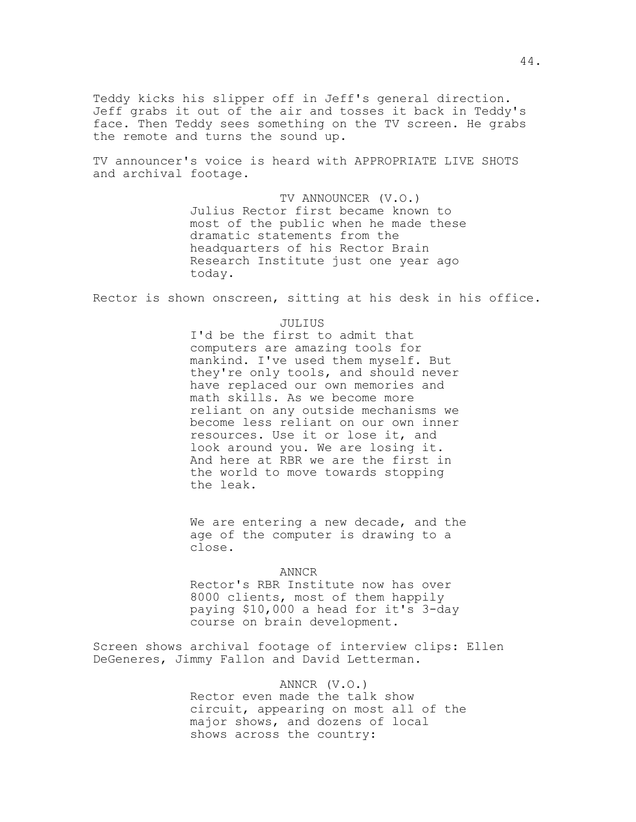Teddy kicks his slipper off in Jeff's general direction. Jeff grabs it out of the air and tosses it back in Teddy's face. Then Teddy sees something on the TV screen. He grabs the remote and turns the sound up.

TV announcer's voice is heard with APPROPRIATE LIVE SHOTS and archival footage.

> TV ANNOUNCER (V.O.) Julius Rector first became known to most of the public when he made these dramatic statements from the headquarters of his Rector Brain Research Institute just one year ago today.

Rector is shown onscreen, sitting at his desk in his office.

JULIUS

I'd be the first to admit that computers are amazing tools for mankind. I've used them myself. But they're only tools, and should never have replaced our own memories and math skills. As we become more reliant on any outside mechanisms we become less reliant on our own inner resources. Use it or lose it, and look around you. We are losing it. And here at RBR we are the first in the world to move towards stopping the leak.

We are entering a new decade, and the age of the computer is drawing to a close.

ANNCR

Rector's RBR Institute now has over 8000 clients, most of them happily paying \$10,000 a head for it's 3-day course on brain development.

Screen shows archival footage of interview clips: Ellen DeGeneres, Jimmy Fallon and David Letterman.

## ANNCR (V.O.)

Rector even made the talk show circuit, appearing on most all of the major shows, and dozens of local shows across the country: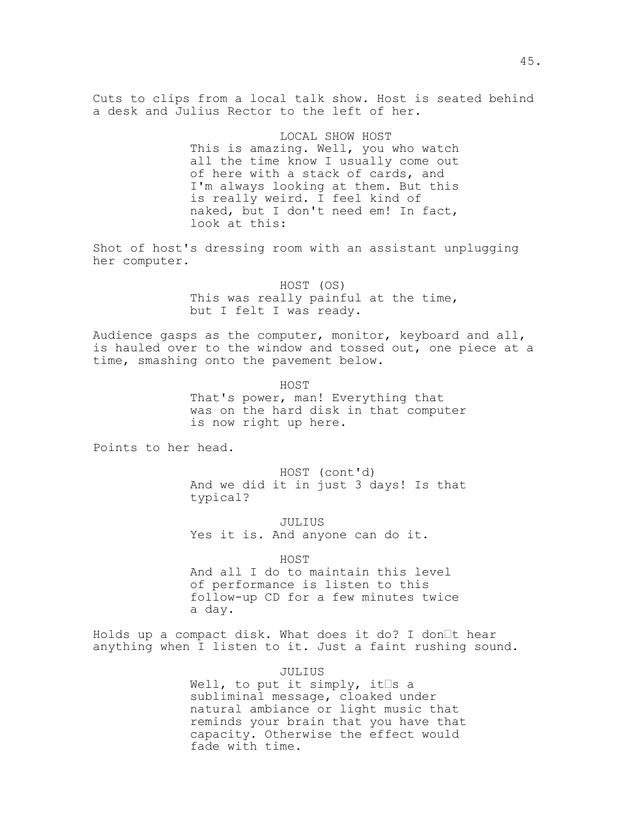Cuts to clips from a local talk show. Host is seated behind a desk and Julius Rector to the left of her.

## LOCAL SHOW HOST

This is amazing. Well, you who watch all the time know I usually come out of here with a stack of cards, and I'm always looking at them. But this is really weird. I feel kind of naked, but I don't need em! In fact, look at this:

Shot of host's dressing room with an assistant unplugging her computer.

## HOST (OS)

This was really painful at the time, but I felt I was ready.

Audience gasps as the computer, monitor, keyboard and all, is hauled over to the window and tossed out, one piece at a time, smashing onto the pavement below.

> HOST That's power, man! Everything that was on the hard disk in that computer is now right up here.

Points to her head.

HOST (cont'd) And we did it in just 3 days! Is that typical?

JULIUS Yes it is. And anyone can do it.

HOST

And all I do to maintain this level of performance is listen to this follow-up CD for a few minutes twice a day.

Holds up a compact disk. What does it do? I don $\Box$ t hear anything when I listen to it. Just a faint rushing sound.

> JULIUS Well, to put it simply, it  $\Box$ s a subliminal message, cloaked under natural ambiance or light music that reminds your brain that you have that capacity. Otherwise the effect would fade with time.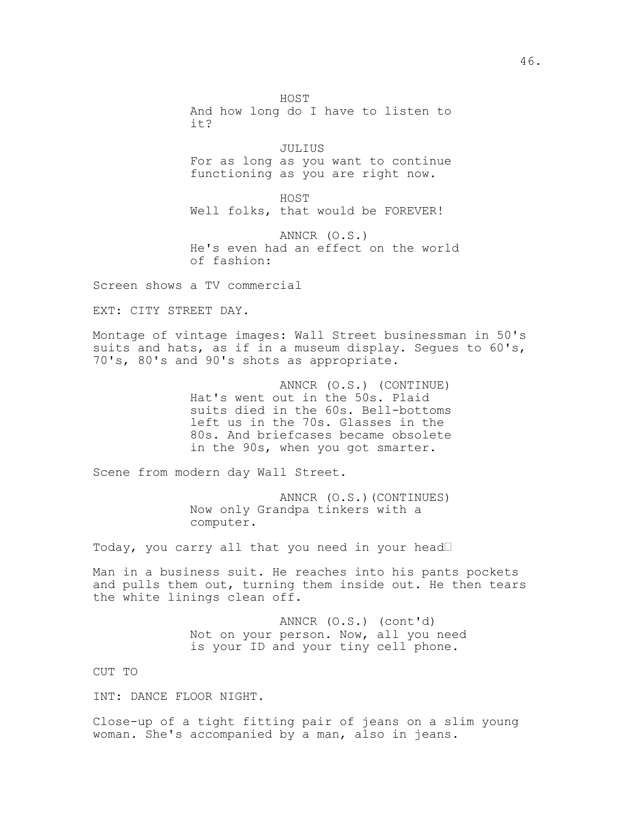HOST And how long do I have to listen to it?

JULIUS For as long as you want to continue functioning as you are right now.

HOST Well folks, that would be FOREVER!

ANNCR (O.S.) He's even had an effect on the world of fashion:

Screen shows a TV commercial

EXT: CITY STREET DAY.

Montage of vintage images: Wall Street businessman in 50's suits and hats, as if in a museum display. Segues to 60's, 70's, 80's and 90's shots as appropriate.

> ANNCR (O.S.) (CONTINUE) Hat's went out in the 50s. Plaid suits died in the 60s. Bell-bottoms left us in the 70s. Glasses in the 80s. And briefcases became obsolete in the 90s, when you got smarter.

Scene from modern day Wall Street.

ANNCR (O.S.)(CONTINUES) Now only Grandpa tinkers with a computer.

Today, you carry all that you need in your head

Man in a business suit. He reaches into his pants pockets and pulls them out, turning them inside out. He then tears the white linings clean off.

> ANNCR (O.S.) (cont'd) Not on your person. Now, all you need is your ID and your tiny cell phone.

CUT TO

INT: DANCE FLOOR NIGHT.

Close-up of a tight fitting pair of jeans on a slim young woman. She's accompanied by a man, also in jeans.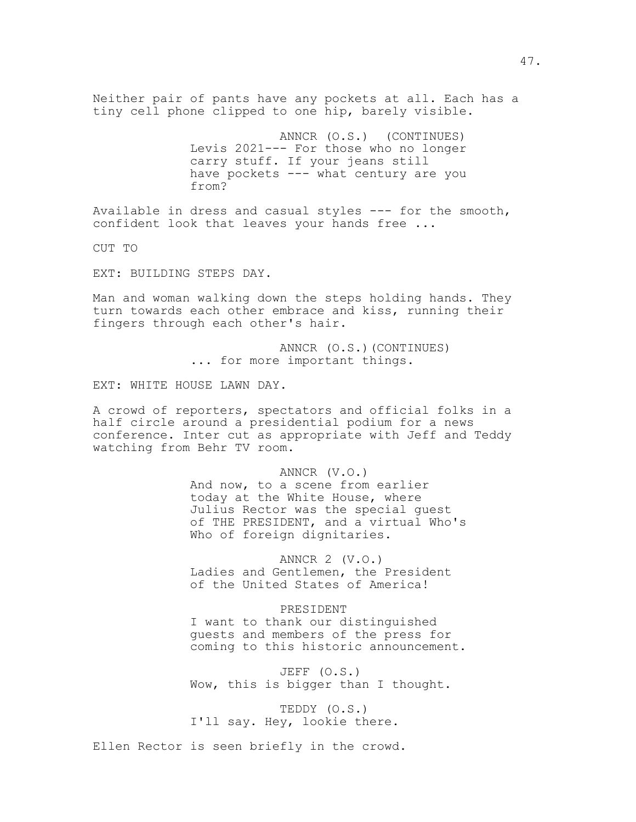Neither pair of pants have any pockets at all. Each has a tiny cell phone clipped to one hip, barely visible.

> ANNCR (O.S.) (CONTINUES) Levis 2021--- For those who no longer carry stuff. If your jeans still have pockets --- what century are you from?

Available in dress and casual styles --- for the smooth, confident look that leaves your hands free ...

CUT TO

EXT: BUILDING STEPS DAY.

Man and woman walking down the steps holding hands. They turn towards each other embrace and kiss, running their fingers through each other's hair.

> ANNCR (O.S.)(CONTINUES) ... for more important things.

EXT: WHITE HOUSE LAWN DAY.

A crowd of reporters, spectators and official folks in a half circle around a presidential podium for a news conference. Inter cut as appropriate with Jeff and Teddy watching from Behr TV room.

> ANNCR (V.O.) And now, to a scene from earlier today at the White House, where Julius Rector was the special guest of THE PRESIDENT, and a virtual Who's Who of foreign dignitaries.

ANNCR 2 (V.O.) Ladies and Gentlemen, the President of the United States of America!

PRESIDENT I want to thank our distinguished guests and members of the press for coming to this historic announcement.

JEFF (O.S.) Wow, this is bigger than I thought.

TEDDY (O.S.) I'll say. Hey, lookie there.

Ellen Rector is seen briefly in the crowd.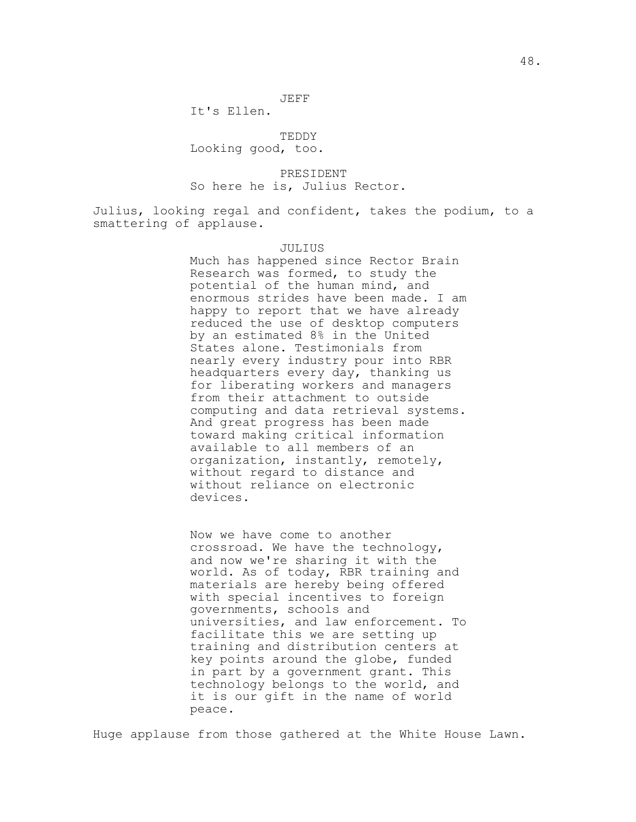## JEFF

It's Ellen.

TEDDY

Looking good, too.

PRESIDENT So here he is, Julius Rector.

Julius, looking regal and confident, takes the podium, to a smattering of applause.

#### JULIUS

Much has happened since Rector Brain Research was formed, to study the potential of the human mind, and enormous strides have been made. I am happy to report that we have already reduced the use of desktop computers by an estimated 8% in the United States alone. Testimonials from nearly every industry pour into RBR headquarters every day, thanking us for liberating workers and managers from their attachment to outside computing and data retrieval systems. And great progress has been made toward making critical information available to all members of an organization, instantly, remotely, without regard to distance and without reliance on electronic devices.

Now we have come to another crossroad. We have the technology, and now we're sharing it with the world. As of today, RBR training and materials are hereby being offered with special incentives to foreign governments, schools and universities, and law enforcement. To facilitate this we are setting up training and distribution centers at key points around the globe, funded in part by a government grant. This technology belongs to the world, and it is our gift in the name of world peace.

Huge applause from those gathered at the White House Lawn.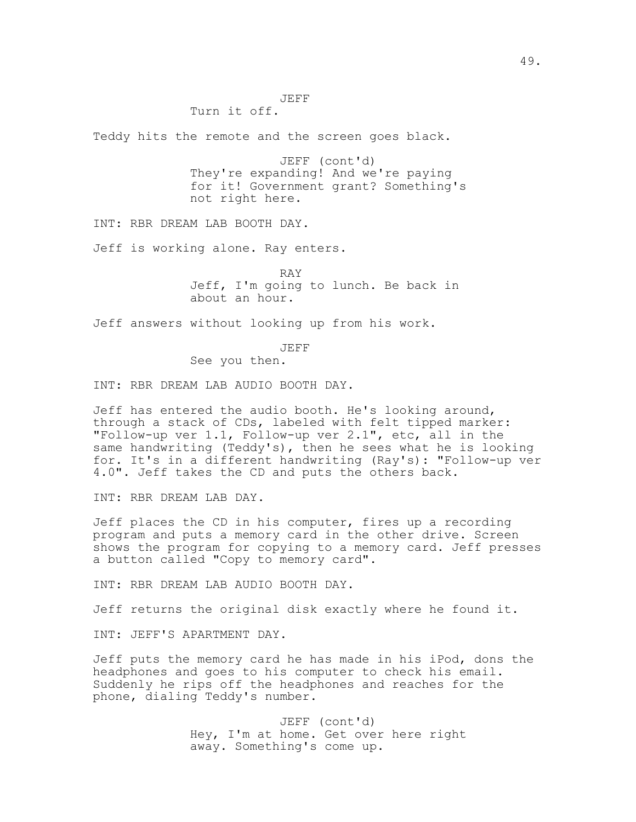Turn it off.

Teddy hits the remote and the screen goes black.

JEFF (cont'd) They're expanding! And we're paying for it! Government grant? Something's not right here.

INT: RBR DREAM LAB BOOTH DAY.

Jeff is working alone. Ray enters.

RAY

Jeff, I'm going to lunch. Be back in about an hour.

Jeff answers without looking up from his work.

JEFF

See you then.

INT: RBR DREAM LAB AUDIO BOOTH DAY.

Jeff has entered the audio booth. He's looking around, through a stack of CDs, labeled with felt tipped marker: "Follow-up ver 1.1, Follow-up ver 2.1", etc, all in the same handwriting (Teddy's), then he sees what he is looking for. It's in a different handwriting (Ray's): "Follow-up ver 4.0". Jeff takes the CD and puts the others back.

INT: RBR DREAM LAB DAY.

Jeff places the CD in his computer, fires up a recording program and puts a memory card in the other drive. Screen shows the program for copying to a memory card. Jeff presses a button called "Copy to memory card".

INT: RBR DREAM LAB AUDIO BOOTH DAY.

Jeff returns the original disk exactly where he found it.

INT: JEFF'S APARTMENT DAY.

Jeff puts the memory card he has made in his iPod, dons the headphones and goes to his computer to check his email. Suddenly he rips off the headphones and reaches for the phone, dialing Teddy's number.

> JEFF (cont'd) Hey, I'm at home. Get over here right away. Something's come up.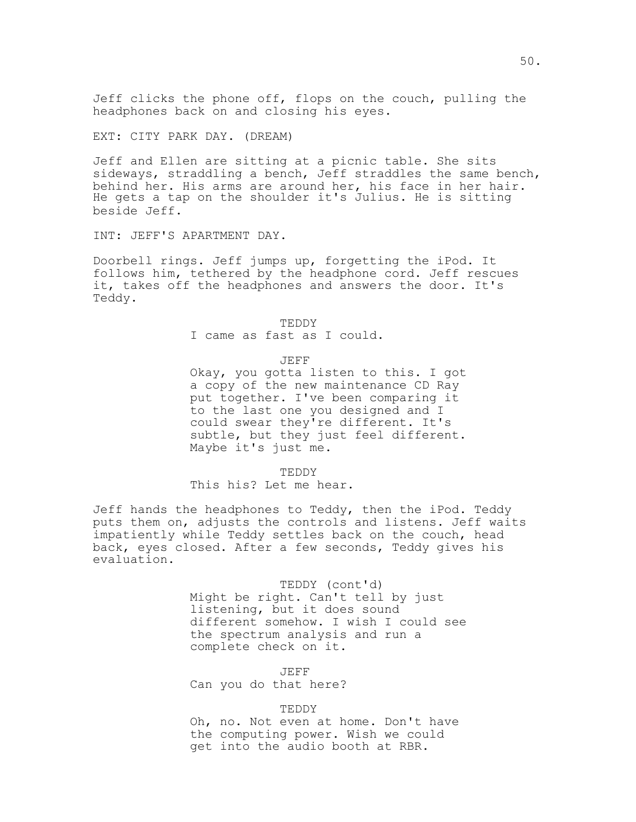Jeff clicks the phone off, flops on the couch, pulling the headphones back on and closing his eyes.

EXT: CITY PARK DAY. (DREAM)

Jeff and Ellen are sitting at a picnic table. She sits sideways, straddling a bench, Jeff straddles the same bench, behind her. His arms are around her, his face in her hair. He gets a tap on the shoulder it's Julius. He is sitting beside Jeff.

INT: JEFF'S APARTMENT DAY.

Doorbell rings. Jeff jumps up, forgetting the iPod. It follows him, tethered by the headphone cord. Jeff rescues it, takes off the headphones and answers the door. It's Teddy.

TEDDY

I came as fast as I could.

JEFF

Okay, you gotta listen to this. I got a copy of the new maintenance CD Ray put together. I've been comparing it to the last one you designed and I could swear they're different. It's subtle, but they just feel different. Maybe it's just me.

TEDDY

This his? Let me hear.

Jeff hands the headphones to Teddy, then the iPod. Teddy puts them on, adjusts the controls and listens. Jeff waits impatiently while Teddy settles back on the couch, head back, eyes closed. After a few seconds, Teddy gives his evaluation.

> TEDDY (cont'd) Might be right. Can't tell by just listening, but it does sound different somehow. I wish I could see the spectrum analysis and run a complete check on it.

JEFF Can you do that here?

TEDDY

Oh, no. Not even at home. Don't have the computing power. Wish we could get into the audio booth at RBR.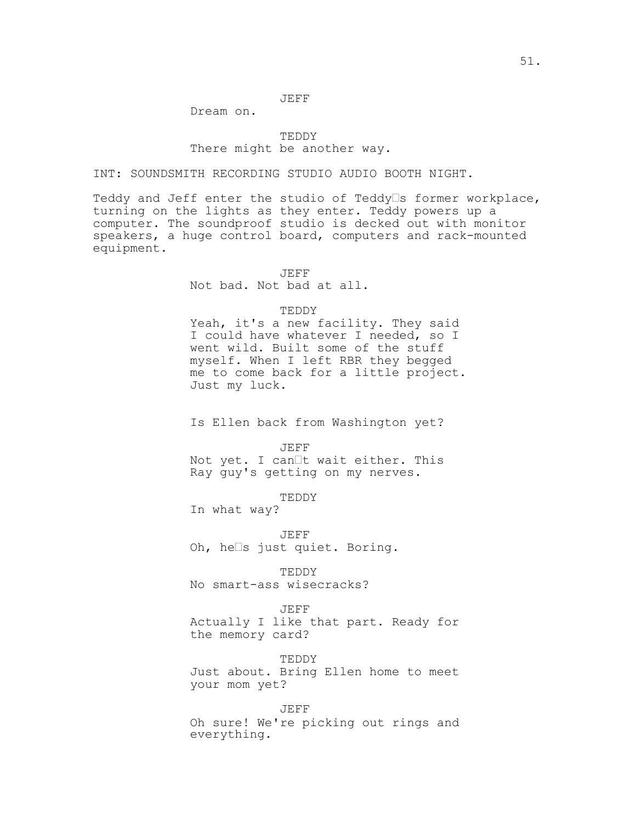## JEFF

Dream on.

## TEDDY There might be another way.

INT: SOUNDSMITH RECORDING STUDIO AUDIO BOOTH NIGHT.

Teddy and Jeff enter the studio of Teddy $\Box$ s former workplace, turning on the lights as they enter. Teddy powers up a computer. The soundproof studio is decked out with monitor speakers, a huge control board, computers and rack-mounted equipment.

JEFF

Not bad. Not bad at all.

#### TEDDY

Yeah, it's a new facility. They said I could have whatever I needed, so I went wild. Built some of the stuff myself. When I left RBR they begged me to come back for a little project. Just my luck.

Is Ellen back from Washington yet?

JEFF

Not yet. I can<sup>t</sup> wait either. This Ray guy's getting on my nerves.

TEDDY

In what way?

JEFF Oh, hels just quiet. Boring.

TEDDY No smart-ass wisecracks?

JEFF

Actually I like that part. Ready for the memory card?

TEDDY Just about. Bring Ellen home to meet your mom yet?

JEFF Oh sure! We're picking out rings and everything.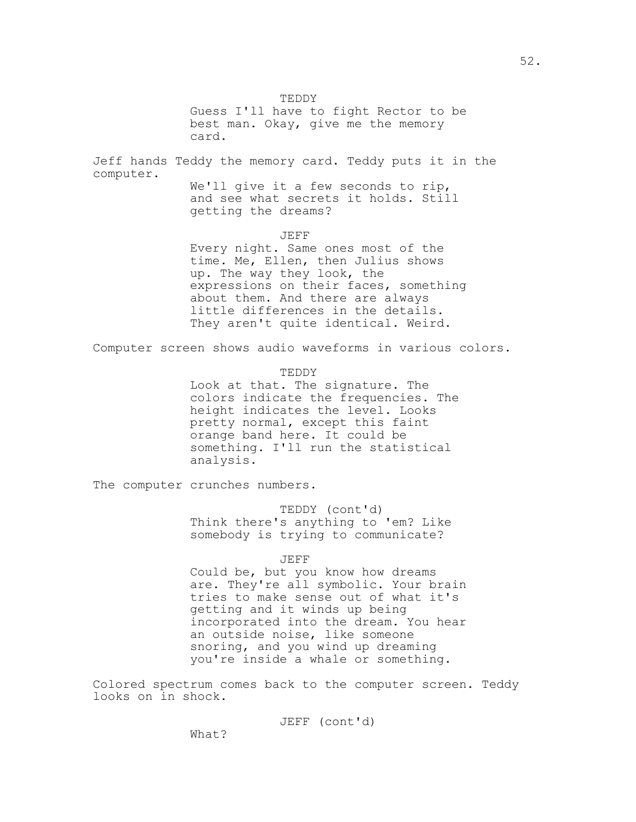TEDDY Guess I'll have to fight Rector to be best man. Okay, give me the memory card.

Jeff hands Teddy the memory card. Teddy puts it in the computer.

We'll give it a few seconds to rip, and see what secrets it holds. Still getting the dreams?

JEFF

Every night. Same ones most of the time. Me, Ellen, then Julius shows up. The way they look, the expressions on their faces, something about them. And there are always little differences in the details. They aren't quite identical. Weird.

Computer screen shows audio waveforms in various colors.

TEDDY

Look at that. The signature. The colors indicate the frequencies. The height indicates the level. Looks pretty normal, except this faint orange band here. It could be something. I'll run the statistical analysis.

The computer crunches numbers.

TEDDY (cont'd) Think there's anything to 'em? Like somebody is trying to communicate?

JEFF

Could be, but you know how dreams are. They're all symbolic. Your brain tries to make sense out of what it's getting and it winds up being incorporated into the dream. You hear an outside noise, like someone snoring, and you wind up dreaming you're inside a whale or something.

Colored spectrum comes back to the computer screen. Teddy looks on in shock.

JEFF (cont'd)

52.

What?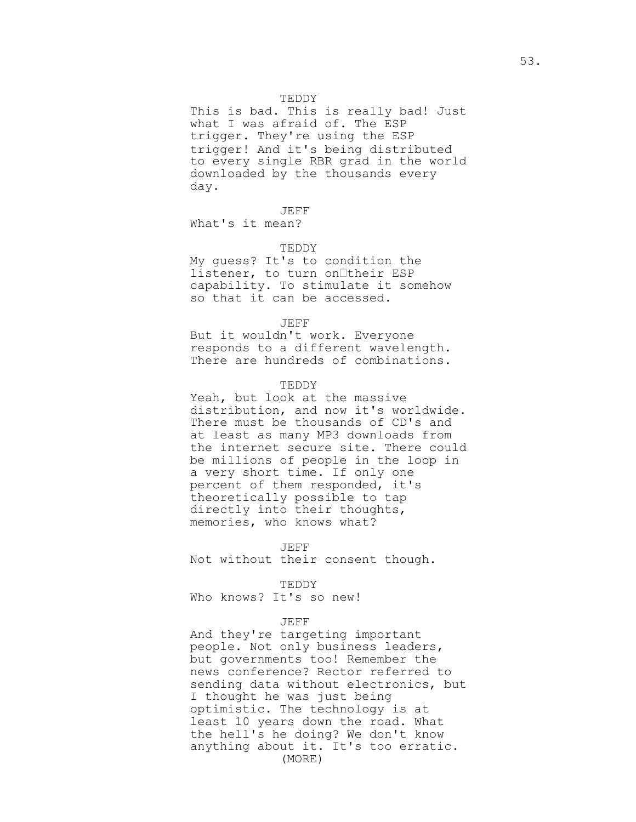## TEDDY

This is bad. This is really bad! Just what I was afraid of. The ESP trigger. They're using the ESP trigger! And it's being distributed to every single RBR grad in the world downloaded by the thousands every day.

JEFF

What's it mean?

## TEDDY

My guess? It's to condition the listener, to turn on their ESP capability. To stimulate it somehow so that it can be accessed.

#### JEFF

But it wouldn't work. Everyone responds to a different wavelength. There are hundreds of combinations.

### TEDDY

Yeah, but look at the massive distribution, and now it's worldwide. There must be thousands of CD's and at least as many MP3 downloads from the internet secure site. There could be millions of people in the loop in a very short time. If only one percent of them responded, it's theoretically possible to tap directly into their thoughts, memories, who knows what?

#### JEFF

Not without their consent though.

TEDDY Who knows? It's so new!

## JEFF

And they're targeting important people. Not only business leaders, but governments too! Remember the news conference? Rector referred to sending data without electronics, but I thought he was just being optimistic. The technology is at least 10 years down the road. What the hell's he doing? We don't know anything about it. It's too erratic. (MORE)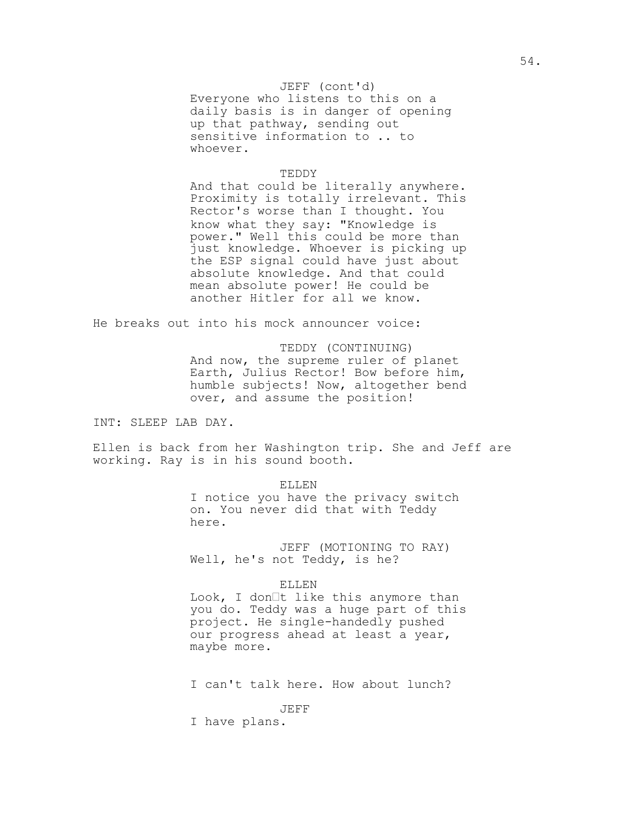## JEFF (cont'd)

Everyone who listens to this on a daily basis is in danger of opening up that pathway, sending out sensitive information to .. to whoever.

## TEDDY

And that could be literally anywhere. Proximity is totally irrelevant. This Rector's worse than I thought. You know what they say: "Knowledge is power." Well this could be more than just knowledge. Whoever is picking up the ESP signal could have just about absolute knowledge. And that could mean absolute power! He could be another Hitler for all we know.

He breaks out into his mock announcer voice:

TEDDY (CONTINUING) And now, the supreme ruler of planet Earth, Julius Rector! Bow before him, humble subjects! Now, altogether bend over, and assume the position!

INT: SLEEP LAB DAY.

Ellen is back from her Washington trip. She and Jeff are working. Ray is in his sound booth.

### ELLEN

I notice you have the privacy switch on. You never did that with Teddy here.

JEFF (MOTIONING TO RAY) Well, he's not Teddy, is he?

### ELLEN

Look, I don $\exists t$  like this anymore than you do. Teddy was a huge part of this project. He single-handedly pushed our progress ahead at least a year, maybe more.

I can't talk here. How about lunch?

JEFF

I have plans.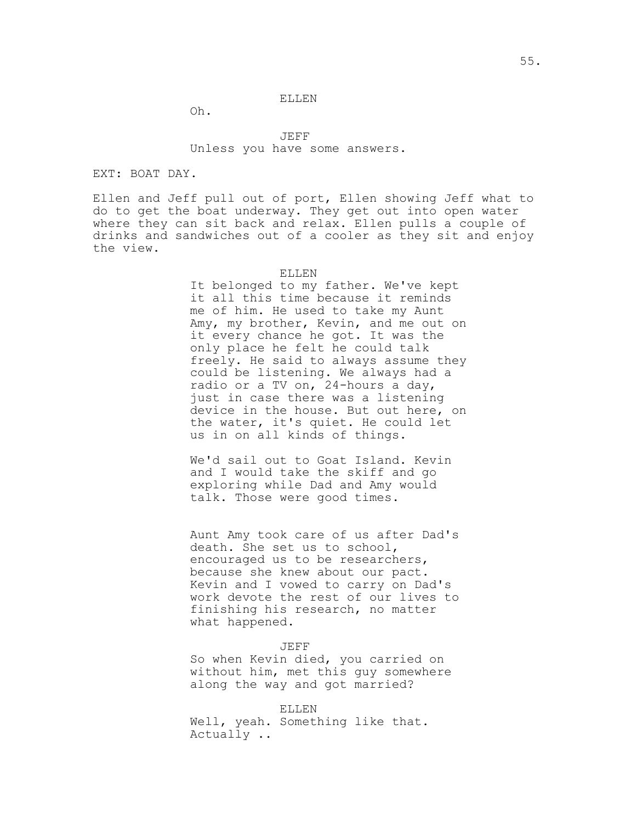#### ELLEN

Oh.

JEFF Unless you have some answers.

## EXT: BOAT DAY.

Ellen and Jeff pull out of port, Ellen showing Jeff what to do to get the boat underway. They get out into open water where they can sit back and relax. Ellen pulls a couple of drinks and sandwiches out of a cooler as they sit and enjoy the view.

#### ELLEN

It belonged to my father. We've kept it all this time because it reminds me of him. He used to take my Aunt Amy, my brother, Kevin, and me out on it every chance he got. It was the only place he felt he could talk freely. He said to always assume they could be listening. We always had a radio or a TV on, 24-hours a day, just in case there was a listening device in the house. But out here, on the water, it's quiet. He could let us in on all kinds of things.

We'd sail out to Goat Island. Kevin and I would take the skiff and go exploring while Dad and Amy would talk. Those were good times.

Aunt Amy took care of us after Dad's death. She set us to school, encouraged us to be researchers, because she knew about our pact. Kevin and I vowed to carry on Dad's work devote the rest of our lives to finishing his research, no matter what happened.

#### JEFF

So when Kevin died, you carried on without him, met this guy somewhere along the way and got married?

ELLEN Well, yeah. Something like that. Actually ..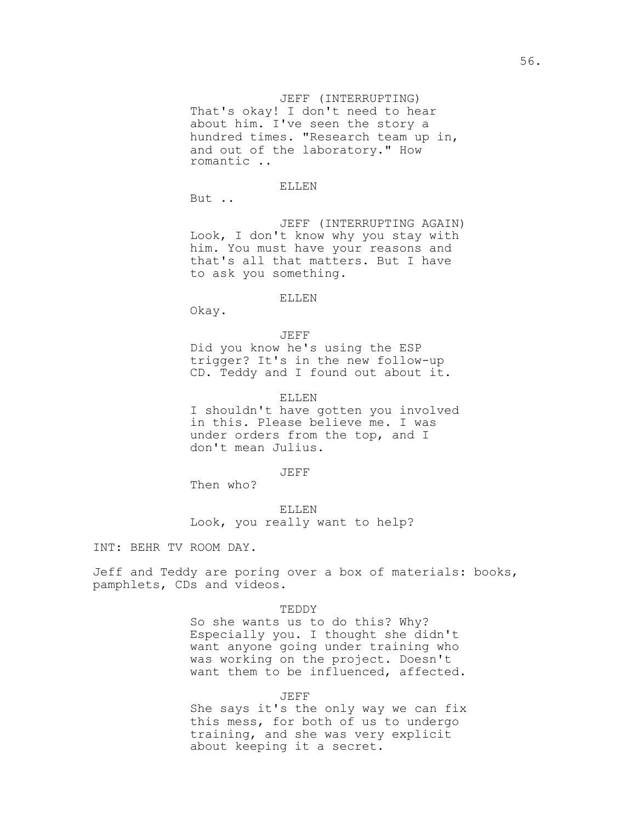### JEFF (INTERRUPTING)

That's okay! I don't need to hear about him. I've seen the story a hundred times. "Research team up in, and out of the laboratory." How romantic ..

## ELLEN

But ..

JEFF (INTERRUPTING AGAIN) Look, I don't know why you stay with him. You must have your reasons and that's all that matters. But I have to ask you something.

#### ELLEN

Okay.

JEFF Did you know he's using the ESP trigger? It's in the new follow-up CD. Teddy and I found out about it.

### ELLEN

I shouldn't have gotten you involved in this. Please believe me. I was under orders from the top, and I don't mean Julius.

## JEFF

Then who?

ELLEN Look, you really want to help?

INT: BEHR TV ROOM DAY.

Jeff and Teddy are poring over a box of materials: books, pamphlets, CDs and videos.

#### TEDDY

So she wants us to do this? Why? Especially you. I thought she didn't want anyone going under training who was working on the project. Doesn't want them to be influenced, affected.

## JEFF

She says it's the only way we can fix this mess, for both of us to undergo training, and she was very explicit about keeping it a secret.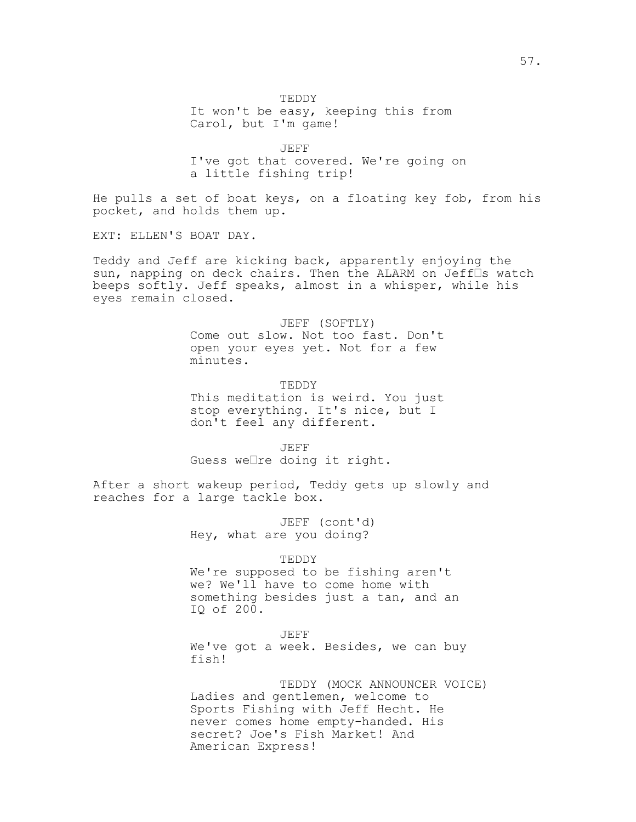TEDDY It won't be easy, keeping this from Carol, but I'm game!

JEFF I've got that covered. We're going on a little fishing trip!

He pulls a set of boat keys, on a floating key fob, from his pocket, and holds them up.

EXT: ELLEN'S BOAT DAY.

Teddy and Jeff are kicking back, apparently enjoying the sun, napping on deck chairs. Then the ALARM on Jeff<sup>[]</sup>s watch beeps softly. Jeff speaks, almost in a whisper, while his eyes remain closed.

> JEFF (SOFTLY) Come out slow. Not too fast. Don't open your eyes yet. Not for a few minutes.

> TEDDY This meditation is weird. You just stop everything. It's nice, but I don't feel any different.

JEFF Guess we $\Box$ re doing it right.

After a short wakeup period, Teddy gets up slowly and reaches for a large tackle box.

> JEFF (cont'd) Hey, what are you doing?

> > TEDDY

We're supposed to be fishing aren't we? We'll have to come home with something besides just a tan, and an IQ of 200.

JEFF

We've got a week. Besides, we can buy fish!

TEDDY (MOCK ANNOUNCER VOICE) Ladies and gentlemen, welcome to Sports Fishing with Jeff Hecht. He never comes home empty-handed. His secret? Joe's Fish Market! And American Express!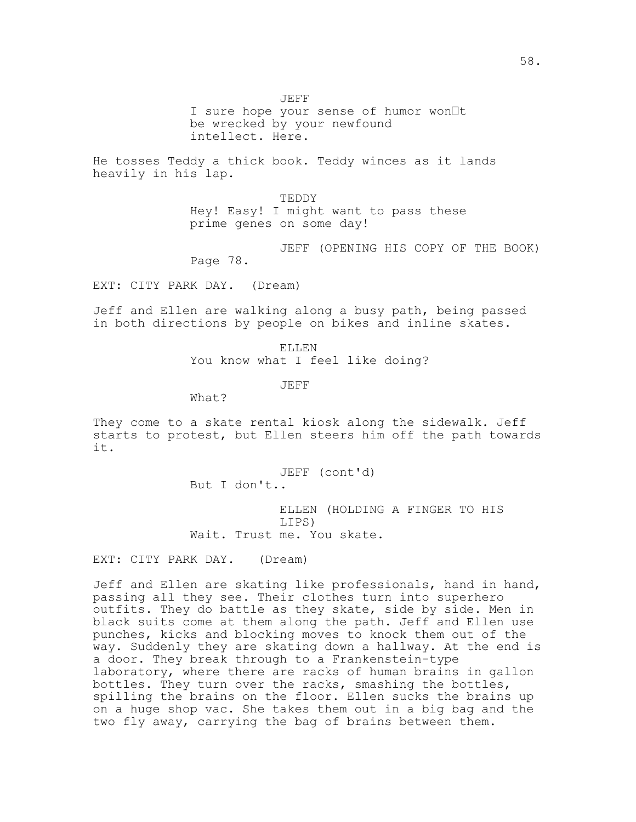JEFF

I sure hope your sense of humor won It be wrecked by your newfound intellect. Here.

He tosses Teddy a thick book. Teddy winces as it lands heavily in his lap.

> TEDDY Hey! Easy! I might want to pass these prime genes on some day!

JEFF (OPENING HIS COPY OF THE BOOK) Page 78.

EXT: CITY PARK DAY. (Dream)

Jeff and Ellen are walking along a busy path, being passed in both directions by people on bikes and inline skates.

> ELLEN You know what I feel like doing?

> > JEFF

What?

They come to a skate rental kiosk along the sidewalk. Jeff starts to protest, but Ellen steers him off the path towards it.

> JEFF (cont'd) But I don't..

ELLEN (HOLDING A FINGER TO HIS LIPS) Wait. Trust me. You skate.

EXT: CITY PARK DAY. (Dream)

Jeff and Ellen are skating like professionals, hand in hand, passing all they see. Their clothes turn into superhero outfits. They do battle as they skate, side by side. Men in black suits come at them along the path. Jeff and Ellen use punches, kicks and blocking moves to knock them out of the way. Suddenly they are skating down a hallway. At the end is a door. They break through to a Frankenstein-type laboratory, where there are racks of human brains in gallon bottles. They turn over the racks, smashing the bottles, spilling the brains on the floor. Ellen sucks the brains up on a huge shop vac. She takes them out in a big bag and the two fly away, carrying the bag of brains between them.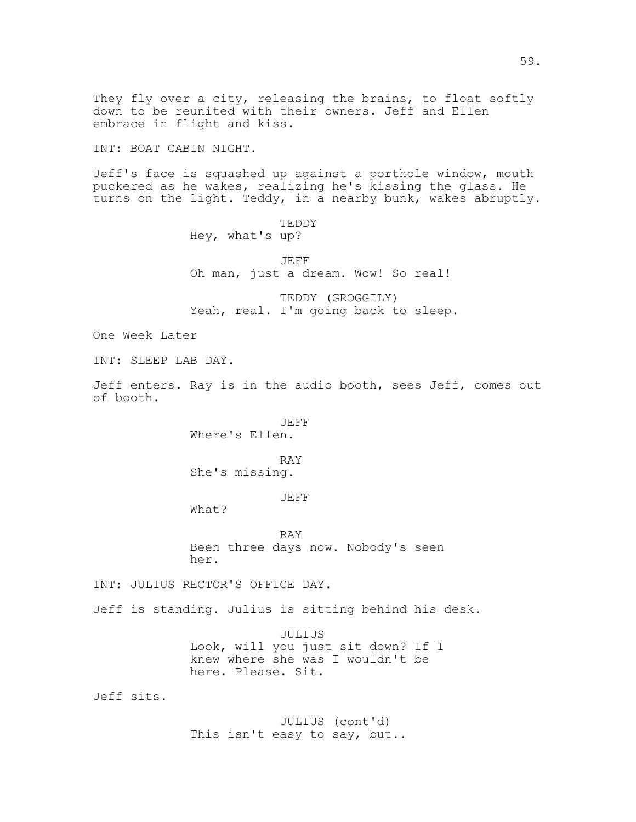down to be reunited with their owners. Jeff and Ellen embrace in flight and kiss. INT: BOAT CABIN NIGHT. Jeff's face is squashed up against a porthole window, mouth puckered as he wakes, realizing he's kissing the glass. He turns on the light. Teddy, in a nearby bunk, wakes abruptly. TEDDY Hey, what's up? JEFF Oh man, just a dream. Wow! So real! TEDDY (GROGGILY) Yeah, real. I'm going back to sleep. One Week Later INT: SLEEP LAB DAY.

They fly over a city, releasing the brains, to float softly

Jeff enters. Ray is in the audio booth, sees Jeff, comes out of booth.

> JEFF Where's Ellen.

RAY She's missing.

JEFF

What?

RAY Been three days now. Nobody's seen her.

INT: JULIUS RECTOR'S OFFICE DAY.

Jeff is standing. Julius is sitting behind his desk.

JULIUS Look, will you just sit down? If I knew where she was I wouldn't be here. Please. Sit.

Jeff sits.

JULIUS (cont'd) This isn't easy to say, but..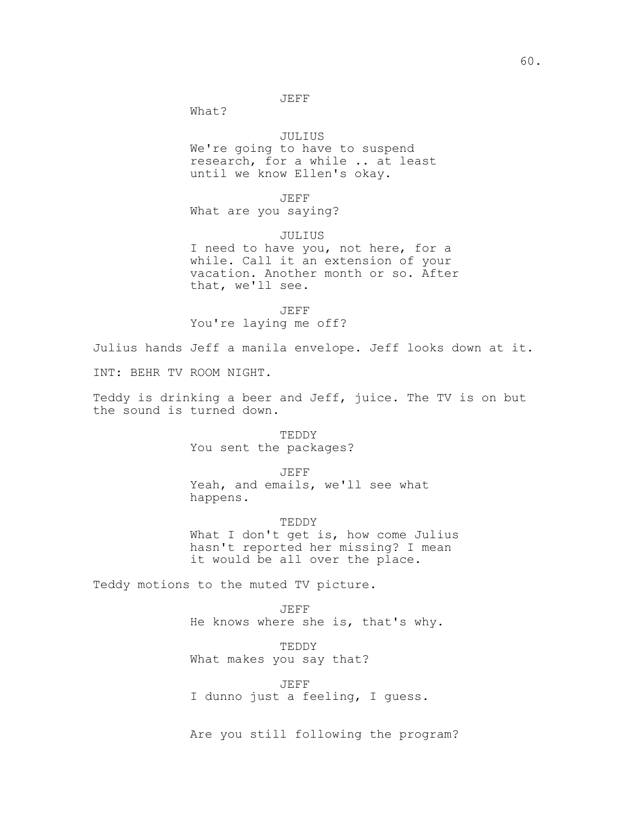JEFF

What?

## JULIUS

We're going to have to suspend research, for a while .. at least until we know Ellen's okay.

JEFF

What are you saying?

JULIUS

I need to have you, not here, for a while. Call it an extension of your vacation. Another month or so. After that, we'll see.

JEFF You're laying me off?

Julius hands Jeff a manila envelope. Jeff looks down at it.

INT: BEHR TV ROOM NIGHT.

Teddy is drinking a beer and Jeff, juice. The TV is on but the sound is turned down.

> TEDDY You sent the packages?

> > JEFF

Yeah, and emails, we'll see what happens.

TEDDY What I don't get is, how come Julius hasn't reported her missing? I mean it would be all over the place.

Teddy motions to the muted TV picture.

JEFF He knows where she is, that's why.

TEDDY What makes you say that?

JEFF I dunno just a feeling, I guess.

Are you still following the program?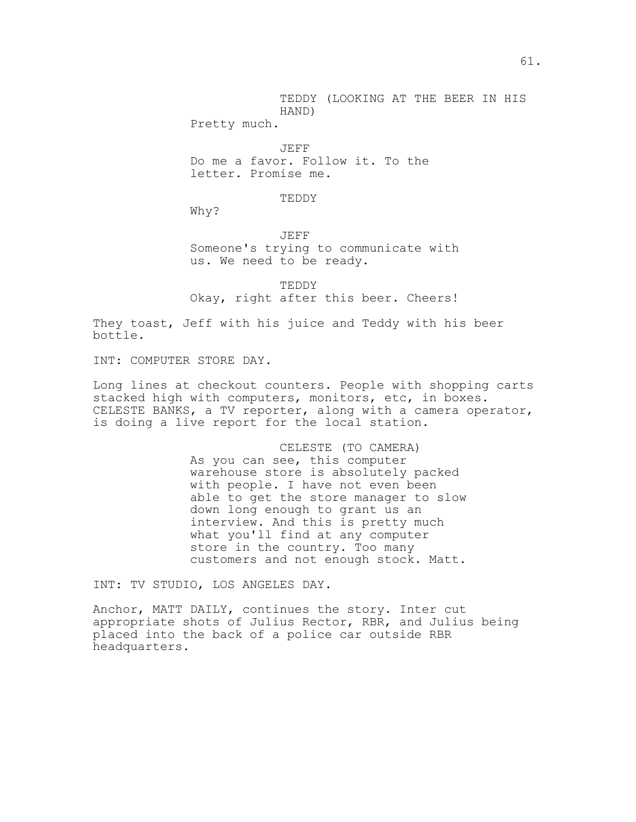TEDDY (LOOKING AT THE BEER IN HIS HAND)

Pretty much.

JEFF Do me a favor. Follow it. To the letter. Promise me.

## TEDDY

Why?

JEFF Someone's trying to communicate with us. We need to be ready.

TEDDY Okay, right after this beer. Cheers!

They toast, Jeff with his juice and Teddy with his beer bottle.

INT: COMPUTER STORE DAY.

Long lines at checkout counters. People with shopping carts stacked high with computers, monitors, etc, in boxes. CELESTE BANKS, a TV reporter, along with a camera operator, is doing a live report for the local station.

## CELESTE (TO CAMERA)

As you can see, this computer warehouse store is absolutely packed with people. I have not even been able to get the store manager to slow down long enough to grant us an interview. And this is pretty much what you'll find at any computer store in the country. Too many customers and not enough stock. Matt.

INT: TV STUDIO, LOS ANGELES DAY.

Anchor, MATT DAILY, continues the story. Inter cut appropriate shots of Julius Rector, RBR, and Julius being placed into the back of a police car outside RBR headquarters.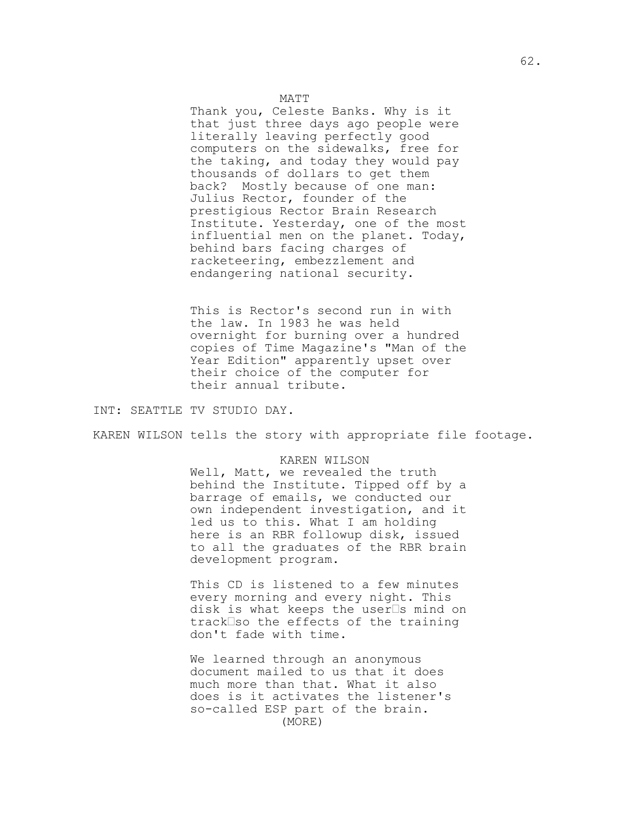#### MATT

Thank you, Celeste Banks. Why is it that just three days ago people were literally leaving perfectly good computers on the sidewalks, free for the taking, and today they would pay thousands of dollars to get them back? Mostly because of one man: Julius Rector, founder of the prestigious Rector Brain Research Institute. Yesterday, one of the most influential men on the planet. Today, behind bars facing charges of racketeering, embezzlement and endangering national security.

This is Rector's second run in with the law. In 1983 he was held overnight for burning over a hundred copies of Time Magazine's "Man of the Year Edition" apparently upset over their choice of the computer for their annual tribute.

INT: SEATTLE TV STUDIO DAY.

KAREN WILSON tells the story with appropriate file footage.

#### KAREN WILSON

Well, Matt, we revealed the truth behind the Institute. Tipped off by a barrage of emails, we conducted our own independent investigation, and it led us to this. What I am holding here is an RBR followup disk, issued to all the graduates of the RBR brain development program.

This CD is listened to a few minutes every morning and every night. This disk is what keeps the user $\square$ s mind on track<sup>Iso</sup> the effects of the training don't fade with time.

We learned through an anonymous document mailed to us that it does much more than that. What it also does is it activates the listener's so-called ESP part of the brain. (MORE)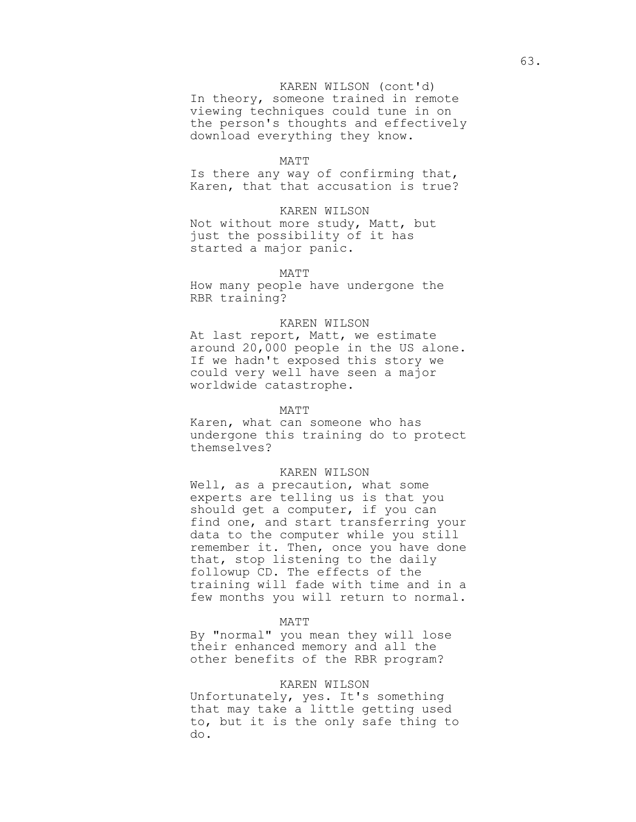## KAREN WILSON (cont'd)

In theory, someone trained in remote viewing techniques could tune in on the person's thoughts and effectively download everything they know.

#### MATT

Is there any way of confirming that, Karen, that that accusation is true?

## KAREN WILSON

Not without more study, Matt, but just the possibility of it has started a major panic.

#### MATT

How many people have undergone the RBR training?

#### KAREN WILSON

At last report, Matt, we estimate around 20,000 people in the US alone. If we hadn't exposed this story we could very well have seen a major worldwide catastrophe.

### MATT

Karen, what can someone who has undergone this training do to protect themselves?

### KAREN WILSON

Well, as a precaution, what some experts are telling us is that you should get a computer, if you can find one, and start transferring your data to the computer while you still remember it. Then, once you have done that, stop listening to the daily followup CD. The effects of the training will fade with time and in a few months you will return to normal.

#### MATT

By "normal" you mean they will lose their enhanced memory and all the other benefits of the RBR program?

### KAREN WILSON

Unfortunately, yes. It's something that may take a little getting used to, but it is the only safe thing to do.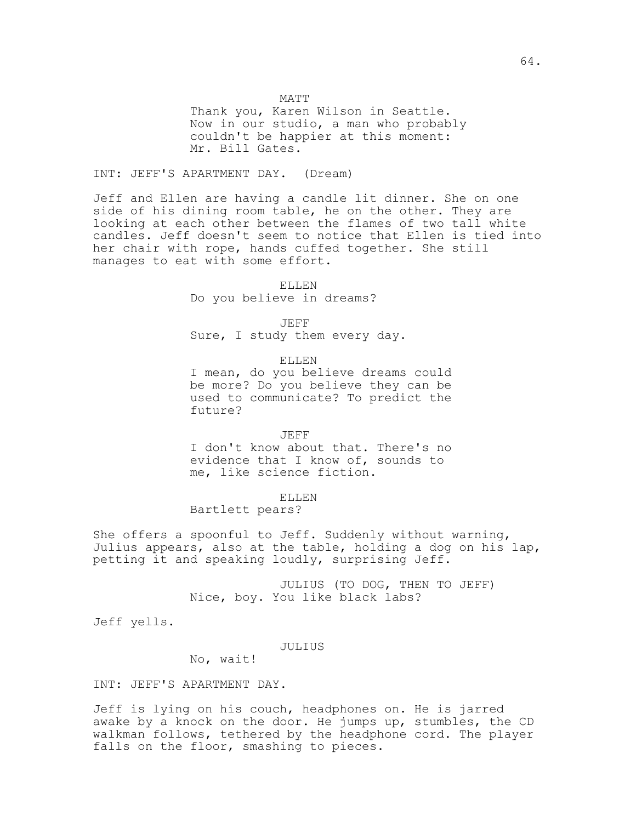MATT

Thank you, Karen Wilson in Seattle. Now in our studio, a man who probably couldn't be happier at this moment: Mr. Bill Gates.

INT: JEFF'S APARTMENT DAY. (Dream)

Jeff and Ellen are having a candle lit dinner. She on one side of his dining room table, he on the other. They are looking at each other between the flames of two tall white candles. Jeff doesn't seem to notice that Ellen is tied into her chair with rope, hands cuffed together. She still manages to eat with some effort.

#### ELLEN

Do you believe in dreams?

JEFF

Sure, I study them every day.

ELLEN

I mean, do you believe dreams could be more? Do you believe they can be used to communicate? To predict the future?

JEFF I don't know about that. There's no evidence that I know of, sounds to me, like science fiction.

ELLEN

Bartlett pears?

She offers a spoonful to Jeff. Suddenly without warning, Julius appears, also at the table, holding a dog on his lap, petting it and speaking loudly, surprising Jeff.

> JULIUS (TO DOG, THEN TO JEFF) Nice, boy. You like black labs?

Jeff yells.

JULIUS

No, wait!

INT: JEFF'S APARTMENT DAY.

Jeff is lying on his couch, headphones on. He is jarred awake by a knock on the door. He jumps up, stumbles, the CD walkman follows, tethered by the headphone cord. The player falls on the floor, smashing to pieces.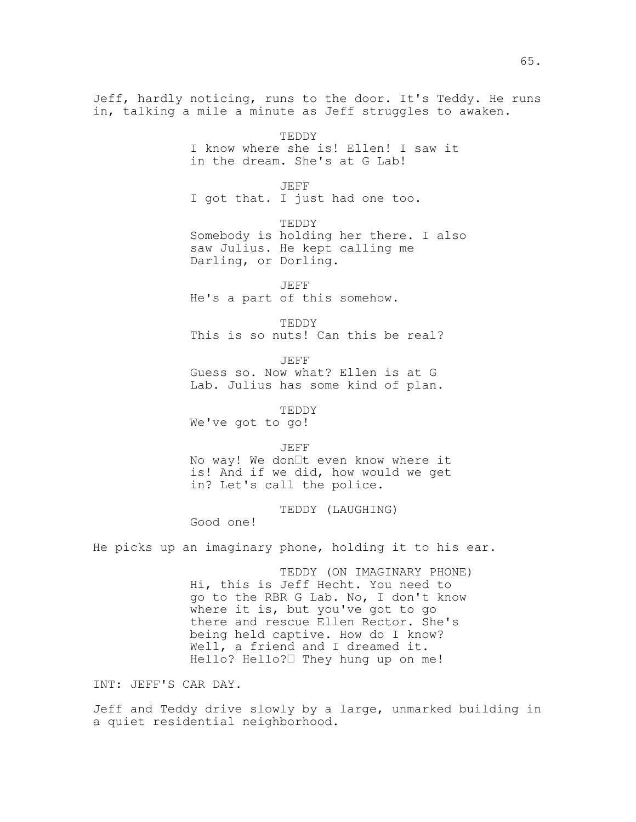Jeff, hardly noticing, runs to the door. It's Teddy. He runs in, talking a mile a minute as Jeff struggles to awaken.

> TEDDY I know where she is! Ellen! I saw it in the dream. She's at G Lab!

JEFF I got that. I just had one too.

TEDDY Somebody is holding her there. I also saw Julius. He kept calling me Darling, or Dorling.

JEFF

He's a part of this somehow.

TEDDY This is so nuts! Can this be real?

JEFF Guess so. Now what? Ellen is at G Lab. Julius has some kind of plan.

TEDDY

We've got to go!

JEFF

No way! We don $\exists t$  even know where it is! And if we did, how would we get in? Let's call the police.

TEDDY (LAUGHING)

Good one!

He picks up an imaginary phone, holding it to his ear.

TEDDY (ON IMAGINARY PHONE) Hi, this is Jeff Hecht. You need to go to the RBR G Lab. No, I don't know where it is, but you've got to go there and rescue Ellen Rector. She's being held captive. How do I know? Well, a friend and I dreamed it. Hello? Hello? They hung up on me!

INT: JEFF'S CAR DAY.

Jeff and Teddy drive slowly by a large, unmarked building in a quiet residential neighborhood.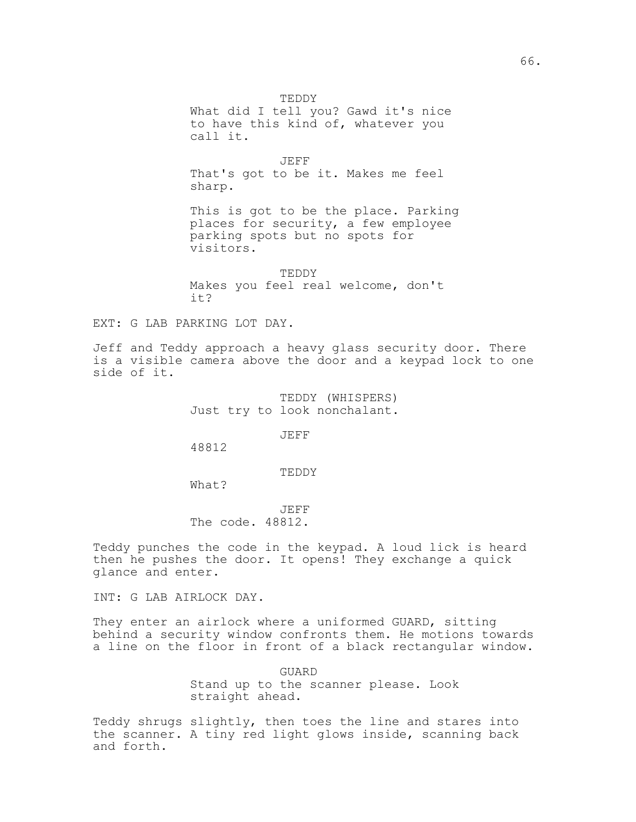TEDDY

What did I tell you? Gawd it's nice to have this kind of, whatever you call it.

JEFF That's got to be it. Makes me feel sharp.

This is got to be the place. Parking places for security, a few employee parking spots but no spots for visitors.

TEDDY Makes you feel real welcome, don't it?

EXT: G LAB PARKING LOT DAY.

Jeff and Teddy approach a heavy glass security door. There is a visible camera above the door and a keypad lock to one side of it.

> TEDDY (WHISPERS) Just try to look nonchalant.

> > JEFF

48812

TEDDY

What?

JEFF The code. 48812.

Teddy punches the code in the keypad. A loud lick is heard then he pushes the door. It opens! They exchange a quick glance and enter.

INT: G LAB AIRLOCK DAY.

They enter an airlock where a uniformed GUARD, sitting behind a security window confronts them. He motions towards a line on the floor in front of a black rectangular window.

> GUARD Stand up to the scanner please. Look straight ahead.

Teddy shrugs slightly, then toes the line and stares into the scanner. A tiny red light glows inside, scanning back and forth.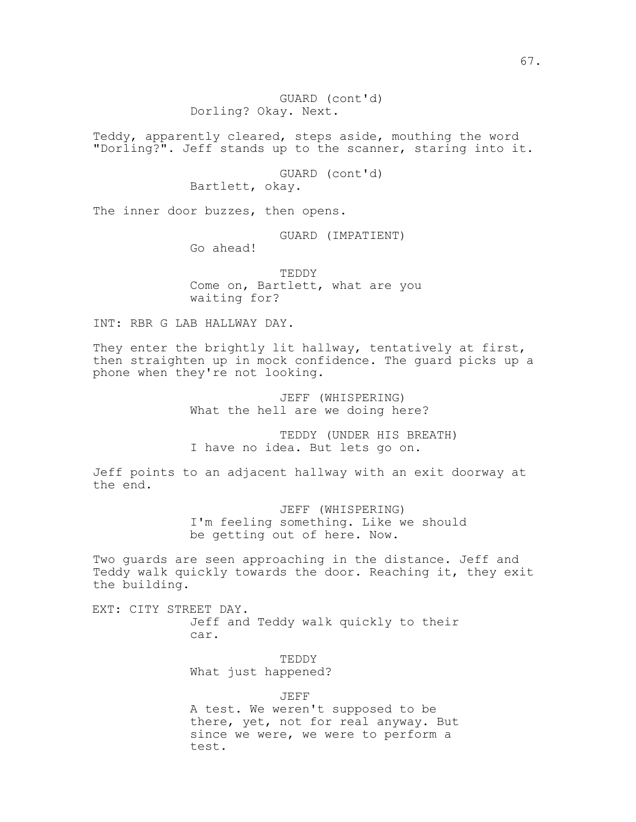Teddy, apparently cleared, steps aside, mouthing the word "Dorling?". Jeff stands up to the scanner, staring into it.

> GUARD (cont'd) Bartlett, okay.

The inner door buzzes, then opens.

GUARD (IMPATIENT)

Go ahead!

TEDDY Come on, Bartlett, what are you waiting for?

INT: RBR G LAB HALLWAY DAY.

They enter the brightly lit hallway, tentatively at first, then straighten up in mock confidence. The guard picks up a phone when they're not looking.

> JEFF (WHISPERING) What the hell are we doing here?

TEDDY (UNDER HIS BREATH) I have no idea. But lets go on.

Jeff points to an adjacent hallway with an exit doorway at the end.

> JEFF (WHISPERING) I'm feeling something. Like we should be getting out of here. Now.

Two guards are seen approaching in the distance. Jeff and Teddy walk quickly towards the door. Reaching it, they exit the building.

EXT: CITY STREET DAY. Jeff and Teddy walk quickly to their car.

> TEDDY What just happened?

JEFF A test. We weren't supposed to be there, yet, not for real anyway. But since we were, we were to perform a test.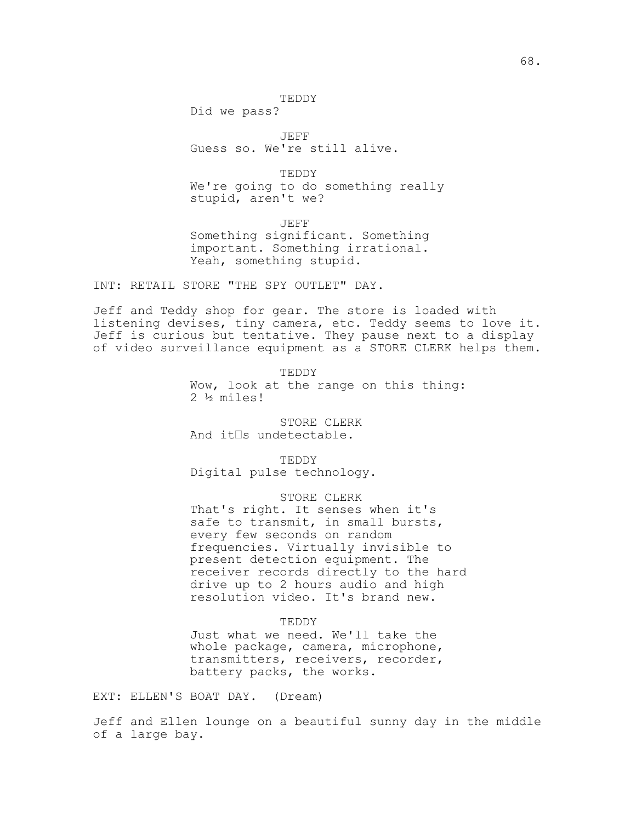Did we pass?

JEFF Guess so. We're still alive.

TEDDY We're going to do something really stupid, aren't we?

JEFF Something significant. Something important. Something irrational. Yeah, something stupid.

INT: RETAIL STORE "THE SPY OUTLET" DAY.

Jeff and Teddy shop for gear. The store is loaded with listening devises, tiny camera, etc. Teddy seems to love it. Jeff is curious but tentative. They pause next to a display of video surveillance equipment as a STORE CLERK helps them.

> TEDDY Wow, look at the range on this thing: 2 ½ miles!

STORE CLERK And it $\square$ s undetectable.

TEDDY Digital pulse technology.

## STORE CLERK

That's right. It senses when it's safe to transmit, in small bursts, every few seconds on random frequencies. Virtually invisible to present detection equipment. The receiver records directly to the hard drive up to 2 hours audio and high resolution video. It's brand new.

### TEDDY

Just what we need. We'll take the whole package, camera, microphone, transmitters, receivers, recorder, battery packs, the works.

EXT: ELLEN'S BOAT DAY. (Dream)

Jeff and Ellen lounge on a beautiful sunny day in the middle of a large bay.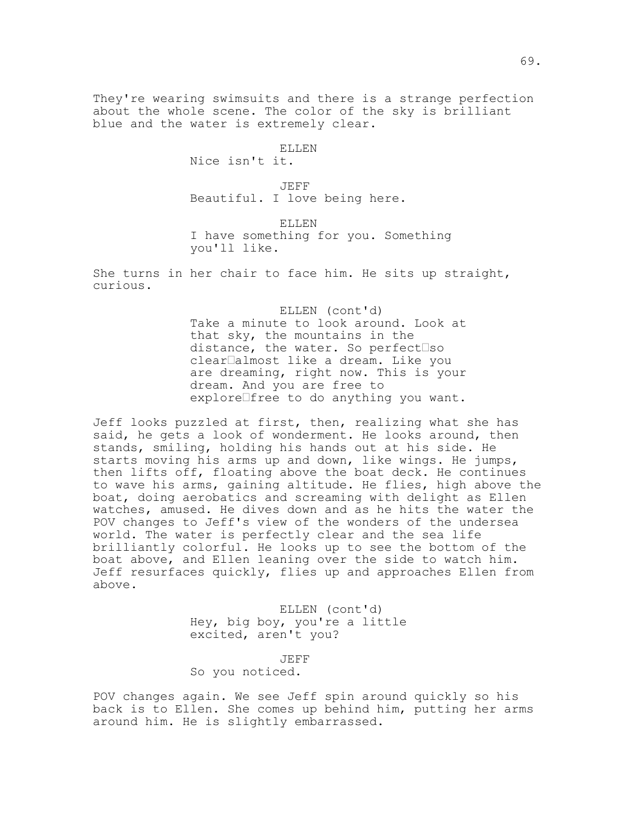They're wearing swimsuits and there is a strange perfection about the whole scene. The color of the sky is brilliant blue and the water is extremely clear.

> ELLEN Nice isn't it.

JEFF Beautiful. I love being here.

ELLEN I have something for you. Something you'll like.

She turns in her chair to face him. He sits up straight, curious.

> ELLEN (cont'd) Take a minute to look around. Look at that sky, the mountains in the distance, the water. So perfect  $\Box$ so clear<sup>lalmost</sup> like a dream. Like you are dreaming, right now. This is your dream. And you are free to explore free to do anything you want.

Jeff looks puzzled at first, then, realizing what she has said, he gets a look of wonderment. He looks around, then stands, smiling, holding his hands out at his side. He starts moving his arms up and down, like wings. He jumps, then lifts off, floating above the boat deck. He continues to wave his arms, gaining altitude. He flies, high above the boat, doing aerobatics and screaming with delight as Ellen watches, amused. He dives down and as he hits the water the POV changes to Jeff's view of the wonders of the undersea world. The water is perfectly clear and the sea life brilliantly colorful. He looks up to see the bottom of the boat above, and Ellen leaning over the side to watch him. Jeff resurfaces quickly, flies up and approaches Ellen from above.

> ELLEN (cont'd) Hey, big boy, you're a little excited, aren't you?

> > JEFF

So you noticed.

POV changes again. We see Jeff spin around quickly so his back is to Ellen. She comes up behind him, putting her arms around him. He is slightly embarrassed.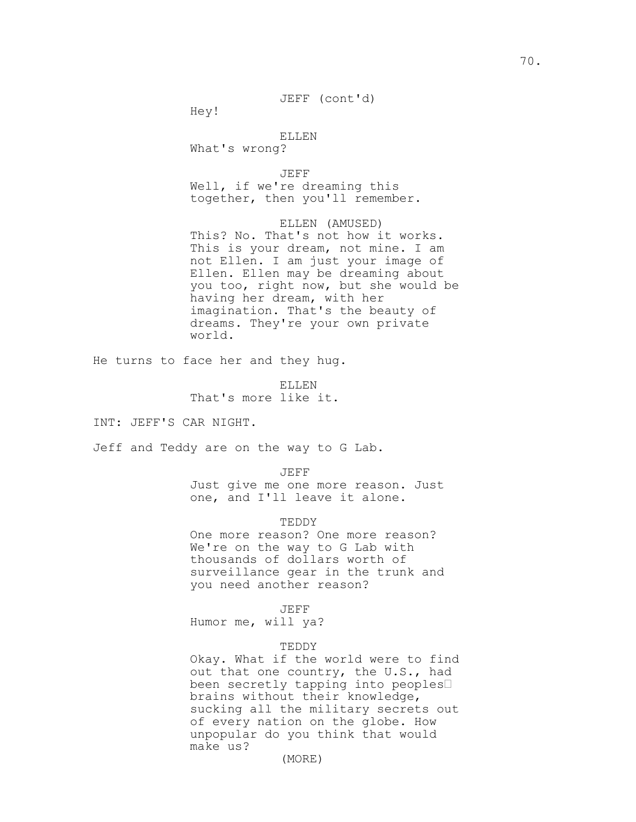Hey!

ELLEN What's wrong?

JEFF Well, if we're dreaming this together, then you'll remember.

ELLEN (AMUSED) This? No. That's not how it works. This is your dream, not mine. I am not Ellen. I am just your image of Ellen. Ellen may be dreaming about you too, right now, but she would be having her dream, with her imagination. That's the beauty of dreams. They're your own private world.

He turns to face her and they hug.

ELLEN That's more like it.

INT: JEFF'S CAR NIGHT.

Jeff and Teddy are on the way to G Lab.

JEFF

Just give me one more reason. Just one, and I'll leave it alone.

TEDDY

One more reason? One more reason? We're on the way to G Lab with thousands of dollars worth of surveillance gear in the trunk and you need another reason?

JEFF

Humor me, will ya?

### TEDDY

Okay. What if the world were to find out that one country, the U.S., had been secretly tapping into peoples brains without their knowledge, sucking all the military secrets out of every nation on the globe. How unpopular do you think that would make us?

(MORE)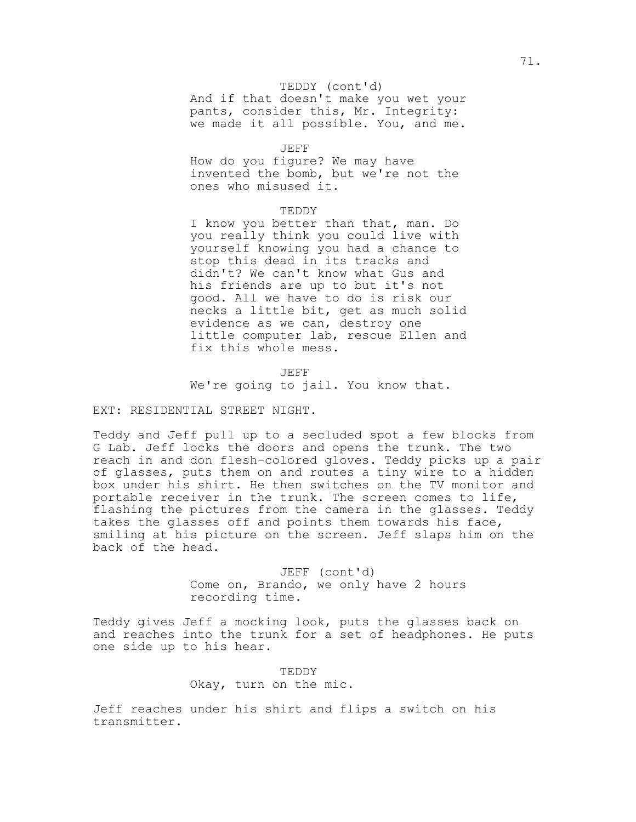## TEDDY (cont'd)

And if that doesn't make you wet your pants, consider this, Mr. Integrity: we made it all possible. You, and me.

## JEFF

How do you figure? We may have invented the bomb, but we're not the ones who misused it.

## TEDDY

I know you better than that, man. Do you really think you could live with yourself knowing you had a chance to stop this dead in its tracks and didn't? We can't know what Gus and his friends are up to but it's not good. All we have to do is risk our necks a little bit, get as much solid evidence as we can, destroy one little computer lab, rescue Ellen and fix this whole mess.

JEFF We're going to jail. You know that.

## EXT: RESIDENTIAL STREET NIGHT.

Teddy and Jeff pull up to a secluded spot a few blocks from G Lab. Jeff locks the doors and opens the trunk. The two reach in and don flesh-colored gloves. Teddy picks up a pair of glasses, puts them on and routes a tiny wire to a hidden box under his shirt. He then switches on the TV monitor and portable receiver in the trunk. The screen comes to life, flashing the pictures from the camera in the glasses. Teddy takes the glasses off and points them towards his face, smiling at his picture on the screen. Jeff slaps him on the back of the head.

> JEFF (cont'd) Come on, Brando, we only have 2 hours recording time.

Teddy gives Jeff a mocking look, puts the glasses back on and reaches into the trunk for a set of headphones. He puts one side up to his hear.

> TEDDY Okay, turn on the mic.

Jeff reaches under his shirt and flips a switch on his transmitter.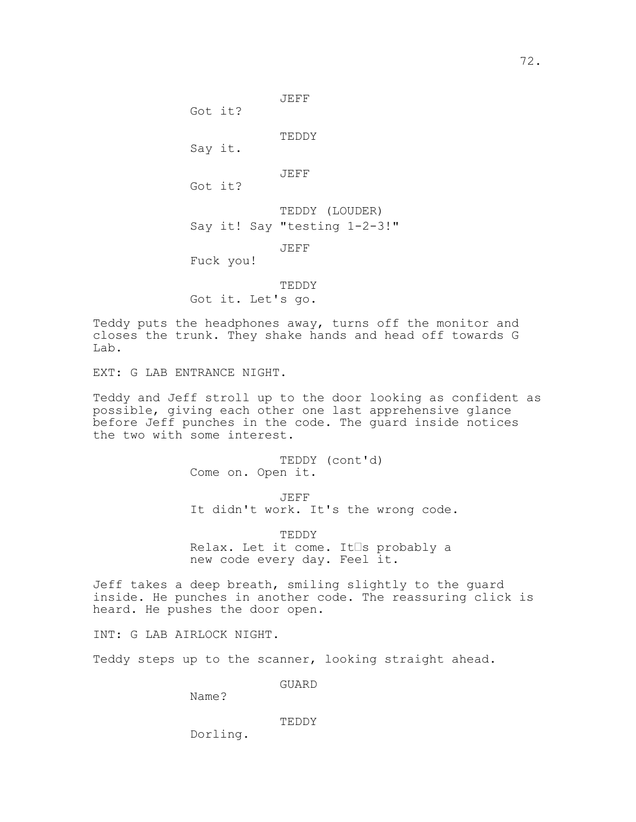Got it?

TEDDY

JEFF

Say it.

JEFF

Got it?

TEDDY (LOUDER) Say it! Say "testing 1-2-3!"

JEFF

Fuck you!

TEDDY Got it. Let's go.

Teddy puts the headphones away, turns off the monitor and closes the trunk. They shake hands and head off towards G Lab.

EXT: G LAB ENTRANCE NIGHT.

Teddy and Jeff stroll up to the door looking as confident as possible, giving each other one last apprehensive glance before Jeff punches in the code. The guard inside notices the two with some interest.

> TEDDY (cont'd) Come on. Open it.

JEFF It didn't work. It's the wrong code.

TEDDY Relax. Let it come. It<sup>Is</sup> probably a new code every day. Feel it.

Jeff takes a deep breath, smiling slightly to the guard inside. He punches in another code. The reassuring click is heard. He pushes the door open.

INT: G LAB AIRLOCK NIGHT.

Teddy steps up to the scanner, looking straight ahead.

GUARD

Name?

TEDDY

Dorling.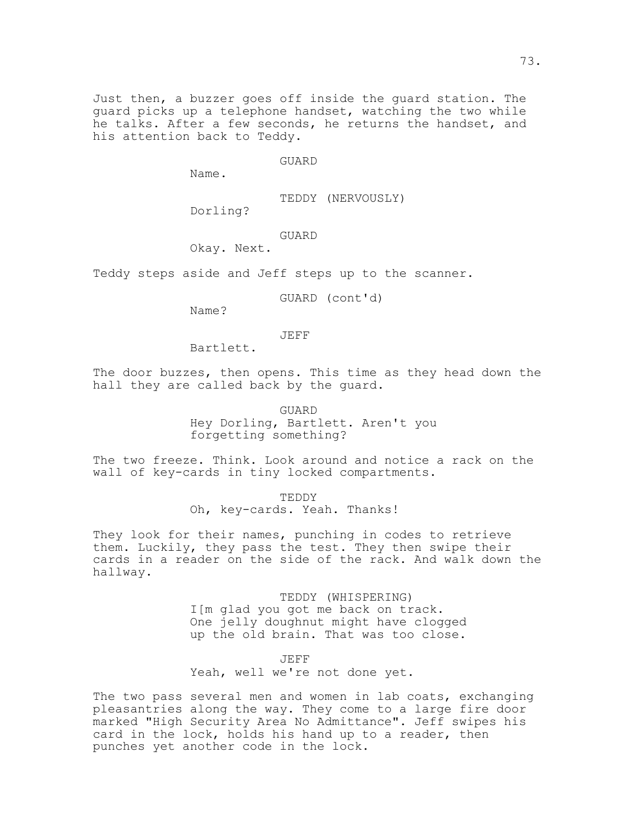Just then, a buzzer goes off inside the guard station. The guard picks up a telephone handset, watching the two while he talks. After a few seconds, he returns the handset, and his attention back to Teddy.

GUARD

Name.

TEDDY (NERVOUSLY)

Dorling?

## GUARD

Okay. Next.

Teddy steps aside and Jeff steps up to the scanner.

GUARD (cont'd)

Name?

#### JEFF

Bartlett.

The door buzzes, then opens. This time as they head down the hall they are called back by the guard.

GUARD

Hey Dorling, Bartlett. Aren't you forgetting something?

The two freeze. Think. Look around and notice a rack on the wall of key-cards in tiny locked compartments.

> TEDDY Oh, key-cards. Yeah. Thanks!

They look for their names, punching in codes to retrieve them. Luckily, they pass the test. They then swipe their cards in a reader on the side of the rack. And walk down the hallway.

> TEDDY (WHISPERING) I[m glad you got me back on track. One jelly doughnut might have clogged up the old brain. That was too close.

### JEFF

Yeah, well we're not done yet.

The two pass several men and women in lab coats, exchanging pleasantries along the way. They come to a large fire door marked "High Security Area No Admittance". Jeff swipes his card in the lock, holds his hand up to a reader, then punches yet another code in the lock.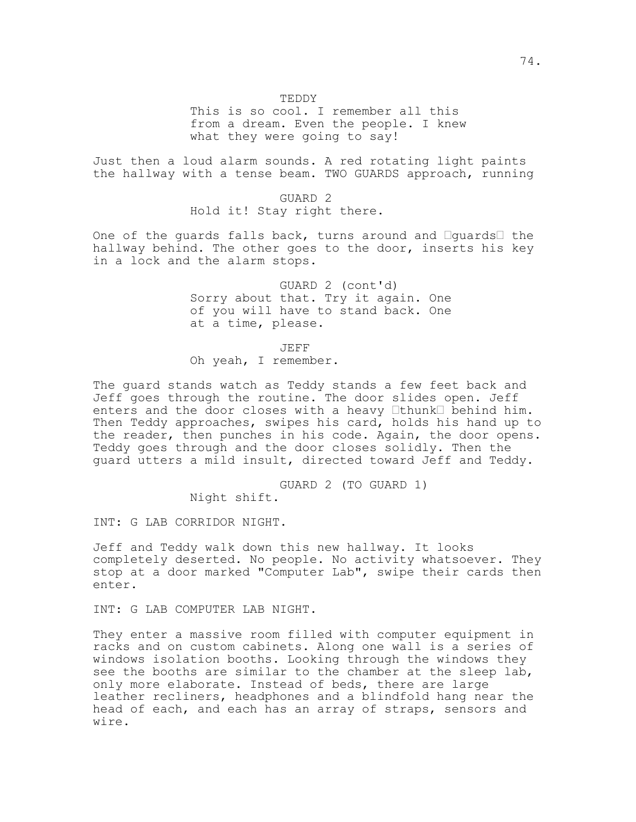TEDDY

This is so cool. I remember all this from a dream. Even the people. I knew what they were going to say!

Just then a loud alarm sounds. A red rotating light paints the hallway with a tense beam. TWO GUARDS approach, running

> GUARD 2 Hold it! Stay right there.

One of the guards falls back, turns around and  $\Box$ guards $\Box$  the hallway behind. The other goes to the door, inserts his key in a lock and the alarm stops.

> GUARD 2 (cont'd) Sorry about that. Try it again. One of you will have to stand back. One at a time, please.

JEFF Oh yeah, I remember.

The guard stands watch as Teddy stands a few feet back and Jeff goes through the routine. The door slides open. Jeff enters and the door closes with a heavy  $\Box$ thunk $\Box$  behind him. Then Teddy approaches, swipes his card, holds his hand up to the reader, then punches in his code. Again, the door opens. Teddy goes through and the door closes solidly. Then the guard utters a mild insult, directed toward Jeff and Teddy.

> GUARD 2 (TO GUARD 1) Night shift.

INT: G LAB CORRIDOR NIGHT.

Jeff and Teddy walk down this new hallway. It looks completely deserted. No people. No activity whatsoever. They stop at a door marked "Computer Lab", swipe their cards then enter.

INT: G LAB COMPUTER LAB NIGHT.

They enter a massive room filled with computer equipment in racks and on custom cabinets. Along one wall is a series of windows isolation booths. Looking through the windows they see the booths are similar to the chamber at the sleep lab, only more elaborate. Instead of beds, there are large leather recliners, headphones and a blindfold hang near the head of each, and each has an array of straps, sensors and wire.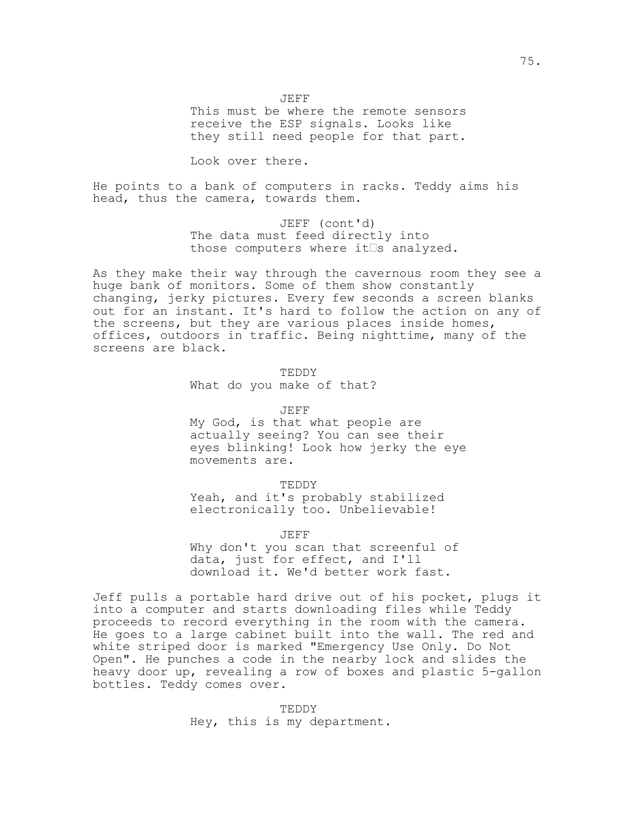JEFF

This must be where the remote sensors receive the ESP signals. Looks like they still need people for that part.

Look over there.

He points to a bank of computers in racks. Teddy aims his head, thus the camera, towards them.

> JEFF (cont'd) The data must feed directly into those computers where it $\square$ s analyzed.

As they make their way through the cavernous room they see a huge bank of monitors. Some of them show constantly changing, jerky pictures. Every few seconds a screen blanks out for an instant. It's hard to follow the action on any of the screens, but they are various places inside homes, offices, outdoors in traffic. Being nighttime, many of the screens are black.

> TEDDY What do you make of that?

> > JEFF

My God, is that what people are actually seeing? You can see their eyes blinking! Look how jerky the eye movements are.

TEDDY

Yeah, and it's probably stabilized electronically too. Unbelievable!

JEFF Why don't you scan that screenful of data, just for effect, and I'll download it. We'd better work fast.

Jeff pulls a portable hard drive out of his pocket, plugs it into a computer and starts downloading files while Teddy proceeds to record everything in the room with the camera. He goes to a large cabinet built into the wall. The red and white striped door is marked "Emergency Use Only. Do Not Open". He punches a code in the nearby lock and slides the heavy door up, revealing a row of boxes and plastic 5-gallon bottles. Teddy comes over.

> TEDDY Hey, this is my department.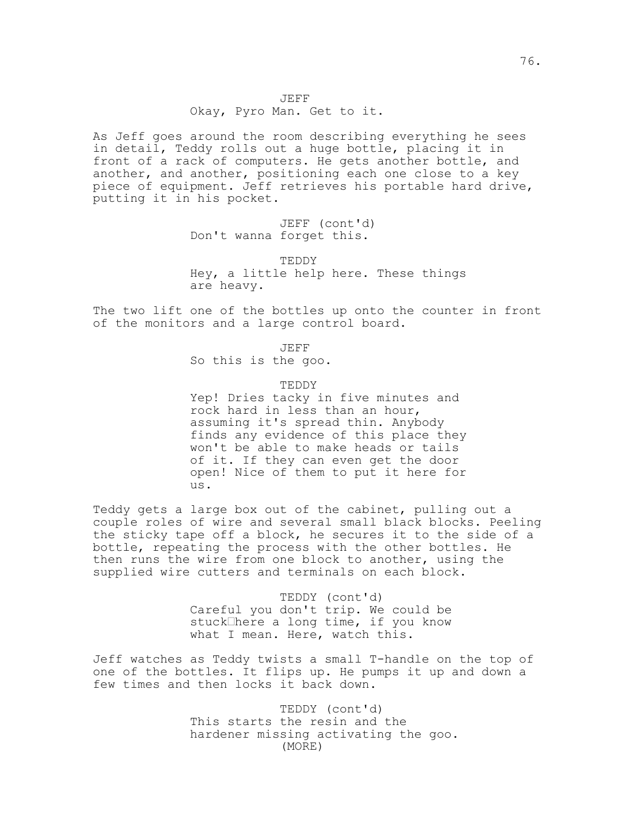# Okay, Pyro Man. Get to it.

As Jeff goes around the room describing everything he sees in detail, Teddy rolls out a huge bottle, placing it in front of a rack of computers. He gets another bottle, and another, and another, positioning each one close to a key piece of equipment. Jeff retrieves his portable hard drive, putting it in his pocket.

> JEFF (cont'd) Don't wanna forget this.

TEDDY Hey, a little help here. These things are heavy.

The two lift one of the bottles up onto the counter in front of the monitors and a large control board.

> JEFF So this is the goo.

TEDDY Yep! Dries tacky in five minutes and rock hard in less than an hour, assuming it's spread thin. Anybody finds any evidence of this place they won't be able to make heads or tails of it. If they can even get the door open! Nice of them to put it here for us.

Teddy gets a large box out of the cabinet, pulling out a couple roles of wire and several small black blocks. Peeling the sticky tape off a block, he secures it to the side of a bottle, repeating the process with the other bottles. He then runs the wire from one block to another, using the supplied wire cutters and terminals on each block.

> TEDDY (cont'd) Careful you don't trip. We could be stuck<sup>here</sup> a long time, if you know what I mean. Here, watch this.

Jeff watches as Teddy twists a small T-handle on the top of one of the bottles. It flips up. He pumps it up and down a few times and then locks it back down.

> TEDDY (cont'd) This starts the resin and the hardener missing activating the goo. (MORE)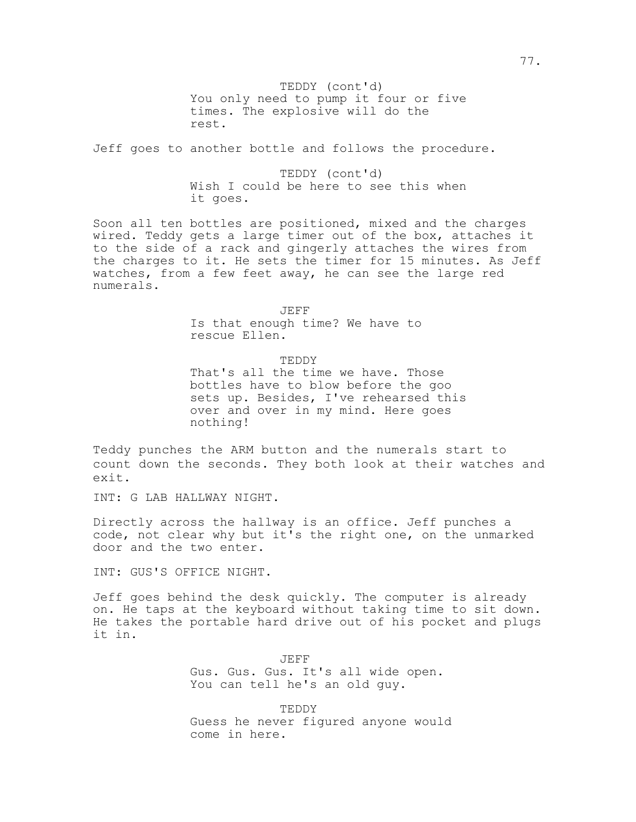You only need to pump it four or five TEDDY (cont'd) times. The explosive will do the rest.

Jeff goes to another bottle and follows the procedure.

TEDDY (cont'd) Wish I could be here to see this when it goes.

Soon all ten bottles are positioned, mixed and the charges wired. Teddy gets a large timer out of the box, attaches it to the side of a rack and gingerly attaches the wires from the charges to it. He sets the timer for 15 minutes. As Jeff watches, from a few feet away, he can see the large red numerals.

JEFF

Is that enough time? We have to rescue Ellen.

TEDDY

That's all the time we have. Those bottles have to blow before the goo sets up. Besides, I've rehearsed this over and over in my mind. Here goes nothing!

Teddy punches the ARM button and the numerals start to count down the seconds. They both look at their watches and exit.

INT: G LAB HALLWAY NIGHT.

Directly across the hallway is an office. Jeff punches a code, not clear why but it's the right one, on the unmarked door and the two enter.

INT: GUS'S OFFICE NIGHT.

Jeff goes behind the desk quickly. The computer is already on. He taps at the keyboard without taking time to sit down. He takes the portable hard drive out of his pocket and plugs it in.

> JEFF Gus. Gus. Gus. It's all wide open. You can tell he's an old guy.

TEDDY Guess he never figured anyone would come in here.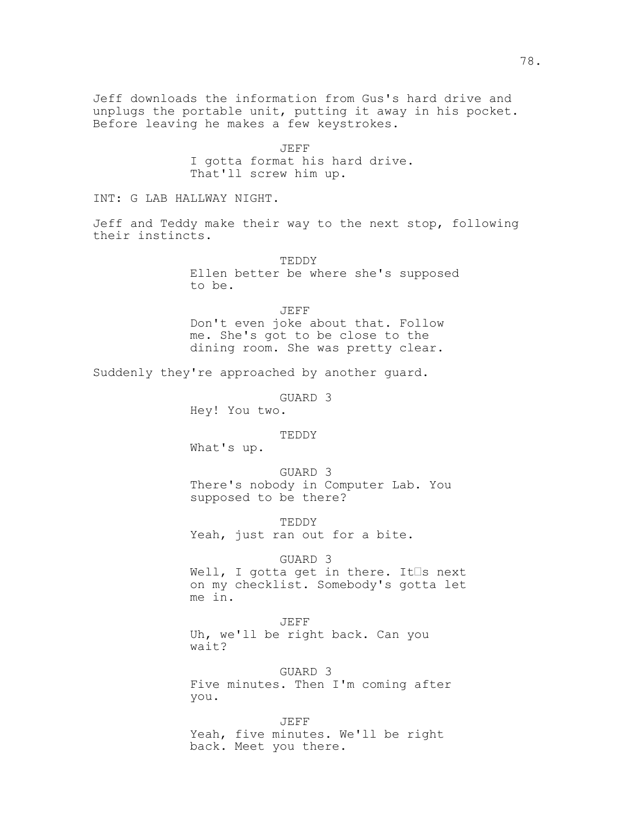Jeff downloads the information from Gus's hard drive and unplugs the portable unit, putting it away in his pocket. Before leaving he makes a few keystrokes.

> JEFF I gotta format his hard drive. That'll screw him up.

INT: G LAB HALLWAY NIGHT.

Jeff and Teddy make their way to the next stop, following their instincts.

> TEDDY Ellen better be where she's supposed to be.

JEFF Don't even joke about that. Follow me. She's got to be close to the dining room. She was pretty clear.

Suddenly they're approached by another guard.

GUARD 3

Hey! You two.

TEDDY

What's up.

GUARD 3 There's nobody in Computer Lab. You supposed to be there?

TEDDY Yeah, just ran out for a bite.

GUARD 3

Well, I gotta get in there. It $\square$ s next on my checklist. Somebody's gotta let me in.

JEFF Uh, we'll be right back. Can you wait?

GUARD 3 Five minutes. Then I'm coming after you.

JEFF Yeah, five minutes. We'll be right back. Meet you there.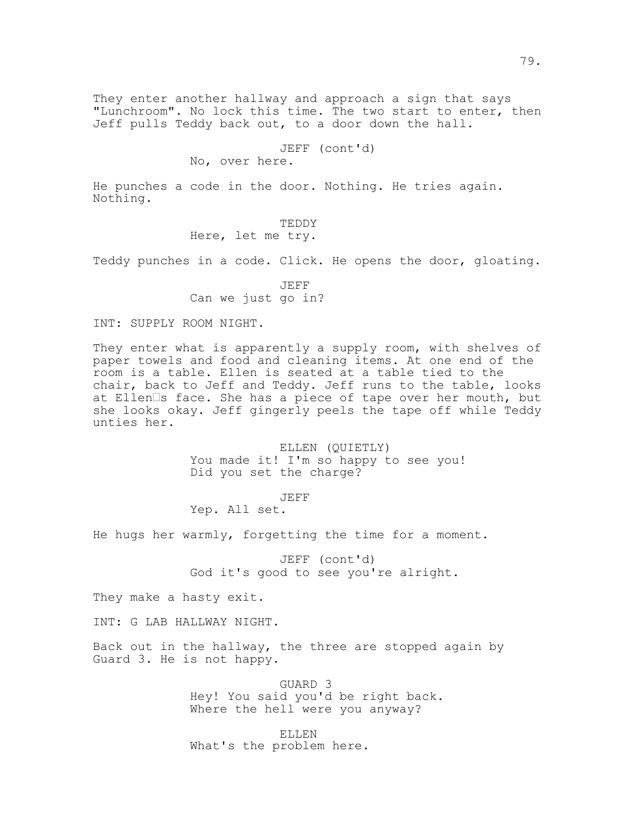They enter another hallway and approach a sign that says "Lunchroom". No lock this time. The two start to enter, then Jeff pulls Teddy back out, to a door down the hall.

# JEFF (cont'd)

No, over here.

He punches a code in the door. Nothing. He tries again. Nothing.

> TEDDY Here, let me try.

Teddy punches in a code. Click. He opens the door, gloating.

JEFF Can we just go in?

INT: SUPPLY ROOM NIGHT.

They enter what is apparently a supply room, with shelves of paper towels and food and cleaning items. At one end of the room is a table. Ellen is seated at a table tied to the chair, back to Jeff and Teddy. Jeff runs to the table, looks at Ellen $\square$ s face. She has a piece of tape over her mouth, but she looks okay. Jeff gingerly peels the tape off while Teddy unties her.

> ELLEN (QUIETLY) You made it! I'm so happy to see you! Did you set the charge?

> > JEFF

Yep. All set.

He hugs her warmly, forgetting the time for a moment.

JEFF (cont'd) God it's good to see you're alright.

They make a hasty exit.

INT: G LAB HALLWAY NIGHT.

Back out in the hallway, the three are stopped again by Guard 3. He is not happy.

> GUARD 3 Hey! You said you'd be right back. Where the hell were you anyway?

ELLEN What's the problem here.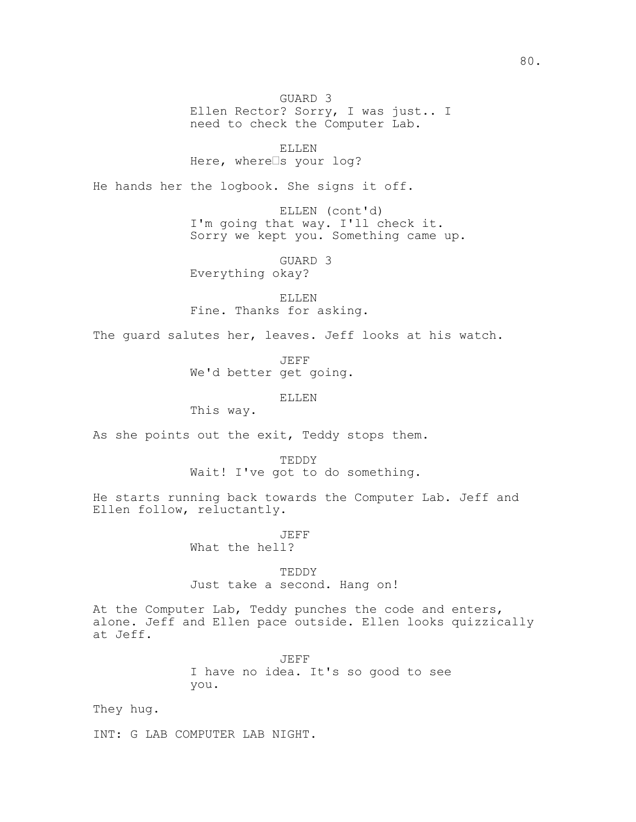GUARD 3 Ellen Rector? Sorry, I was just.. I need to check the Computer Lab.

ELLEN Here, where $\square$ s your log?

He hands her the logbook. She signs it off.

ELLEN (cont'd) I'm going that way. I'll check it. Sorry we kept you. Something came up.

GUARD 3 Everything okay?

ELLEN Fine. Thanks for asking.

The guard salutes her, leaves. Jeff looks at his watch.

JEFF We'd better get going.

ELLEN

This way.

As she points out the exit, Teddy stops them.

TEDDY Wait! I've got to do something.

He starts running back towards the Computer Lab. Jeff and Ellen follow, reluctantly.

> JEFF What the hell?

TEDDY Just take a second. Hang on!

At the Computer Lab, Teddy punches the code and enters, alone. Jeff and Ellen pace outside. Ellen looks quizzically at Jeff.

> JEFF I have no idea. It's so good to see you.

They hug.

INT: G LAB COMPUTER LAB NIGHT.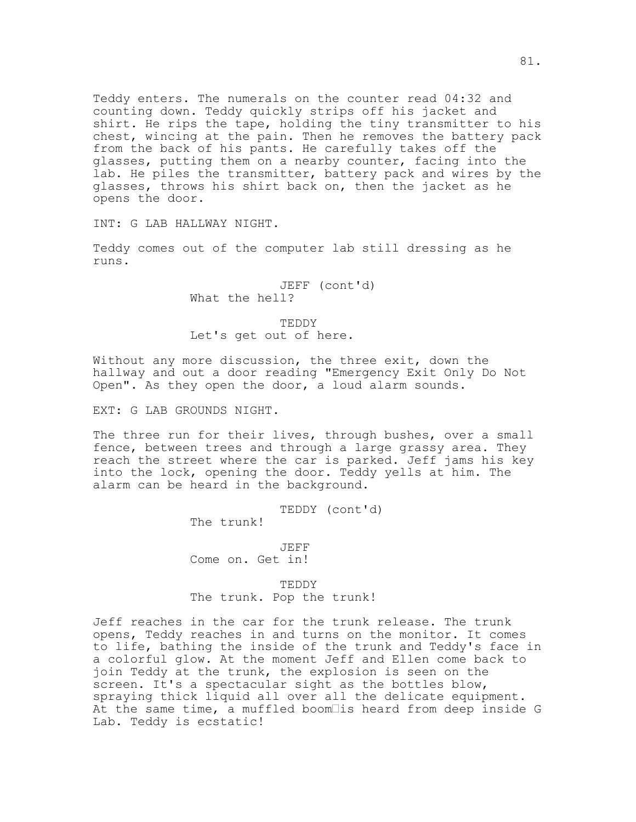Teddy enters. The numerals on the counter read 04:32 and counting down. Teddy quickly strips off his jacket and shirt. He rips the tape, holding the tiny transmitter to his chest, wincing at the pain. Then he removes the battery pack from the back of his pants. He carefully takes off the glasses, putting them on a nearby counter, facing into the lab. He piles the transmitter, battery pack and wires by the glasses, throws his shirt back on, then the jacket as he opens the door.

INT: G LAB HALLWAY NIGHT.

Teddy comes out of the computer lab still dressing as he runs.

> JEFF (cont'd) What the hell?

TEDDY Let's get out of here.

Without any more discussion, the three exit, down the hallway and out a door reading "Emergency Exit Only Do Not Open". As they open the door, a loud alarm sounds.

EXT: G LAB GROUNDS NIGHT.

The three run for their lives, through bushes, over a small fence, between trees and through a large grassy area. They reach the street where the car is parked. Jeff jams his key into the lock, opening the door. Teddy yells at him. The alarm can be heard in the background.

TEDDY (cont'd)

The trunk!

JEFF Come on. Get in!

TEDDY The trunk. Pop the trunk!

Jeff reaches in the car for the trunk release. The trunk opens, Teddy reaches in and turns on the monitor. It comes to life, bathing the inside of the trunk and Teddy's face in a colorful glow. At the moment Jeff and Ellen come back to join Teddy at the trunk, the explosion is seen on the screen. It's a spectacular sight as the bottles blow, spraying thick liquid all over all the delicate equipment. At the same time, a muffled boom $\square$ is heard from deep inside G Lab. Teddy is ecstatic!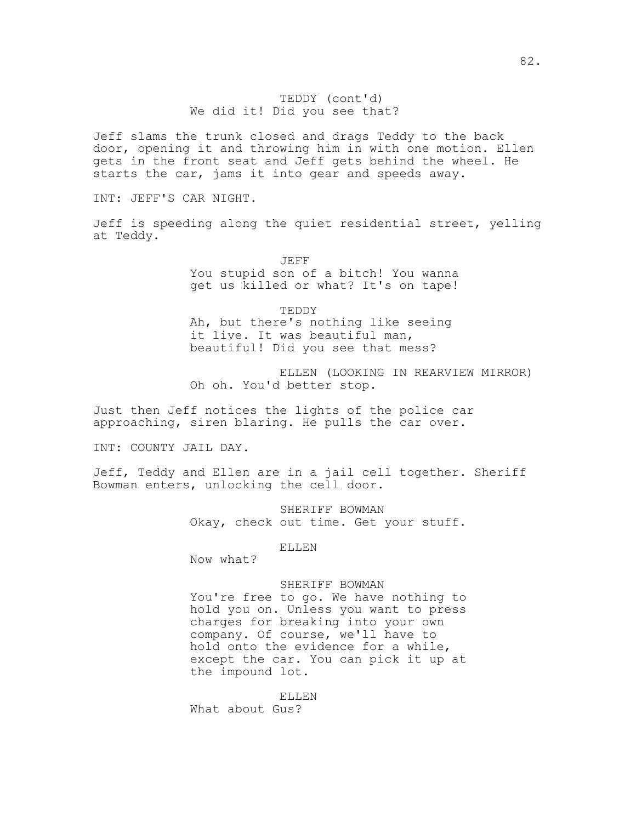# TEDDY (cont'd) We did it! Did you see that?

Jeff slams the trunk closed and drags Teddy to the back door, opening it and throwing him in with one motion. Ellen gets in the front seat and Jeff gets behind the wheel. He starts the car, jams it into gear and speeds away.

INT: JEFF'S CAR NIGHT.

Jeff is speeding along the quiet residential street, yelling at Teddy.

> JEFF You stupid son of a bitch! You wanna get us killed or what? It's on tape!

TEDDY Ah, but there's nothing like seeing it live. It was beautiful man, beautiful! Did you see that mess?

ELLEN (LOOKING IN REARVIEW MIRROR) Oh oh. You'd better stop.

Just then Jeff notices the lights of the police car approaching, siren blaring. He pulls the car over.

INT: COUNTY JAIL DAY.

Jeff, Teddy and Ellen are in a jail cell together. Sheriff Bowman enters, unlocking the cell door.

> SHERIFF BOWMAN Okay, check out time. Get your stuff.

# ELLEN

Now what?

### SHERIFF BOWMAN

You're free to go. We have nothing to hold you on. Unless you want to press charges for breaking into your own company. Of course, we'll have to hold onto the evidence for a while, except the car. You can pick it up at the impound lot.

ELLEN What about Gus?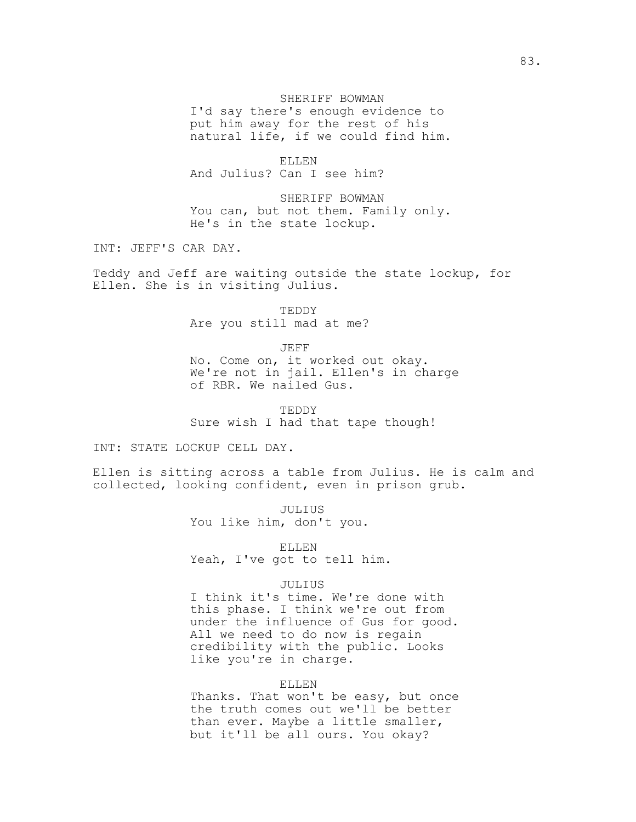# SHERIFF BOWMAN

I'd say there's enough evidence to put him away for the rest of his natural life, if we could find him.

ELLEN And Julius? Can I see him?

SHERIFF BOWMAN You can, but not them. Family only. He's in the state lockup.

INT: JEFF'S CAR DAY.

Teddy and Jeff are waiting outside the state lockup, for Ellen. She is in visiting Julius.

> TEDDY Are you still mad at me?

JEFF No. Come on, it worked out okay. We're not in jail. Ellen's in charge of RBR. We nailed Gus.

TEDDY Sure wish I had that tape though!

INT: STATE LOCKUP CELL DAY.

Ellen is sitting across a table from Julius. He is calm and collected, looking confident, even in prison grub.

> JULIUS You like him, don't you.

ELLEN Yeah, I've got to tell him.

### JULIUS

I think it's time. We're done with this phase. I think we're out from under the influence of Gus for good. All we need to do now is regain credibility with the public. Looks like you're in charge.

### ELLEN

Thanks. That won't be easy, but once the truth comes out we'll be better than ever. Maybe a little smaller, but it'll be all ours. You okay?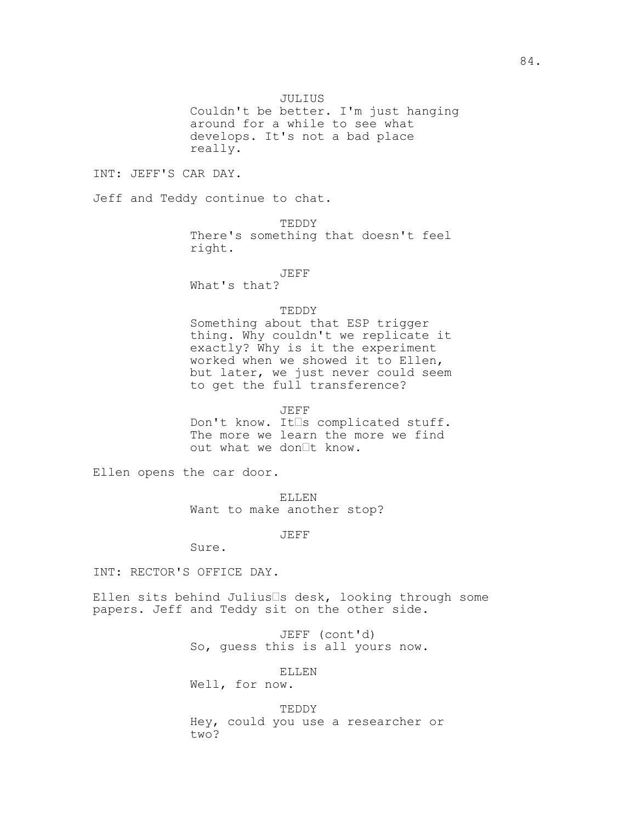JULIUS

Couldn't be better. I'm just hanging around for a while to see what develops. It's not a bad place really.

INT: JEFF'S CAR DAY.

Jeff and Teddy continue to chat.

TEDDY There's something that doesn't feel right.

JEFF

What's that?

# TEDDY

Something about that ESP trigger thing. Why couldn't we replicate it exactly? Why is it the experiment worked when we showed it to Ellen, but later, we just never could seem to get the full transference?

JEFF

Don't know. It<sup>s</sup> complicated stuff. The more we learn the more we find out what we don<sup>It</sup> know.

Ellen opens the car door.

ELLEN Want to make another stop?

JEFF

Sure.

INT: RECTOR'S OFFICE DAY.

Ellen sits behind Julius $\square$ s desk, looking through some papers. Jeff and Teddy sit on the other side.

> JEFF (cont'd) So, guess this is all yours now.

> > ELLEN

Well, for now.

TEDDY Hey, could you use a researcher or two?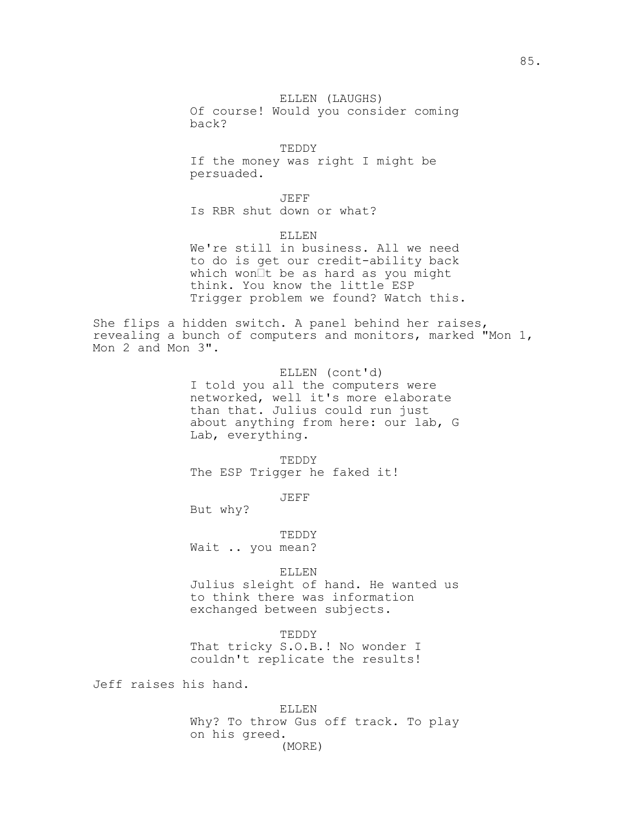TEDDY If the money was right I might be persuaded.

JEFF Is RBR shut down or what?

ELLEN We're still in business. All we need to do is get our credit-ability back which won $It$  be as hard as you might think. You know the little ESP Trigger problem we found? Watch this.

She flips a hidden switch. A panel behind her raises, revealing a bunch of computers and monitors, marked "Mon 1, Mon 2 and Mon 3".

> ELLEN (cont'd) I told you all the computers were networked, well it's more elaborate than that. Julius could run just about anything from here: our lab, G Lab, everything.

TEDDY The ESP Trigger he faked it!

JEFF

But why?

TEDDY Wait .. you mean?

ELLEN

Julius sleight of hand. He wanted us to think there was information exchanged between subjects.

TEDDY

That tricky S.O.B.! No wonder I couldn't replicate the results!

Jeff raises his hand.

ELLEN Why? To throw Gus off track. To play on his greed. (MORE)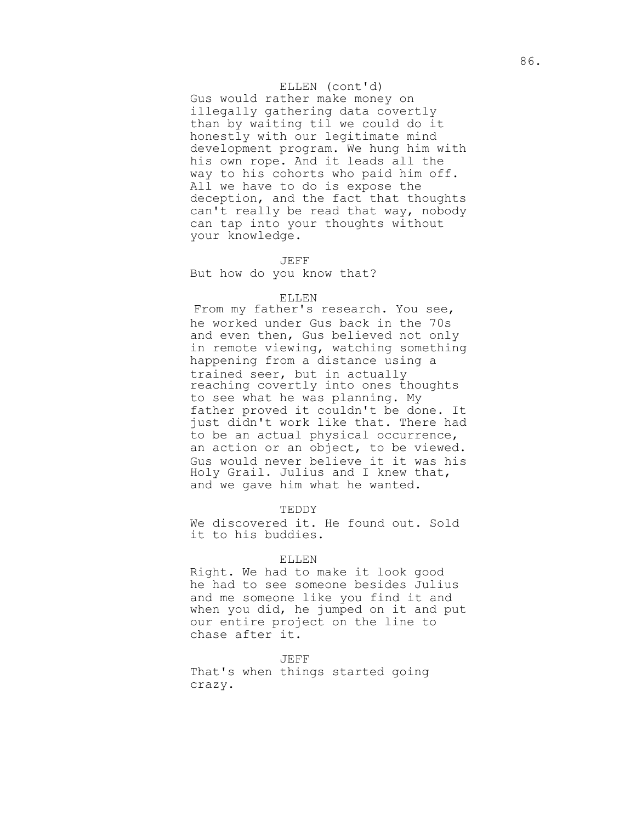# ELLEN (cont'd)

Gus would rather make money on illegally gathering data covertly than by waiting til we could do it honestly with our legitimate mind development program. We hung him with his own rope. And it leads all the way to his cohorts who paid him off. All we have to do is expose the deception, and the fact that thoughts can't really be read that way, nobody can tap into your thoughts without your knowledge.

#### JEFF

But how do you know that?

### ELLEN

From my father's research. You see, he worked under Gus back in the 70s and even then, Gus believed not only in remote viewing, watching something happening from a distance using a trained seer, but in actually reaching covertly into ones thoughts to see what he was planning. My father proved it couldn't be done. It just didn't work like that. There had to be an actual physical occurrence, an action or an object, to be viewed. Gus would never believe it it was his Holy Grail. Julius and I knew that, and we gave him what he wanted.

#### TEDDY

We discovered it. He found out. Sold it to his buddies.

### ELLEN

Right. We had to make it look good he had to see someone besides Julius and me someone like you find it and when you did, he jumped on it and put our entire project on the line to chase after it.

#### JEFF

That's when things started going crazy.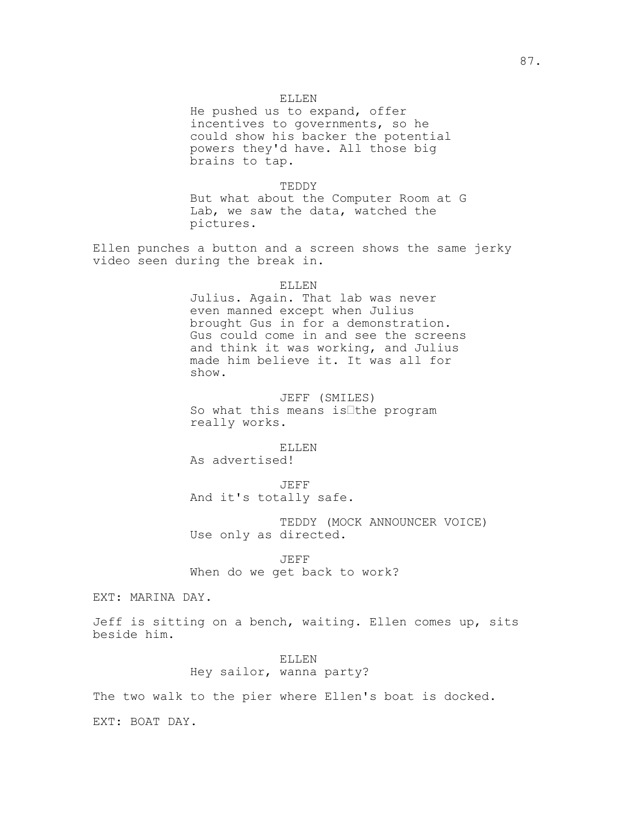He pushed us to expand, offer incentives to governments, so he could show his backer the potential powers they'd have. All those big brains to tap.

TEDDY But what about the Computer Room at G Lab, we saw the data, watched the pictures.

Ellen punches a button and a screen shows the same jerky video seen during the break in.

Julius. Again. That lab was never even manned except when Julius brought Gus in for a demonstration. Gus could come in and see the screens and think it was working, and Julius made him believe it. It was all for show.

JEFF (SMILES) So what this means is $I$ the program really works.

ELLEN As advertised!

JEFF And it's totally safe.

TEDDY (MOCK ANNOUNCER VOICE) Use only as directed.

JEFF When do we get back to work?

EXT: MARINA DAY.

Jeff is sitting on a bench, waiting. Ellen comes up, sits beside him.

> ELLEN Hey sailor, wanna party?

The two walk to the pier where Ellen's boat is docked.

EXT: BOAT DAY.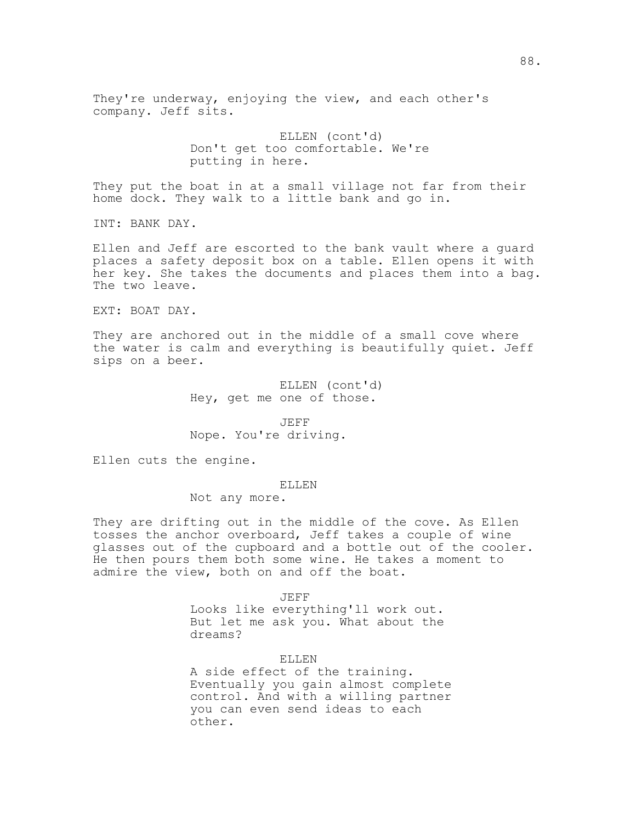They're underway, enjoying the view, and each other's company. Jeff sits.

> ELLEN (cont'd) Don't get too comfortable. We're putting in here.

They put the boat in at a small village not far from their home dock. They walk to a little bank and go in.

INT: BANK DAY.

Ellen and Jeff are escorted to the bank vault where a guard places a safety deposit box on a table. Ellen opens it with her key. She takes the documents and places them into a bag. The two leave.

EXT: BOAT DAY.

They are anchored out in the middle of a small cove where the water is calm and everything is beautifully quiet. Jeff sips on a beer.

> ELLEN (cont'd) Hey, get me one of those.

JEFF Nope. You're driving.

Ellen cuts the engine.

# ELLEN

Not any more.

They are drifting out in the middle of the cove. As Ellen tosses the anchor overboard, Jeff takes a couple of wine glasses out of the cupboard and a bottle out of the cooler. He then pours them both some wine. He takes a moment to admire the view, both on and off the boat.

JEFF

Looks like everything'll work out. But let me ask you. What about the dreams?

#### ELLEN

A side effect of the training. Eventually you gain almost complete control. And with a willing partner you can even send ideas to each other.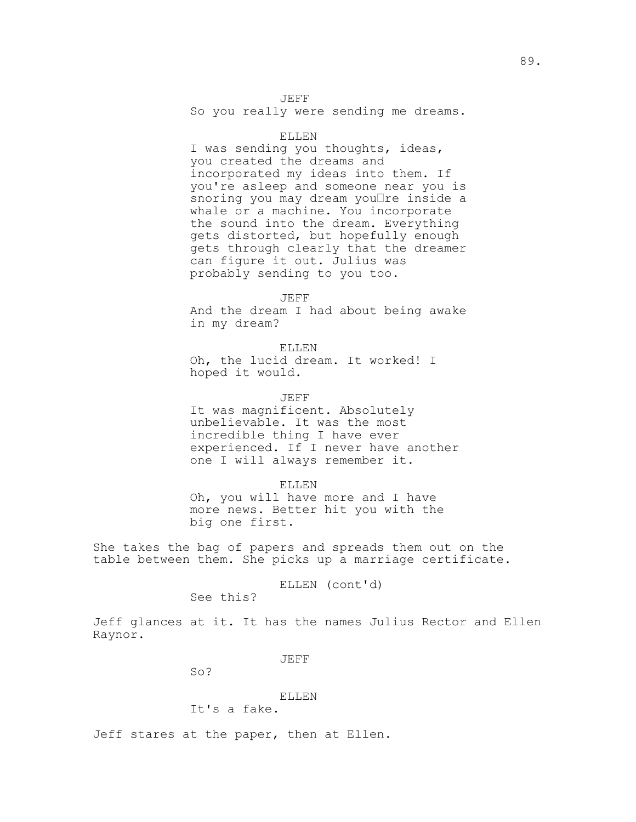JEFF

So you really were sending me dreams.

# ELLEN

I was sending you thoughts, ideas, you created the dreams and incorporated my ideas into them. If you're asleep and someone near you is snoring you may dream you $\Box$ re inside a whale or a machine. You incorporate the sound into the dream. Everything gets distorted, but hopefully enough gets through clearly that the dreamer can figure it out. Julius was probably sending to you too.

JEFF

And the dream I had about being awake in my dream?

ELLEN Oh, the lucid dream. It worked! I hoped it would.

JEFF

It was magnificent. Absolutely unbelievable. It was the most incredible thing I have ever experienced. If I never have another one I will always remember it.

ELLEN Oh, you will have more and I have more news. Better hit you with the big one first.

She takes the bag of papers and spreads them out on the table between them. She picks up a marriage certificate.

ELLEN (cont'd)

See this?

Jeff glances at it. It has the names Julius Rector and Ellen Raynor.

JEFF

So?

# ELLEN

It's a fake.

Jeff stares at the paper, then at Ellen.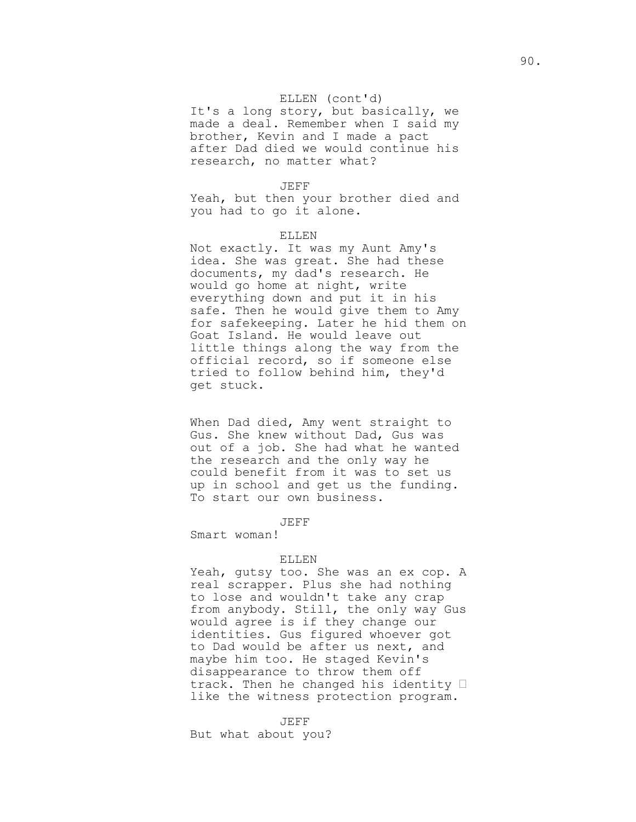# ELLEN (cont'd)

It's a long story, but basically, we made a deal. Remember when I said my brother, Kevin and I made a pact after Dad died we would continue his research, no matter what?

### JEFF

Yeah, but then your brother died and you had to go it alone.

### ELLEN

Not exactly. It was my Aunt Amy's idea. She was great. She had these documents, my dad's research. He would go home at night, write everything down and put it in his safe. Then he would give them to Amy for safekeeping. Later he hid them on Goat Island. He would leave out little things along the way from the official record, so if someone else tried to follow behind him, they'd get stuck.

When Dad died, Amy went straight to Gus. She knew without Dad, Gus was out of a job. She had what he wanted the research and the only way he could benefit from it was to set us up in school and get us the funding. To start our own business.

#### JEFF

Smart woman!

### ELLEN

Yeah, gutsy too. She was an ex cop. A real scrapper. Plus she had nothing to lose and wouldn't take any crap from anybody. Still, the only way Gus would agree is if they change our identities. Gus figured whoever got to Dad would be after us next, and maybe him too. He staged Kevin's disappearance to throw them off track. Then he changed his identity  $\Box$ like the witness protection program.

JEFF But what about you?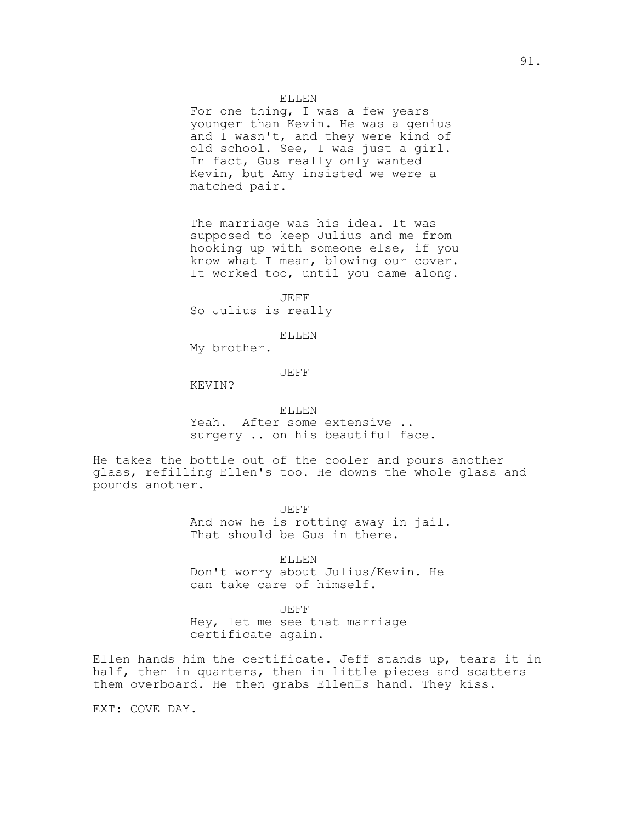# ELLEN

For one thing, I was a few years younger than Kevin. He was a genius and I wasn't, and they were kind of old school. See, I was just a girl. In fact, Gus really only wanted Kevin, but Amy insisted we were a matched pair.

The marriage was his idea. It was supposed to keep Julius and me from hooking up with someone else, if you know what I mean, blowing our cover. It worked too, until you came along.

JEFF So Julius is really

ELLEN

My brother.

JEFF

KEVIN?

### ELLEN

Yeah. After some extensive .. surgery .. on his beautiful face.

He takes the bottle out of the cooler and pours another glass, refilling Ellen's too. He downs the whole glass and pounds another.

JEFF

And now he is rotting away in jail. That should be Gus in there.

ELLEN

Don't worry about Julius/Kevin. He can take care of himself.

JEFF

Hey, let me see that marriage certificate again.

Ellen hands him the certificate. Jeff stands up, tears it in half, then in quarters, then in little pieces and scatters them overboard. He then grabs Ellen<sup>Is</sup> hand. They kiss.

EXT: COVE DAY.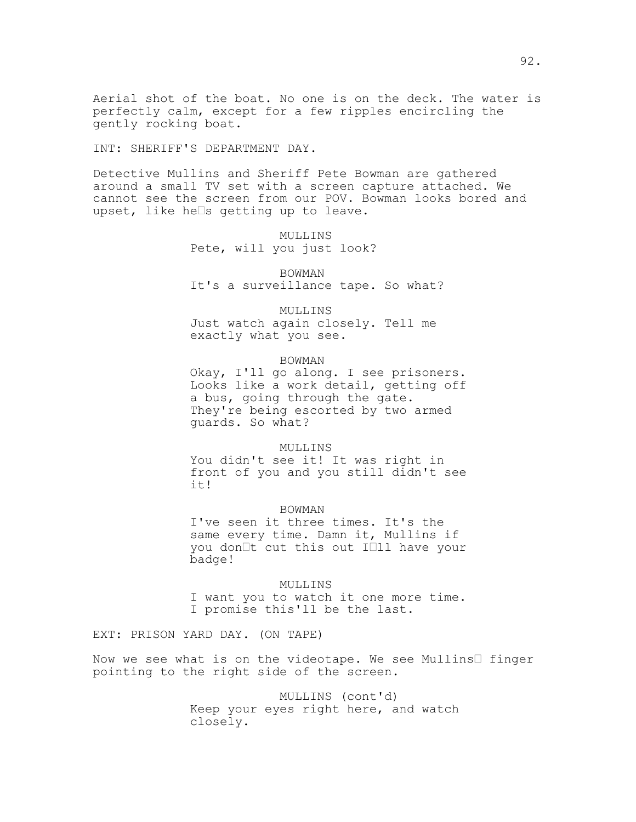Aerial shot of the boat. No one is on the deck. The water is perfectly calm, except for a few ripples encircling the gently rocking boat.

INT: SHERIFF'S DEPARTMENT DAY.

Detective Mullins and Sheriff Pete Bowman are gathered around a small TV set with a screen capture attached. We cannot see the screen from our POV. Bowman looks bored and upset, like he $\Box$ s getting up to leave.

## MULLINS

Pete, will you just look?

BOWMAN It's a surveillance tape. So what?

MULLINS Just watch again closely. Tell me exactly what you see.

### BOWMAN

Okay, I'll go along. I see prisoners. Looks like a work detail, getting off a bus, going through the gate. They're being escorted by two armed guards. So what?

## MULLINS

You didn't see it! It was right in front of you and you still didn't see it!

### BOWMAN

I've seen it three times. It's the same every time. Damn it, Mullins if you don<sup>It</sup> cut this out I<sup>I1</sup> have your badge!

MULLINS I want you to watch it one more time. I promise this'll be the last.

EXT: PRISON YARD DAY. (ON TAPE)

Now we see what is on the videotape. We see Mullins  $\Box$  finger pointing to the right side of the screen.

> MULLINS (cont'd) Keep your eyes right here, and watch closely.